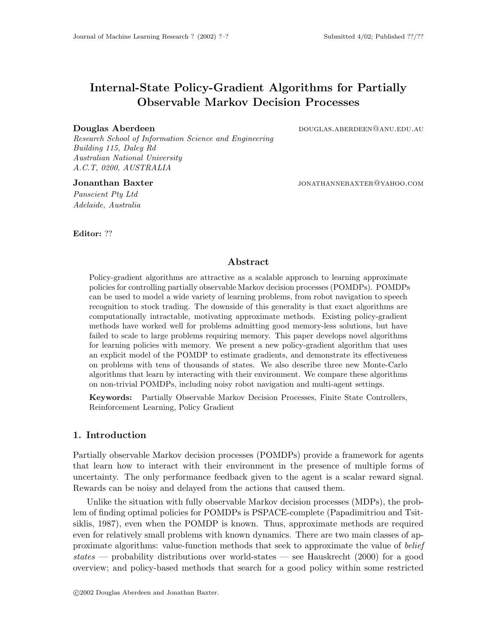# Internal-State Policy-Gradient Algorithms for Partially Observable Markov Decision Processes

#### Douglas Aberdeen douglas.aberdeen@anu.edu.au

Research School of Information Science and Engineering Building 115, Daley Rd Australian National University A.C.T, 0200, AUSTRALIA

Panscient Pty Ltd Adelaide, Australia

Jonanthan Baxter **in the set of the set of the set of the set of the set of the set of the set of the set of the set of the set of the set of the set of the set of the set of the set of the set of the set of the set of the** 

#### Editor: ??

#### Abstract

Policy-gradient algorithms are attractive as a scalable approach to learning approximate policies for controlling partially observable Markov decision processes (POMDPs). POMDPs can be used to model a wide variety of learning problems, from robot navigation to speech recognition to stock trading. The downside of this generality is that exact algorithms are computationally intractable, motivating approximate methods. Existing policy-gradient methods have worked well for problems admitting good memory-less solutions, but have failed to scale to large problems requiring memory. This paper develops novel algorithms for learning policies with memory. We present a new policy-gradient algorithm that uses an explicit model of the POMDP to estimate gradients, and demonstrate its effectiveness on problems with tens of thousands of states. We also describe three new Monte-Carlo algorithms that learn by interacting with their environment. We compare these algorithms on non-trivial POMDPs, including noisy robot navigation and multi-agent settings.

Keywords: Partially Observable Markov Decision Processes, Finite State Controllers, Reinforcement Learning, Policy Gradient

## 1. Introduction

Partially observable Markov decision processes (POMDPs) provide a framework for agents that learn how to interact with their environment in the presence of multiple forms of uncertainty. The only performance feedback given to the agent is a scalar reward signal. Rewards can be noisy and delayed from the actions that caused them.

Unlike the situation with fully observable Markov decision processes (MDPs), the problem of finding optimal policies for POMDPs is PSPACE-complete (Papadimitriou and Tsitsiklis, 1987), even when the POMDP is known. Thus, approximate methods are required even for relatively small problems with known dynamics. There are two main classes of approximate algorithms: value-function methods that seek to approximate the value of belief states — probability distributions over world-states — see Hauskrecht (2000) for a good overview; and policy-based methods that search for a good policy within some restricted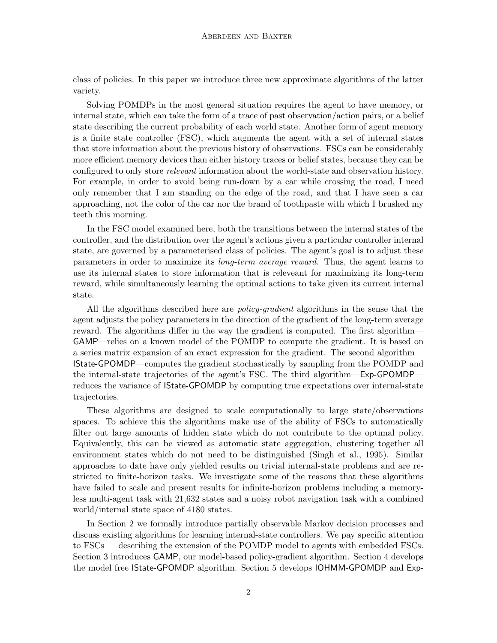class of policies. In this paper we introduce three new approximate algorithms of the latter variety.

Solving POMDPs in the most general situation requires the agent to have memory, or internal state, which can take the form of a trace of past observation/action pairs, or a belief state describing the current probability of each world state. Another form of agent memory is a finite state controller (FSC), which augments the agent with a set of internal states that store information about the previous history of observations. FSCs can be considerably more efficient memory devices than either history traces or belief states, because they can be configured to only store relevant information about the world-state and observation history. For example, in order to avoid being run-down by a car while crossing the road, I need only remember that I am standing on the edge of the road, and that I have seen a car approaching, not the color of the car nor the brand of toothpaste with which I brushed my teeth this morning.

In the FSC model examined here, both the transitions between the internal states of the controller, and the distribution over the agent's actions given a particular controller internal state, are governed by a parameterised class of policies. The agent's goal is to adjust these parameters in order to maximize its long-term average reward. Thus, the agent learns to use its internal states to store information that is releveant for maximizing its long-term reward, while simultaneously learning the optimal actions to take given its current internal state.

All the algorithms described here are *policy-gradient* algorithms in the sense that the agent adjusts the policy parameters in the direction of the gradient of the long-term average reward. The algorithms differ in the way the gradient is computed. The first algorithm— GAMP—relies on a known model of the POMDP to compute the gradient. It is based on a series matrix expansion of an exact expression for the gradient. The second algorithm— IState-GPOMDP—computes the gradient stochastically by sampling from the POMDP and the internal-state trajectories of the agent's FSC. The third algorithm—Exp-GPOMDP reduces the variance of IState-GPOMDP by computing true expectations over internal-state trajectories.

These algorithms are designed to scale computationally to large state/observations spaces. To achieve this the algorithms make use of the ability of FSCs to automatically filter out large amounts of hidden state which do not contribute to the optimal policy. Equivalently, this can be viewed as automatic state aggregation, clustering together all environment states which do not need to be distinguished (Singh et al., 1995). Similar approaches to date have only yielded results on trivial internal-state problems and are restricted to finite-horizon tasks. We investigate some of the reasons that these algorithms have failed to scale and present results for infinite-horizon problems including a memoryless multi-agent task with 21,632 states and a noisy robot navigation task with a combined world/internal state space of 4180 states.

In Section 2 we formally introduce partially observable Markov decision processes and discuss existing algorithms for learning internal-state controllers. We pay specific attention to FSCs — describing the extension of the POMDP model to agents with embedded FSCs. Section 3 introduces GAMP, our model-based policy-gradient algorithm. Section 4 develops the model free IState-GPOMDP algorithm. Section 5 develops IOHMM-GPOMDP and Exp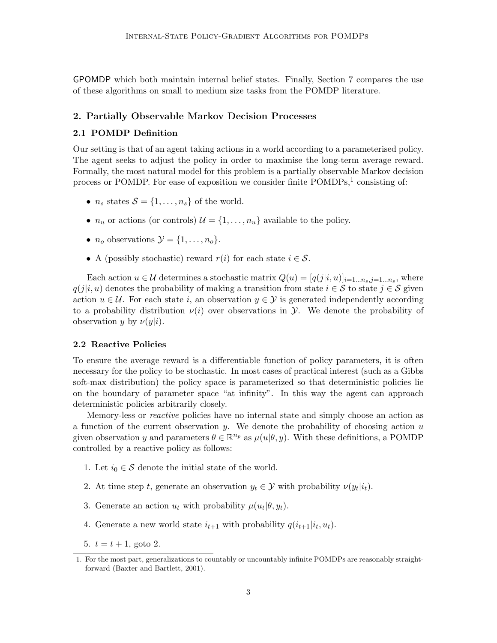GPOMDP which both maintain internal belief states. Finally, Section 7 compares the use of these algorithms on small to medium size tasks from the POMDP literature.

## 2. Partially Observable Markov Decision Processes

## 2.1 POMDP Definition

Our setting is that of an agent taking actions in a world according to a parameterised policy. The agent seeks to adjust the policy in order to maximise the long-term average reward. Formally, the most natural model for this problem is a partially observable Markov decision process or POMDP. For ease of exposition we consider finite POMDPs,<sup>1</sup> consisting of:

- $n_s$  states  $S = \{1, \ldots, n_s\}$  of the world.
- $n_u$  or actions (or controls)  $\mathcal{U} = \{1, \ldots, n_u\}$  available to the policy.
- $n_o$  observations  $\mathcal{Y} = \{1, \ldots, n_o\}.$
- A (possibly stochastic) reward  $r(i)$  for each state  $i \in \mathcal{S}$ .

Each action  $u \in \mathcal{U}$  determines a stochastic matrix  $Q(u) = [q(j|i, u)]_{i=1...n_s, j=1...n_s}$ , where  $q(j|i, u)$  denotes the probability of making a transition from state  $i \in S$  to state  $j \in S$  given action  $u \in \mathcal{U}$ . For each state i, an observation  $y \in \mathcal{Y}$  is generated independently according to a probability distribution  $\nu(i)$  over observations in  $\mathcal{Y}$ . We denote the probability of observation y by  $\nu(y|i)$ .

## 2.2 Reactive Policies

To ensure the average reward is a differentiable function of policy parameters, it is often necessary for the policy to be stochastic. In most cases of practical interest (such as a Gibbs soft-max distribution) the policy space is parameterized so that deterministic policies lie on the boundary of parameter space "at infinity". In this way the agent can approach deterministic policies arbitrarily closely.

Memory-less or reactive policies have no internal state and simply choose an action as a function of the current observation y. We denote the probability of choosing action  $u$ given observation y and parameters  $\theta \in \mathbb{R}^{n_p}$  as  $\mu(u|\theta, y)$ . With these definitions, a POMDP controlled by a reactive policy as follows:

- 1. Let  $i_0 \in \mathcal{S}$  denote the initial state of the world.
- 2. At time step t, generate an observation  $y_t \in \mathcal{Y}$  with probability  $\nu(y_t|i_t)$ .
- 3. Generate an action  $u_t$  with probability  $\mu(u_t|\theta, y_t)$ .
- 4. Generate a new world state  $i_{t+1}$  with probability  $q(i_{t+1}|i_t, u_t)$ .
- 5.  $t = t + 1$ , goto 2.

<sup>1.</sup> For the most part, generalizations to countably or uncountably infinite POMDPs are reasonably straightforward (Baxter and Bartlett, 2001).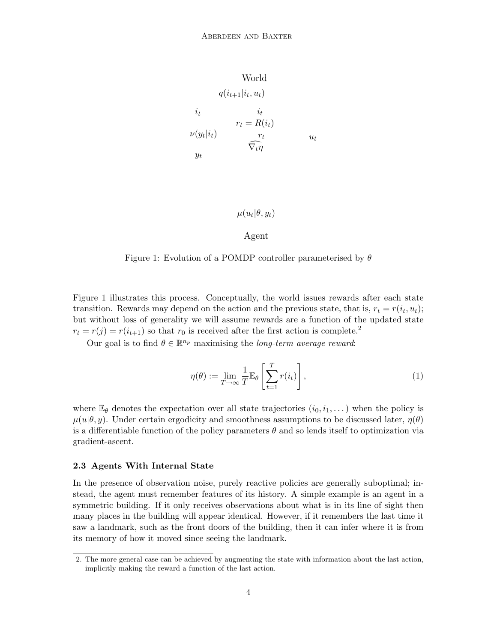World

\n
$$
q(i_{t+1}|i_t, u_t)
$$
\n
$$
i_t \qquad i_t
$$
\n
$$
r_t = R(i_t)
$$
\n
$$
\nu(y_t|i_t) \qquad \qquad \tau_t \qquad u_t
$$
\n
$$
y_t \qquad \qquad \nabla_t \eta
$$

# $\mu(u_t|\theta, y_t)$

## Agent

Figure 1: Evolution of a POMDP controller parameterised by  $\theta$ 

Figure 1 illustrates this process. Conceptually, the world issues rewards after each state transition. Rewards may depend on the action and the previous state, that is,  $r_t = r(i_t, u_t)$ ; but without loss of generality we will assume rewards are a function of the updated state  $r_t = r(j) = r(i_{t+1})$  so that  $r_0$  is received after the first action is complete.<sup>2</sup>

Our goal is to find  $\theta \in \mathbb{R}^{n_p}$  maximising the *long-term average reward*:

$$
\eta(\theta) := \lim_{T \to \infty} \frac{1}{T} \mathbb{E}_{\theta} \left[ \sum_{t=1}^{T} r(i_t) \right], \tag{1}
$$

where  $\mathbb{E}_{\theta}$  denotes the expectation over all state trajectories  $(i_0, i_1, \dots)$  when the policy is  $\mu(u|\theta, y)$ . Under certain ergodicity and smoothness assumptions to be discussed later,  $\eta(\theta)$ is a differentiable function of the policy parameters  $\theta$  and so lends itself to optimization via gradient-ascent.

#### 2.3 Agents With Internal State

In the presence of observation noise, purely reactive policies are generally suboptimal; instead, the agent must remember features of its history. A simple example is an agent in a symmetric building. If it only receives observations about what is in its line of sight then many places in the building will appear identical. However, if it remembers the last time it saw a landmark, such as the front doors of the building, then it can infer where it is from its memory of how it moved since seeing the landmark.

<sup>2.</sup> The more general case can be achieved by augmenting the state with information about the last action, implicitly making the reward a function of the last action.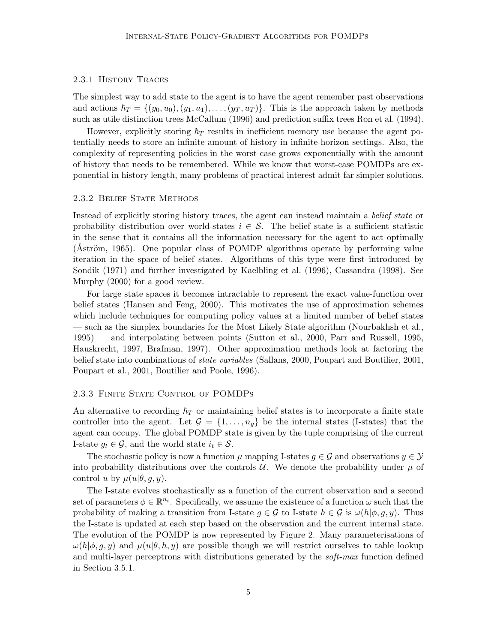## 2.3.1 History Traces

The simplest way to add state to the agent is to have the agent remember past observations and actions  $\hbar_T = \{(y_0, u_0), (y_1, u_1), \ldots, (y_T, u_T)\}\.$  This is the approach taken by methods such as utile distinction trees McCallum (1996) and prediction suffix trees Ron et al. (1994).

However, explicitly storing  $\hbar_T$  results in inefficient memory use because the agent potentially needs to store an infinite amount of history in infinite-horizon settings. Also, the complexity of representing policies in the worst case grows exponentially with the amount of history that needs to be remembered. While we know that worst-case POMDPs are exponential in history length, many problems of practical interest admit far simpler solutions.

#### 2.3.2 Belief State Methods

Instead of explicitly storing history traces, the agent can instead maintain a belief state or probability distribution over world-states  $i \in \mathcal{S}$ . The belief state is a sufficient statistic in the sense that it contains all the information necessary for the agent to act optimally (Aström, 1965). One popular class of POMDP algorithms operate by performing value iteration in the space of belief states. Algorithms of this type were first introduced by Sondik (1971) and further investigated by Kaelbling et al. (1996), Cassandra (1998). See Murphy (2000) for a good review.

For large state spaces it becomes intractable to represent the exact value-function over belief states (Hansen and Feng, 2000). This motivates the use of approximation schemes which include techniques for computing policy values at a limited number of belief states — such as the simplex boundaries for the Most Likely State algorithm (Nourbakhsh et al., 1995) — and interpolating between points (Sutton et al., 2000, Parr and Russell, 1995, Hauskrecht, 1997, Brafman, 1997). Other approximation methods look at factoring the belief state into combinations of *state variables* (Sallans, 2000, Poupart and Boutilier, 2001, Poupart et al., 2001, Boutilier and Poole, 1996).

#### 2.3.3 Finite State Control of POMDPs

An alternative to recording  $\hbar_T$  or maintaining belief states is to incorporate a finite state controller into the agent. Let  $\mathcal{G} = \{1, \ldots, n_q\}$  be the internal states (I-states) that the agent can occupy. The global POMDP state is given by the tuple comprising of the current I-state  $g_t \in \mathcal{G}$ , and the world state  $i_t \in \mathcal{S}$ .

The stochastic policy is now a function  $\mu$  mapping I-states  $q \in \mathcal{G}$  and observations  $y \in \mathcal{Y}$ into probability distributions over the controls  $\mathcal{U}$ . We denote the probability under  $\mu$  of control u by  $\mu(u|\theta, q, y)$ .

The I-state evolves stochastically as a function of the current observation and a second set of parameters  $\phi \in \mathbb{R}^{n_i}$ . Specifically, we assume the existence of a function  $\omega$  such that the probability of making a transition from I-state  $g \in \mathcal{G}$  to I-state  $h \in \mathcal{G}$  is  $\omega(h|\phi, g, y)$ . Thus the I-state is updated at each step based on the observation and the current internal state. The evolution of the POMDP is now represented by Figure 2. Many parameterisations of  $\omega(h|\phi, q, y)$  and  $\mu(u|\theta, h, y)$  are possible though we will restrict ourselves to table lookup and multi-layer perceptrons with distributions generated by the *soft-max* function defined in Section 3.5.1.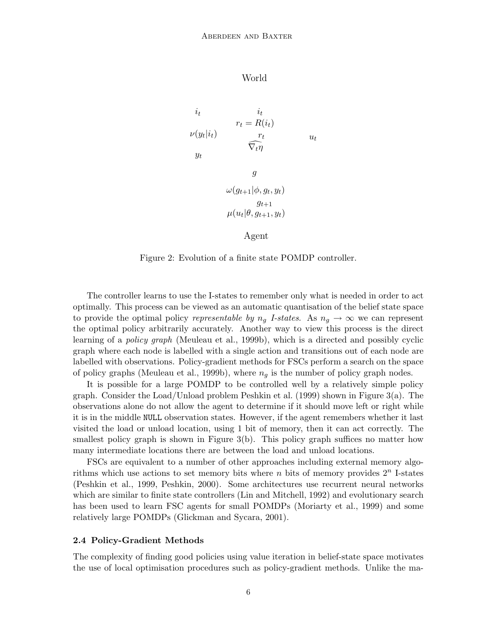## World

$$
i_t \t r_t = R(i_t)
$$
  
\n
$$
\nu(y_t|i_t) \t \overline{\nabla_t \eta} \t u_t
$$
  
\n
$$
y_t \t \overline{\nabla_t \eta}
$$
  
\n
$$
g
$$
  
\n
$$
\omega(g_{t+1}|\phi, g_t, y_t)
$$
  
\n
$$
g_{t+1}
$$
  
\n
$$
\mu(u_t|\theta, g_{t+1}, y_t)
$$

Agent

Figure 2: Evolution of a finite state POMDP controller.

The controller learns to use the I-states to remember only what is needed in order to act optimally. This process can be viewed as an automatic quantisation of the belief state space to provide the optimal policy representable by  $n_q$  I-states. As  $n_q \rightarrow \infty$  we can represent the optimal policy arbitrarily accurately. Another way to view this process is the direct learning of a policy graph (Meuleau et al., 1999b), which is a directed and possibly cyclic graph where each node is labelled with a single action and transitions out of each node are labelled with observations. Policy-gradient methods for FSCs perform a search on the space of policy graphs (Meuleau et al., 1999b), where  $n_q$  is the number of policy graph nodes.

It is possible for a large POMDP to be controlled well by a relatively simple policy graph. Consider the Load/Unload problem Peshkin et al. (1999) shown in Figure 3(a). The observations alone do not allow the agent to determine if it should move left or right while it is in the middle NULL observation states. However, if the agent remembers whether it last visited the load or unload location, using 1 bit of memory, then it can act correctly. The smallest policy graph is shown in Figure  $3(b)$ . This policy graph suffices no matter how many intermediate locations there are between the load and unload locations.

FSCs are equivalent to a number of other approaches including external memory algorithms which use actions to set memory bits where  $n$  bits of memory provides  $2^n$  I-states (Peshkin et al., 1999, Peshkin, 2000). Some architectures use recurrent neural networks which are similar to finite state controllers (Lin and Mitchell, 1992) and evolutionary search has been used to learn FSC agents for small POMDPs (Moriarty et al., 1999) and some relatively large POMDPs (Glickman and Sycara, 2001).

## 2.4 Policy-Gradient Methods

The complexity of finding good policies using value iteration in belief-state space motivates the use of local optimisation procedures such as policy-gradient methods. Unlike the ma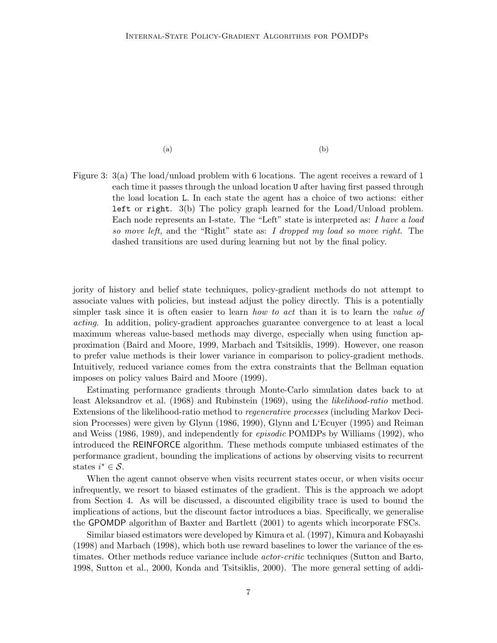$(a)$  (b)

Figure 3: 3(a) The load/unload problem with 6 locations. The agent receives a reward of 1 each time it passes through the unload location U after having first passed through the load location L. In each state the agent has a choice of two actions: either left or right. 3(b) The policy graph learned for the Load/Unload problem. Each node represents an I-state. The "Left" state is interpreted as: I have a load so move left, and the "Right" state as: I dropped my load so move right. The dashed transitions are used during learning but not by the final policy.

jority of history and belief state techniques, policy-gradient methods do not attempt to associate values with policies, but instead adjust the policy directly. This is a potentially simpler task since it is often easier to learn *how to act* than it is to learn the *value of* acting. In addition, policy-gradient approaches guarantee convergence to at least a local maximum whereas value-based methods may diverge, especially when using function approximation (Baird and Moore, 1999, Marbach and Tsitsiklis, 1999). However, one reason to prefer value methods is their lower variance in comparison to policy-gradient methods. Intuitively, reduced variance comes from the extra constraints that the Bellman equation imposes on policy values Baird and Moore (1999).

Estimating performance gradients through Monte-Carlo simulation dates back to at least Aleksandrov et al. (1968) and Rubinstein (1969), using the *likelihood-ratio* method. Extensions of the likelihood-ratio method to regenerative processes (including Markov Decision Processes) were given by Glynn (1986, 1990), Glynn and L'Ecuyer (1995) and Reiman and Weiss (1986, 1989), and independently for episodic POMDPs by Williams (1992), who introduced the REINFORCE algorithm. These methods compute unbiased estimates of the performance gradient, bounding the implications of actions by observing visits to recurrent states  $i^* \in \mathcal{S}$ .

When the agent cannot observe when visits recurrent states occur, or when visits occur infrequently, we resort to biased estimates of the gradient. This is the approach we adopt from Section 4. As will be discussed, a discounted eligibility trace is used to bound the implications of actions, but the discount factor introduces a bias. Specifically, we generalise the GPOMDP algorithm of Baxter and Bartlett (2001) to agents which incorporate FSCs.

Similar biased estimators were developed by Kimura et al. (1997), Kimura and Kobayashi (1998) and Marbach (1998), which both use reward baselines to lower the variance of the estimates. Other methods reduce variance include actor-critic techniques (Sutton and Barto, 1998, Sutton et al., 2000, Konda and Tsitsiklis, 2000). The more general setting of addi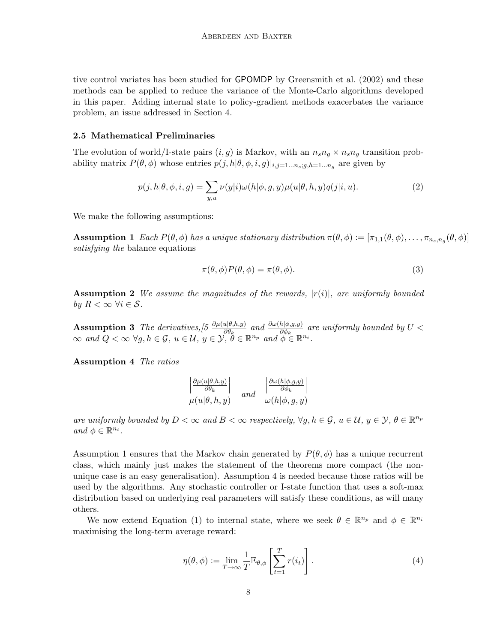tive control variates has been studied for GPOMDP by Greensmith et al. (2002) and these methods can be applied to reduce the variance of the Monte-Carlo algorithms developed in this paper. Adding internal state to policy-gradient methods exacerbates the variance problem, an issue addressed in Section 4.

## 2.5 Mathematical Preliminaries

The evolution of world/I-state pairs  $(i, g)$  is Markov, with an  $n_s n_q \times n_s n_q$  transition probability matrix  $P(\theta, \phi)$  whose entries  $p(j, h | \theta, \phi, i, g)|_{i,j=1...n_s; g, h=1...n_g}$  are given by

$$
p(j,h|\theta,\phi,i,g) = \sum_{y,u} \nu(y|i)\omega(h|\phi,g,y)\mu(u|\theta,h,y)q(j|i,u). \tag{2}
$$

We make the following assumptions:

**Assumption 1** Each  $P(\theta, \phi)$  has a unique stationary distribution  $\pi(\theta, \phi) := [\pi_{1,1}(\theta, \phi), \dots, \pi_{n_s,n_g}(\theta, \phi)]$ satisfying the balance equations

$$
\pi(\theta,\phi)P(\theta,\phi) = \pi(\theta,\phi). \tag{3}
$$

**Assumption 2** We assume the magnitudes of the rewards,  $|r(i)|$ , are uniformly bounded by  $R < \infty \ \forall i \in \mathcal{S}$ .

**Assumption 3** The derivatives,  $[5 \frac{\partial \mu(u|\theta,h,y)}{\partial \theta_k} ]$  and  $\frac{\partial \omega(h|\phi,g,y)}{\partial \phi_k}$  are uniformly bounded by  $U <$  $\infty$  and  $Q < \infty$   $\forall g, h \in \mathcal{G}$ ,  $u \in \mathcal{U}$ ,  $y \in \mathcal{Y}, \overset{\sim}{\theta} \in \mathbb{R}^{n_p}$  and  $\overset{\sim}{\phi} \in \mathbb{R}^{n_i}$ .

Assumption 4 The ratios

$$
\frac{\left|\frac{\partial \mu(u|\theta,h,y)}{\partial \theta_k}\right|}{\mu(u|\theta,h,y)} \quad \text{and} \quad \frac{\left|\frac{\partial \omega(h|\phi,g,y)}{\partial \phi_k}\right|}{\omega(h|\phi,g,y)}
$$

are uniformly bounded by  $D < \infty$  and  $B < \infty$  respectively,  $\forall g, h \in \mathcal{G}$ ,  $u \in \mathcal{U}$ ,  $y \in \mathcal{Y}$ ,  $\theta \in \mathbb{R}^{n_p}$ and  $\phi \in \mathbb{R}^{n_i}$ .

Assumption 1 ensures that the Markov chain generated by  $P(\theta, \phi)$  has a unique recurrent class, which mainly just makes the statement of the theorems more compact (the nonunique case is an easy generalisation). Assumption 4 is needed because those ratios will be used by the algorithms. Any stochastic controller or I-state function that uses a soft-max distribution based on underlying real parameters will satisfy these conditions, as will many others.

We now extend Equation (1) to internal state, where we seek  $\theta \in \mathbb{R}^{n_p}$  and  $\phi \in \mathbb{R}^{n_i}$ maximising the long-term average reward:

$$
\eta(\theta,\phi) := \lim_{T \to \infty} \frac{1}{T} \mathbb{E}_{\theta,\phi} \left[ \sum_{t=1}^{T} r(i_t) \right]. \tag{4}
$$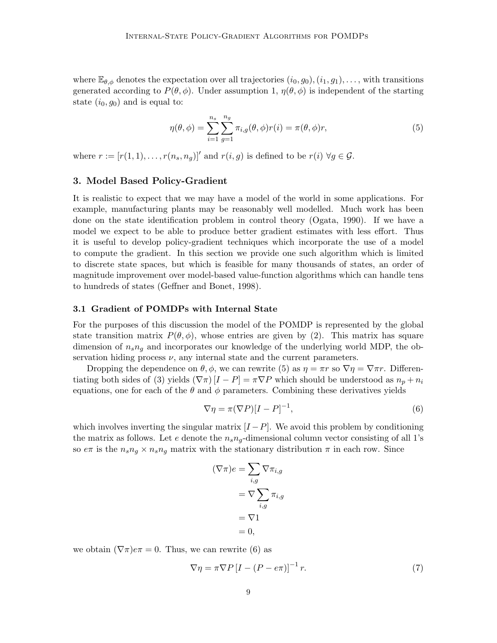where  $\mathbb{E}_{\theta,\phi}$  denotes the expectation over all trajectories  $(i_0, g_0), (i_1, g_1), \ldots$ , with transitions generated according to  $P(\theta, \phi)$ . Under assumption 1,  $\eta(\theta, \phi)$  is independent of the starting state  $(i_0, g_0)$  and is equal to:

$$
\eta(\theta,\phi) = \sum_{i=1}^{n_s} \sum_{g=1}^{n_g} \pi_{i,g}(\theta,\phi)r(i) = \pi(\theta,\phi)r,
$$
\n(5)

where  $r := [r(1, 1), \ldots, r(n_s, n_g)]'$  and  $r(i, g)$  is defined to be  $r(i) \,\forall g \in \mathcal{G}$ .

## 3. Model Based Policy-Gradient

It is realistic to expect that we may have a model of the world in some applications. For example, manufacturing plants may be reasonably well modelled. Much work has been done on the state identification problem in control theory (Ogata, 1990). If we have a model we expect to be able to produce better gradient estimates with less effort. Thus it is useful to develop policy-gradient techniques which incorporate the use of a model to compute the gradient. In this section we provide one such algorithm which is limited to discrete state spaces, but which is feasible for many thousands of states, an order of magnitude improvement over model-based value-function algorithms which can handle tens to hundreds of states (Geffner and Bonet, 1998).

## 3.1 Gradient of POMDPs with Internal State

For the purposes of this discussion the model of the POMDP is represented by the global state transition matrix  $P(\theta, \phi)$ , whose entries are given by (2). This matrix has square dimension of  $n_s n_q$  and incorporates our knowledge of the underlying world MDP, the observation hiding process  $\nu$ , any internal state and the current parameters.

Dropping the dependence on  $\theta$ ,  $\phi$ , we can rewrite (5) as  $\eta = \pi r$  so  $\nabla \eta = \nabla \pi r$ . Differentiating both sides of (3) yields  $(\nabla \pi)[I - P] = \pi \nabla P$  which should be understood as  $n_p + n_i$ equations, one for each of the  $\theta$  and  $\phi$  parameters. Combining these derivatives yields

$$
\nabla \eta = \pi (\nabla P)[I - P]^{-1},\tag{6}
$$

which involves inverting the singular matrix  $[I - P]$ . We avoid this problem by conditioning the matrix as follows. Let e denote the  $n_s n_q$ -dimensional column vector consisting of all 1's so  $e\pi$  is the  $n_s n_q \times n_s n_q$  matrix with the stationary distribution  $\pi$  in each row. Since

$$
(\nabla \pi)e = \sum_{i,g} \nabla \pi_{i,g}
$$

$$
= \nabla \sum_{i,g} \pi_{i,g}
$$

$$
= \nabla 1
$$

$$
= 0,
$$

we obtain  $(\nabla \pi) e \pi = 0$ . Thus, we can rewrite (6) as

$$
\nabla \eta = \pi \nabla P \left[ I - (P - e\pi) \right]^{-1} r. \tag{7}
$$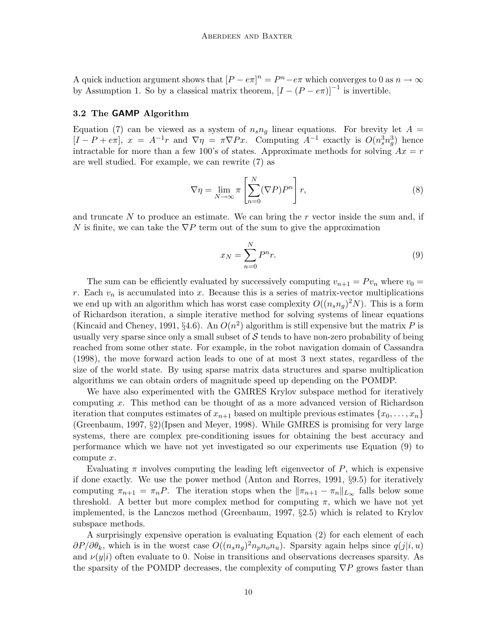A quick induction argument shows that  $[P - e\pi]^n = P^n - e\pi$  which converges to 0 as  $n \to \infty$ by Assumption 1. So by a classical matrix theorem,  $[I - (P - e\pi)]^{-1}$  is invertible.

#### 3.2 The GAMP Algorithm

Equation (7) can be viewed as a system of  $n_s n_q$  linear equations. For brevity let  $A =$  $[I - P + e\pi], x = A^{-1}r$  and  $\nabla \eta = \pi \nabla Px$ . Computing  $A^{-1}$  exactly is  $O(n_s^3 n_g^3)$  hence intractable for more than a few 100's of states. Approximate methods for solving  $Ax = r$ are well studied. For example, we can rewrite (7) as

$$
\nabla \eta = \lim_{N \to \infty} \pi \left[ \sum_{n=0}^{N} (\nabla P) P^{n} \right] r,
$$
\n(8)

and truncate N to produce an estimate. We can bring the  $r$  vector inside the sum and, if N is finite, we can take the  $\nabla P$  term out of the sum to give the approximation

$$
x_N = \sum_{n=0}^N P^n r.
$$
\n<sup>(9)</sup>

The sum can be efficiently evaluated by successively computing  $v_{n+1} = Pv_n$  where  $v_0 =$ r. Each  $v_n$  is accumulated into x. Because this is a series of matrix-vector multiplications we end up with an algorithm which has worst case complexity  $O((n_s n_g)^2 N)$ . This is a form of Richardson iteration, a simple iterative method for solving systems of linear equations (Kincaid and Cheney, 1991, §4.6). An  $O(n^2)$  algorithm is still expensive but the matrix P is usually very sparse since only a small subset of  $\mathcal S$  tends to have non-zero probability of being reached from some other state. For example, in the robot navigation domain of Cassandra (1998), the move forward action leads to one of at most 3 next states, regardless of the size of the world state. By using sparse matrix data structures and sparse multiplication algorithms we can obtain orders of magnitude speed up depending on the POMDP.

We have also experimented with the GMRES Krylov subspace method for iteratively computing x. This method can be thought of as a more advanced version of Richardson iteration that computes estimates of  $x_{n+1}$  based on multiple previous estimates  $\{x_0, \ldots, x_n\}$ (Greenbaum, 1997, §2)(Ipsen and Meyer, 1998). While GMRES is promising for very large systems, there are complex pre-conditioning issues for obtaining the best accuracy and performance which we have not yet investigated so our experiments use Equation (9) to compute x.

Evaluating  $\pi$  involves computing the leading left eigenvector of P, which is expensive if done exactly. We use the power method (Anton and Rorres, 1991, §9.5) for iteratively computing  $\pi_{n+1} = \pi_n P$ . The iteration stops when the  $\|\pi_{n+1} - \pi_n\|_{L_\infty}$  falls below some threshold. A better but more complex method for computing  $\pi$ , which we have not yet implemented, is the Lanczos method (Greenbaum, 1997, §2.5) which is related to Krylov subspace methods.

A surprisingly expensive operation is evaluating Equation (2) for each element of each  $\partial P/\partial \theta_k$ , which is in the worst case  $O((n_s n_g)^2 n_p n_o n_u)$ . Sparsity again helps since  $q(j|i, u)$ and  $\nu(y|i)$  often evaluate to 0. Noise in transitions and observations decreases sparsity. As the sparsity of the POMDP decreases, the complexity of computing  $\nabla P$  grows faster than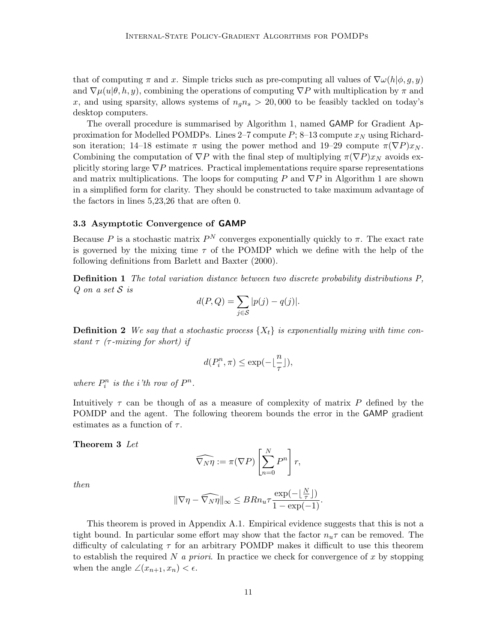that of computing  $\pi$  and x. Simple tricks such as pre-computing all values of  $\nabla\omega(h|\phi, g, y)$ and  $\nabla \mu(u|\theta, h, y)$ , combining the operations of computing  $\nabla P$  with multiplication by  $\pi$  and x, and using sparsity, allows systems of  $n_q n_s > 20,000$  to be feasibly tackled on today's desktop computers.

The overall procedure is summarised by Algorithm 1, named GAMP for Gradient Approximation for Modelled POMDPs. Lines 2–7 compute P; 8–13 compute  $x_N$  using Richardson iteration; 14–18 estimate  $\pi$  using the power method and 19–29 compute  $\pi(\nabla P)x_N$ . Combining the computation of  $\nabla P$  with the final step of multiplying  $\pi(\nabla P)x_N$  avoids explicitly storing large  $\nabla P$  matrices. Practical implementations require sparse representations and matrix multiplications. The loops for computing P and  $\nabla P$  in Algorithm 1 are shown in a simplified form for clarity. They should be constructed to take maximum advantage of the factors in lines 5,23,26 that are often 0.

## 3.3 Asymptotic Convergence of GAMP

Because P is a stochastic matrix  $P^N$  converges exponentially quickly to  $\pi$ . The exact rate is governed by the mixing time  $\tau$  of the POMDP which we define with the help of the following definitions from Barlett and Baxter (2000).

Definition 1 The total variation distance between two discrete probability distributions P,  $Q$  on a set  $S$  is

$$
d(P,Q) = \sum_{j \in S} |p(j) - q(j)|.
$$

**Definition 2** We say that a stochastic process  $\{X_t\}$  is exponentially mixing with time constant  $\tau$  ( $\tau$ -mixing for short) if

$$
d(P_i^n,\pi)\leq \exp(-\lfloor\frac{n}{\tau}\rfloor),
$$

where  $P_i^n$  is the *i*'th row of  $P^n$ .

Intuitively  $\tau$  can be though of as a measure of complexity of matrix P defined by the POMDP and the agent. The following theorem bounds the error in the GAMP gradient estimates as a function of  $\tau$ .

#### Theorem 3 Let

$$
\widehat{\nabla_N \eta} := \pi(\nabla P) \left[ \sum_{n=0}^N P^n \right] r,
$$

then

$$
\|\nabla \eta - \widehat{\nabla_N \eta}\|_{\infty} \leq BRn_u \tau \frac{\exp(-\lfloor \frac{N}{\tau}\rfloor)}{1 - \exp(-1)}.
$$

This theorem is proved in Appendix A.1. Empirical evidence suggests that this is not a tight bound. In particular some effort may show that the factor  $n_{\mathbf{u}}\tau$  can be removed. The difficulty of calculating  $\tau$  for an arbitrary POMDP makes it difficult to use this theorem to establish the required N a priori. In practice we check for convergence of x by stopping when the angle  $\angle(x_{n+1}, x_n) < \epsilon$ .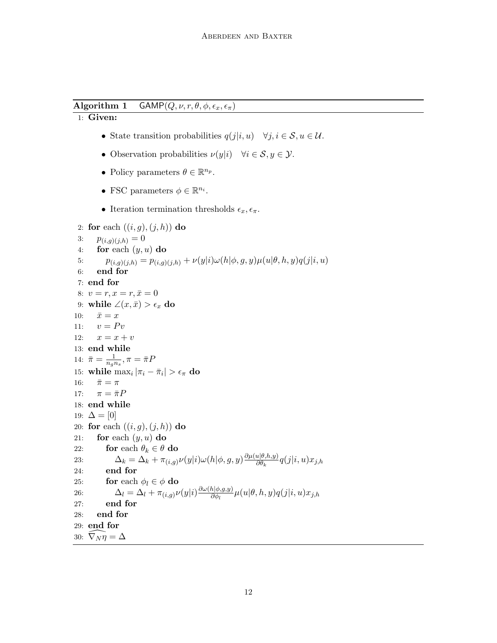Algorithm 1 GAMP $(Q, \nu, r, \theta, \phi, \epsilon_x, \epsilon_\pi)$ 

1: Given:

- State transition probabilities  $q(j|i, u) \quad \forall j, i \in \mathcal{S}, u \in \mathcal{U}$ .
- Observation probabilities  $\nu(y|i)$   $\forall i \in \mathcal{S}, y \in \mathcal{Y}$ .
- Policy parameters  $\theta \in \mathbb{R}^{n_p}$ .
- FSC parameters  $\phi \in \mathbb{R}^{n_i}$ .
- Iteration termination thresholds  $\epsilon_x, \epsilon_\pi$ .

```
2: for each ((i, g), (j, h)) do
 3: p_{(i,g)(j,h)} = 04: for each (y, u) do
 5: p_{(i,g)(j,h)} = p_{(i,g)(j,h)} + \nu(y|i)\omega(h|\phi, g, y)\mu(u|\theta, h, y)q(j|i, u)6: end for
 7: end for
 8: v = r, x = r, \bar{x} = 09: while ∠(x, \bar{x}) > \epsilon_x do
10: \bar{x} = x11: v = Pv12: x = x + v13: end while
14: \bar{\pi} = \frac{1}{n-1}\frac{1}{n_{g}n_{s}},\pi=\bar{\pi}P15: while \max_i |\pi_i - \bar{\pi}_i| > \epsilon_{\pi} do
16: \bar{\pi} = \pi17: \pi = \bar{\pi}P18: end while
19: \Delta = [0]20: for each ((i, g), (j, h)) do
21: for each (y, u) do
22: for each \theta_k \in \theta do
23: \Delta_k = \Delta_k + \pi_{(i,g)} \nu(y|i) \omega(h|\phi, g, y) \frac{\partial \mu(u|\theta, h, y)}{\partial \theta_k}\frac{u(\theta,h,y)}{\partial \theta_k} q(j|i,u) x_{j,h}24: end for
25: for each \phi_l \in \phi do
26: \Delta_l = \Delta_l + \pi_{(i,g)} \nu(y|i) \frac{\partial \omega(h|\phi,g,y)}{\partial \phi_l}\frac{\partial h[\phi, g, y)}{\partial \phi_l} \mu(u|\theta, h, y) q(j|i, u) x_{j, h}27: end for
28: end for
29: end for
30: \nabla_N \eta = \Delta
```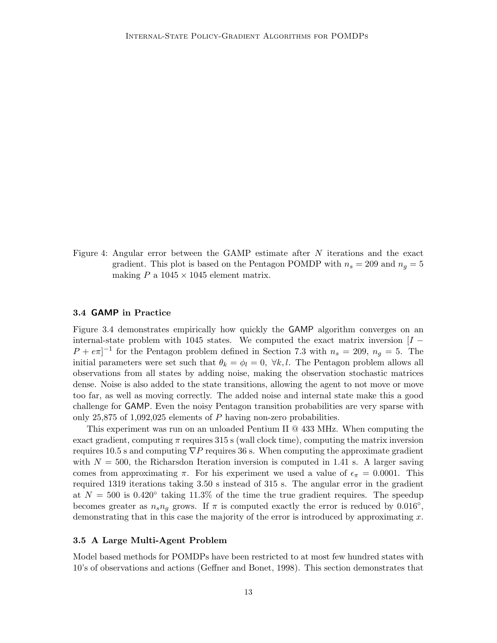Figure 4: Angular error between the GAMP estimate after N iterations and the exact gradient. This plot is based on the Pentagon POMDP with  $n_s = 209$  and  $n_q = 5$ making  $P$  a  $1045 \times 1045$  element matrix.

## 3.4 GAMP in Practice

Figure 3.4 demonstrates empirically how quickly the GAMP algorithm converges on an internal-state problem with 1045 states. We computed the exact matrix inversion  $[I -]$  $P + e\pi$ <sup>-1</sup> for the Pentagon problem defined in Section 7.3 with  $n_s = 209$ ,  $n_g = 5$ . The initial parameters were set such that  $\theta_k = \phi_l = 0$ ,  $\forall k, l$ . The Pentagon problem allows all observations from all states by adding noise, making the observation stochastic matrices dense. Noise is also added to the state transitions, allowing the agent to not move or move too far, as well as moving correctly. The added noise and internal state make this a good challenge for GAMP. Even the noisy Pentagon transition probabilities are very sparse with only 25,875 of 1,092,025 elements of  $P$  having non-zero probabilities.

This experiment was run on an unloaded Pentium II @ 433 MHz. When computing the exact gradient, computing  $\pi$  requires 315 s (wall clock time), computing the matrix inversion requires 10.5 s and computing  $\nabla P$  requires 36 s. When computing the approximate gradient with  $N = 500$ , the Richarsdon Iteration inversion is computed in 1.41 s. A larger saving comes from approximating  $\pi$ . For his experiment we used a value of  $\epsilon_{\pi} = 0.0001$ . This required 1319 iterations taking 3.50 s instead of 315 s. The angular error in the gradient at  $N = 500$  is 0.420° taking 11.3% of the time the true gradient requires. The speedup becomes greater as  $n_s n_g$  grows. If  $\pi$  is computed exactly the error is reduced by 0.016°, demonstrating that in this case the majority of the error is introduced by approximating  $x$ .

#### 3.5 A Large Multi-Agent Problem

Model based methods for POMDPs have been restricted to at most few hundred states with 10's of observations and actions (Geffner and Bonet, 1998). This section demonstrates that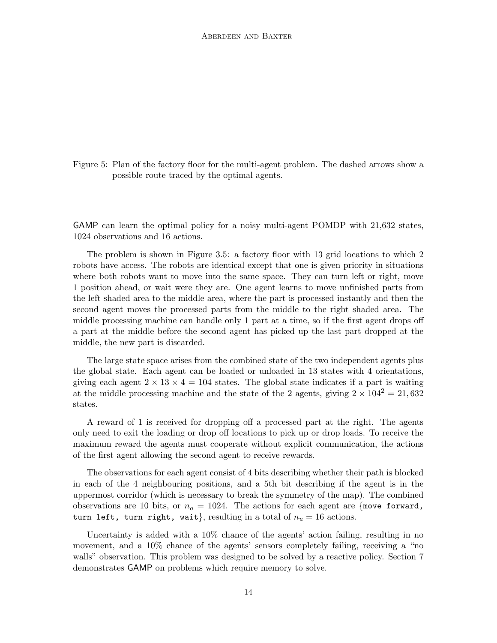Figure 5: Plan of the factory floor for the multi-agent problem. The dashed arrows show a possible route traced by the optimal agents.

GAMP can learn the optimal policy for a noisy multi-agent POMDP with 21,632 states, 1024 observations and 16 actions.

The problem is shown in Figure 3.5: a factory floor with 13 grid locations to which 2 robots have access. The robots are identical except that one is given priority in situations where both robots want to move into the same space. They can turn left or right, move 1 position ahead, or wait were they are. One agent learns to move unfinished parts from the left shaded area to the middle area, where the part is processed instantly and then the second agent moves the processed parts from the middle to the right shaded area. The middle processing machine can handle only 1 part at a time, so if the first agent drops off a part at the middle before the second agent has picked up the last part dropped at the middle, the new part is discarded.

The large state space arises from the combined state of the two independent agents plus the global state. Each agent can be loaded or unloaded in 13 states with 4 orientations, giving each agent  $2 \times 13 \times 4 = 104$  states. The global state indicates if a part is waiting at the middle processing machine and the state of the 2 agents, giving  $2 \times 104^2 = 21,632$ states.

A reward of 1 is received for dropping off a processed part at the right. The agents only need to exit the loading or drop off locations to pick up or drop loads. To receive the maximum reward the agents must cooperate without explicit communication, the actions of the first agent allowing the second agent to receive rewards.

The observations for each agent consist of 4 bits describing whether their path is blocked in each of the 4 neighbouring positions, and a 5th bit describing if the agent is in the uppermost corridor (which is necessary to break the symmetry of the map). The combined observations are 10 bits, or  $n<sub>o</sub> = 1024$ . The actions for each agent are {move forward, turn left, turn right, wait}, resulting in a total of  $n_u = 16$  actions.

Uncertainty is added with a 10% chance of the agents' action failing, resulting in no movement, and a 10% chance of the agents' sensors completely failing, receiving a "no walls" observation. This problem was designed to be solved by a reactive policy. Section 7 demonstrates GAMP on problems which require memory to solve.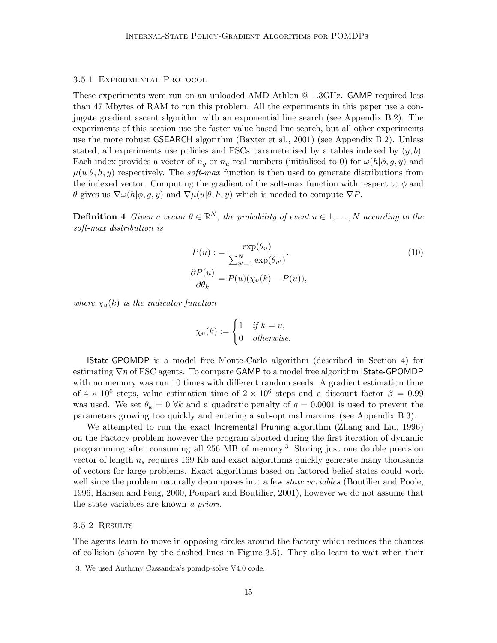## 3.5.1 EXPERIMENTAL PROTOCOL

These experiments were run on an unloaded AMD Athlon @ 1.3GHz. GAMP required less than 47 Mbytes of RAM to run this problem. All the experiments in this paper use a conjugate gradient ascent algorithm with an exponential line search (see Appendix B.2). The experiments of this section use the faster value based line search, but all other experiments use the more robust GSEARCH algorithm (Baxter et al., 2001) (see Appendix B.2). Unless stated, all experiments use policies and FSCs parameterised by a tables indexed by  $(y, b)$ . Each index provides a vector of  $n_q$  or  $n_u$  real numbers (initialised to 0) for  $\omega(h|\phi, q, y)$  and  $\mu(u|\theta, h, y)$  respectively. The *soft-max* function is then used to generate distributions from the indexed vector. Computing the gradient of the soft-max function with respect to  $\phi$  and θ gives us  $\nabla\omega(h|\phi, q, y)$  and  $\nabla\mu(u|\theta, h, y)$  which is needed to compute  $\nabla P$ .

**Definition 4** Given a vector  $\theta \in \mathbb{R}^N$ , the probability of event  $u \in 1, \ldots, N$  according to the soft-max distribution is

$$
P(u) := \frac{\exp(\theta_u)}{\sum_{u'=1}^N \exp(\theta_{u'})}.
$$
  
\n
$$
\frac{\partial P(u)}{\partial \theta_k} = P(u)(\chi_u(k) - P(u)),
$$
\n(10)

where  $\chi_u(k)$  is the indicator function

$$
\chi_u(k) := \begin{cases} 1 & \text{if } k = u, \\ 0 & \text{otherwise.} \end{cases}
$$

IState-GPOMDP is a model free Monte-Carlo algorithm (described in Section 4) for estimating  $\nabla \eta$  of FSC agents. To compare GAMP to a model free algorithm **State-GPOMDP** with no memory was run 10 times with different random seeds. A gradient estimation time of  $4 \times 10^6$  steps, value estimation time of  $2 \times 10^6$  steps and a discount factor  $\beta = 0.99$ was used. We set  $\theta_k = 0$   $\forall k$  and a quadratic penalty of  $q = 0.0001$  is used to prevent the parameters growing too quickly and entering a sub-optimal maxima (see Appendix B.3).

We attempted to run the exact Incremental Pruning algorithm (Zhang and Liu, 1996) on the Factory problem however the program aborted during the first iteration of dynamic programming after consuming all 256 MB of memory.<sup>3</sup> Storing just one double precision vector of length  $n_s$  requires 169 Kb and exact algorithms quickly generate many thousands of vectors for large problems. Exact algorithms based on factored belief states could work well since the problem naturally decomposes into a few *state variables* (Boutilier and Poole, 1996, Hansen and Feng, 2000, Poupart and Boutilier, 2001), however we do not assume that the state variables are known a priori.

#### 3.5.2 Results

The agents learn to move in opposing circles around the factory which reduces the chances of collision (shown by the dashed lines in Figure 3.5). They also learn to wait when their

<sup>3.</sup> We used Anthony Cassandra's pomdp-solve V4.0 code.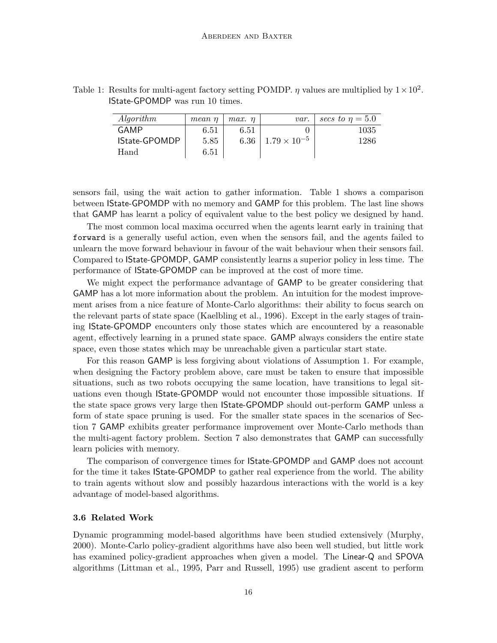| Algorithm            | mean n | $max.$ $\eta$ | var.                       | secs to $\eta = 5.0$ |
|----------------------|--------|---------------|----------------------------|----------------------|
| GAMP                 | 6.51   | 6.51          |                            | 1035                 |
| <b>IState-GPOMDP</b> | 5.85   |               | 6.36 $1.79 \times 10^{-5}$ | 1286                 |
| Hand                 | 6.51   |               |                            |                      |

Table 1: Results for multi-agent factory setting POMDP.  $\eta$  values are multiplied by  $1 \times 10^2$ . IState-GPOMDP was run 10 times.

sensors fail, using the wait action to gather information. Table 1 shows a comparison between IState-GPOMDP with no memory and GAMP for this problem. The last line shows that GAMP has learnt a policy of equivalent value to the best policy we designed by hand.

The most common local maxima occurred when the agents learnt early in training that forward is a generally useful action, even when the sensors fail, and the agents failed to unlearn the move forward behaviour in favour of the wait behaviour when their sensors fail. Compared to IState-GPOMDP, GAMP consistently learns a superior policy in less time. The performance of IState-GPOMDP can be improved at the cost of more time.

We might expect the performance advantage of GAMP to be greater considering that GAMP has a lot more information about the problem. An intuition for the modest improvement arises from a nice feature of Monte-Carlo algorithms: their ability to focus search on the relevant parts of state space (Kaelbling et al., 1996). Except in the early stages of training IState-GPOMDP encounters only those states which are encountered by a reasonable agent, effectively learning in a pruned state space. GAMP always considers the entire state space, even those states which may be unreachable given a particular start state.

For this reason GAMP is less forgiving about violations of Assumption 1. For example, when designing the Factory problem above, care must be taken to ensure that impossible situations, such as two robots occupying the same location, have transitions to legal situations even though IState-GPOMDP would not encounter those impossible situations. If the state space grows very large then IState-GPOMDP should out-perform GAMP unless a form of state space pruning is used. For the smaller state spaces in the scenarios of Section 7 GAMP exhibits greater performance improvement over Monte-Carlo methods than the multi-agent factory problem. Section 7 also demonstrates that GAMP can successfully learn policies with memory.

The comparison of convergence times for IState-GPOMDP and GAMP does not account for the time it takes IState-GPOMDP to gather real experience from the world. The ability to train agents without slow and possibly hazardous interactions with the world is a key advantage of model-based algorithms.

#### 3.6 Related Work

Dynamic programming model-based algorithms have been studied extensively (Murphy, 2000). Monte-Carlo policy-gradient algorithms have also been well studied, but little work has examined policy-gradient approaches when given a model. The Linear-Q and SPOVA algorithms (Littman et al., 1995, Parr and Russell, 1995) use gradient ascent to perform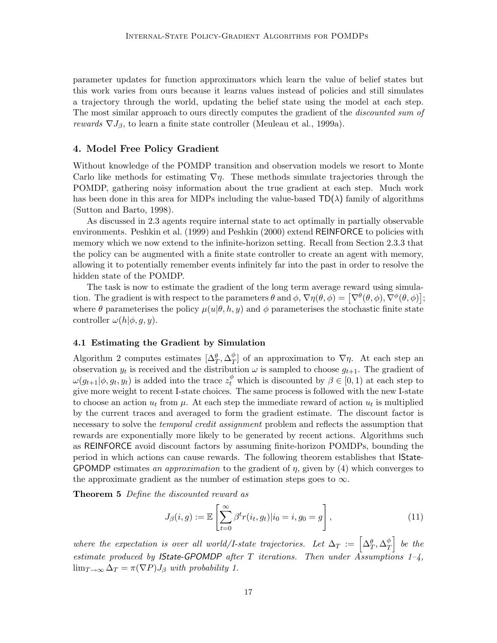parameter updates for function approximators which learn the value of belief states but this work varies from ours because it learns values instead of policies and still simulates a trajectory through the world, updating the belief state using the model at each step. The most similar approach to ours directly computes the gradient of the *discounted sum of* rewards  $\nabla J_{\beta}$ , to learn a finite state controller (Meuleau et al., 1999a).

## 4. Model Free Policy Gradient

Without knowledge of the POMDP transition and observation models we resort to Monte Carlo like methods for estimating  $\nabla \eta$ . These methods simulate trajectories through the POMDP, gathering noisy information about the true gradient at each step. Much work has been done in this area for MDPs including the value-based  $TD(\lambda)$  family of algorithms (Sutton and Barto, 1998).

As discussed in 2.3 agents require internal state to act optimally in partially observable environments. Peshkin et al. (1999) and Peshkin (2000) extend REINFORCE to policies with memory which we now extend to the infinite-horizon setting. Recall from Section 2.3.3 that the policy can be augmented with a finite state controller to create an agent with memory, allowing it to potentially remember events infinitely far into the past in order to resolve the hidden state of the POMDP.

The task is now to estimate the gradient of the long term average reward using simulation. The gradient is with respect to the parameters  $\theta$  and  $\phi$ ,  $\nabla \eta$  $(\theta, \phi) = [\nabla^{\theta}(\theta, \phi), \nabla^{\phi}(\theta, \phi)];$ where  $\theta$  parameterises the policy  $\mu(u|\theta, h, y)$  and  $\phi$  parameterises the stochastic finite state controller  $\omega(h|\phi, g, y)$ .

## 4.1 Estimating the Gradient by Simulation

Algorithm 2 computes estimates  $[\Delta_T^{\theta}, \Delta_T^{\phi}]$  $T(T)$  of an approximation to  $\nabla \eta$ . At each step an observation  $y_t$  is received and the distribution  $\omega$  is sampled to choose  $g_{t+1}$ . The gradient of  $\omega(g_{t+1}|\phi, g_t, y_t)$  is added into the trace  $z_t^{\phi}$  which is discounted by  $\beta \in [0, 1)$  at each step to give more weight to recent I-state choices. The same process is followed with the new I-state to choose an action  $u_t$  from  $\mu$ . At each step the immediate reward of action  $u_t$  is multiplied by the current traces and averaged to form the gradient estimate. The discount factor is necessary to solve the *temporal credit assignment* problem and reflects the assumption that rewards are exponentially more likely to be generated by recent actions. Algorithms such as REINFORCE avoid discount factors by assuming finite-horizon POMDPs, bounding the period in which actions can cause rewards. The following theorem establishes that IState-GPOMDP estimates an approximation to the gradient of  $\eta$ , given by (4) which converges to the approximate gradient as the number of estimation steps goes to  $\infty$ .

Theorem 5 Define the discounted reward as

$$
J_{\beta}(i,g) := \mathbb{E}\left[\sum_{t=0}^{\infty} \beta^t r(i_t, g_t) | i_0 = i, g_0 = g\right],
$$
\n(11)

where the expectation is over all world/I-state trajectories. Let  $\Delta_T := \left[ \Delta_T^{\theta}, \Delta_T^{\phi} \right]$  $\frac{\phi}{T}$  be the estimate produced by IState-GPOMDP after T iterations. Then under Assumptions 1-4,  $\lim_{T\to\infty}\Delta_T = \pi(\nabla P)J_\beta$  with probability 1.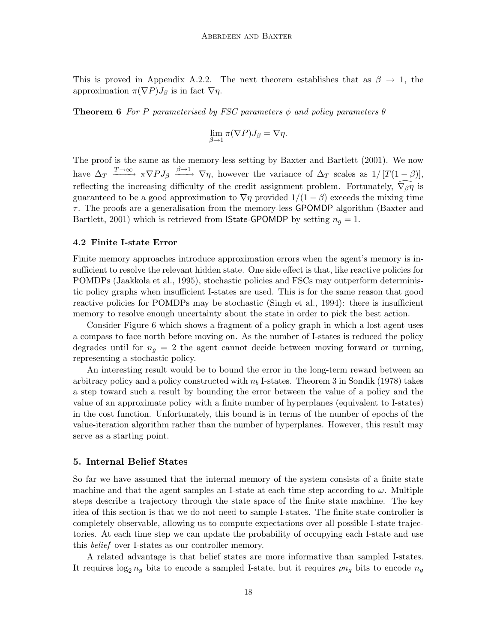This is proved in Appendix A.2.2. The next theorem establishes that as  $\beta \rightarrow 1$ , the approximation  $\pi(\nabla P)J_{\beta}$  is in fact  $\nabla \eta$ .

**Theorem 6** For P parameterised by FSC parameters  $\phi$  and policy parameters  $\theta$ 

$$
\lim_{\beta \to 1} \pi(\nabla P) J_{\beta} = \nabla \eta.
$$

The proof is the same as the memory-less setting by Baxter and Bartlett (2001). We now have  $\Delta_T \xrightarrow{T \to \infty} \pi \nabla P J_\beta \xrightarrow{\beta \to 1} \nabla \eta$ , however the variance of  $\Delta_T$  scales as  $1/[T(1-\beta)],$ reflecting the increasing difficulty of the credit assignment problem. Fortunately,  $\widehat{\nabla_\beta \eta}$  is guaranteed to be a good approximation to  $\nabla \eta$  provided  $1/(1 - \beta)$  exceeds the mixing time  $\tau$ . The proofs are a generalisation from the memory-less GPOMDP algorithm (Baxter and Bartlett, 2001) which is retrieved from **State-GPOMDP** by setting  $n_q = 1$ .

#### 4.2 Finite I-state Error

Finite memory approaches introduce approximation errors when the agent's memory is insufficient to resolve the relevant hidden state. One side effect is that, like reactive policies for POMDPs (Jaakkola et al., 1995), stochastic policies and FSCs may outperform deterministic policy graphs when insufficient I-states are used. This is for the same reason that good reactive policies for POMDPs may be stochastic (Singh et al., 1994): there is insufficient memory to resolve enough uncertainty about the state in order to pick the best action.

Consider Figure 6 which shows a fragment of a policy graph in which a lost agent uses a compass to face north before moving on. As the number of I-states is reduced the policy degrades until for  $n<sub>g</sub> = 2$  the agent cannot decide between moving forward or turning, representing a stochastic policy.

An interesting result would be to bound the error in the long-term reward between an arbitrary policy and a policy constructed with  $n_b$  I-states. Theorem 3 in Sondik (1978) takes a step toward such a result by bounding the error between the value of a policy and the value of an approximate policy with a finite number of hyperplanes (equivalent to I-states) in the cost function. Unfortunately, this bound is in terms of the number of epochs of the value-iteration algorithm rather than the number of hyperplanes. However, this result may serve as a starting point.

#### 5. Internal Belief States

So far we have assumed that the internal memory of the system consists of a finite state machine and that the agent samples an I-state at each time step according to  $\omega$ . Multiple steps describe a trajectory through the state space of the finite state machine. The key idea of this section is that we do not need to sample I-states. The finite state controller is completely observable, allowing us to compute expectations over all possible I-state trajectories. At each time step we can update the probability of occupying each I-state and use this belief over I-states as our controller memory.

A related advantage is that belief states are more informative than sampled I-states. It requires  $\log_2 n_g$  bits to encode a sampled I-state, but it requires  $p_n$  bits to encode  $n_g$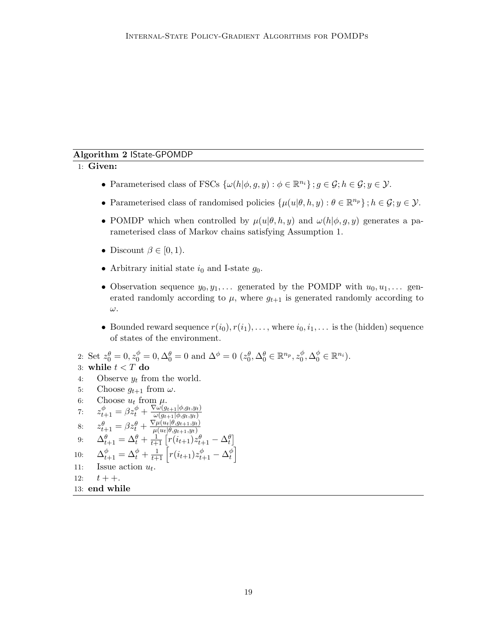## Algorithm 2 IState-GPOMDP

## 1: Given:

- Parameterised class of FSCs  $\{\omega(h|\phi, g, y) : \phi \in \mathbb{R}^{n_i}\}\; ; g \in \mathcal{G}; h \in \mathcal{G}; y \in \mathcal{Y}.$
- Parameterised class of randomised policies  $\{\mu(u|\theta, h, y) : \theta \in \mathbb{R}^{n_p}\}; h \in \mathcal{G}; y \in \mathcal{Y}.$
- POMDP which when controlled by  $\mu(u|\theta, h, y)$  and  $\omega(h|\phi, g, y)$  generates a parameterised class of Markov chains satisfying Assumption 1.
- Discount  $\beta \in [0, 1)$ .
- Arbitrary initial state  $i_0$  and I-state  $g_0$ .
- Observation sequence  $y_0, y_1, \ldots$  generated by the POMDP with  $u_0, u_1, \ldots$  generated randomly according to  $\mu$ , where  $g_{t+1}$  is generated randomly according to ω.
- Bounded reward sequence  $r(i_0), r(i_1), \ldots$ , where  $i_0, i_1, \ldots$  is the (hidden) sequence of states of the environment.

```
2: Set z_0^{\theta} = 0, z_0^{\phi} = 0, \Delta_0^{\theta} = 0 and \Delta^{\phi} = 0 (z_0^{\theta}, \Delta_0^{\theta} \in \mathbb{R}^{n_p}, z_0^{\phi}_0^{\phi}, \Delta_0^{\phi} \in \mathbb{R}^{n_i}).
```
## 3: while  $t < T$  do

- 4: Observe  $y_t$  from the world.
- 5: Choose  $g_{t+1}$  from  $\omega$ .
- 6: Choose  $u_t$  from  $\mu$ .
- 7:  $z_{t+1}^{\phi} = \beta z_t^{\phi} + \frac{\nabla \omega(g_{t+1} | \phi, g_t, y_t)}{\omega(g_{t+1} | \phi, q_t, y_t)}$  $\omega(g_{t+1}|\phi, g_t, y_t)$
- 8:  $z_{t+1}^{\theta} = \beta z_t^{\theta} + \frac{\nabla \mu(u_t | \theta, g_{t+1}, y_t)}{\mu(u_t | \theta, g_{t+1}, y_t)}$
- $\mu(u_t|\theta,g_{t+1},y_t)$
- 9:  $\Delta_{t+1}^{\theta} = \Delta_t^{\theta} + \frac{1}{t+1} \left[ r(i_{t+1}) z_{t+1}^{\theta} \Delta_t^{\theta} \right]$  $\left\{ \begin{matrix} \phi \ t \end{matrix} \right\}$
- 10:  $\Delta_{t+1}^{\phi} = \Delta_t^{\phi} + \frac{1}{t+1} \left[ r(i_{t+1}) z_{t+1}^{\phi} \Delta_t^{\phi} \right]$ 11: Issue action  $u_t$ .
- 12:  $t + +$ .

```
13: end while
```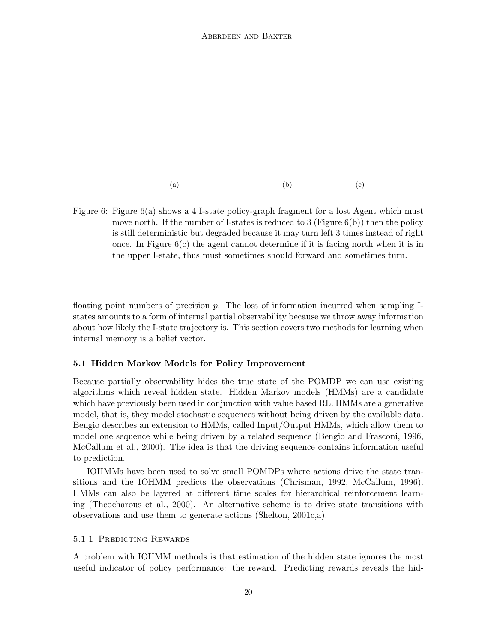(a)  $(a)$  (b)  $(c)$ 

Figure 6: Figure 6(a) shows a 4 I-state policy-graph fragment for a lost Agent which must move north. If the number of I-states is reduced to 3 (Figure  $6(b)$ ) then the policy is still deterministic but degraded because it may turn left 3 times instead of right once. In Figure  $6(c)$  the agent cannot determine if it is facing north when it is in the upper I-state, thus must sometimes should forward and sometimes turn.

floating point numbers of precision p. The loss of information incurred when sampling Istates amounts to a form of internal partial observability because we throw away information about how likely the I-state trajectory is. This section covers two methods for learning when internal memory is a belief vector.

## 5.1 Hidden Markov Models for Policy Improvement

Because partially observability hides the true state of the POMDP we can use existing algorithms which reveal hidden state. Hidden Markov models (HMMs) are a candidate which have previously been used in conjunction with value based RL. HMMs are a generative model, that is, they model stochastic sequences without being driven by the available data. Bengio describes an extension to HMMs, called Input/Output HMMs, which allow them to model one sequence while being driven by a related sequence (Bengio and Frasconi, 1996, McCallum et al., 2000). The idea is that the driving sequence contains information useful to prediction.

IOHMMs have been used to solve small POMDPs where actions drive the state transitions and the IOHMM predicts the observations (Chrisman, 1992, McCallum, 1996). HMMs can also be layered at different time scales for hierarchical reinforcement learning (Theocharous et al., 2000). An alternative scheme is to drive state transitions with observations and use them to generate actions (Shelton, 2001c,a).

## 5.1.1 Predicting Rewards

A problem with IOHMM methods is that estimation of the hidden state ignores the most useful indicator of policy performance: the reward. Predicting rewards reveals the hid-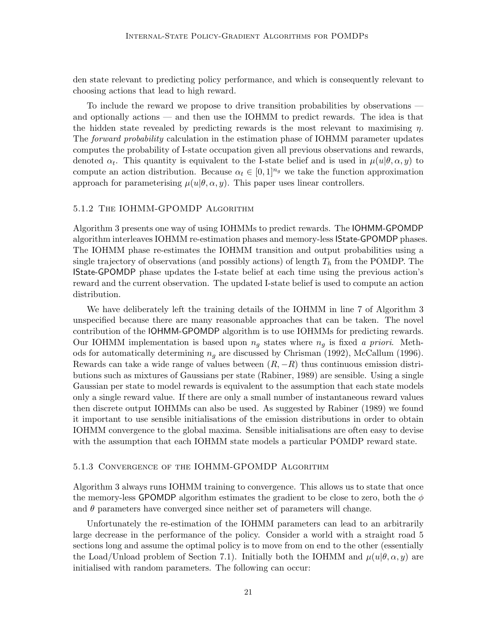den state relevant to predicting policy performance, and which is consequently relevant to choosing actions that lead to high reward.

To include the reward we propose to drive transition probabilities by observations and optionally actions — and then use the IOHMM to predict rewards. The idea is that the hidden state revealed by predicting rewards is the most relevant to maximising  $\eta$ . The *forward probability* calculation in the estimation phase of IOHMM parameter updates computes the probability of I-state occupation given all previous observations and rewards, denoted  $\alpha_t$ . This quantity is equivalent to the I-state belief and is used in  $\mu(u|\theta,\alpha,y)$  to compute an action distribution. Because  $\alpha_t \in [0,1]^{n_g}$  we take the function approximation approach for parameterising  $\mu(u|\theta,\alpha,y)$ . This paper uses linear controllers.

#### 5.1.2 The IOHMM-GPOMDP Algorithm

Algorithm 3 presents one way of using IOHMMs to predict rewards. The IOHMM-GPOMDP algorithm interleaves IOHMM re-estimation phases and memory-less IState-GPOMDP phases. The IOHMM phase re-estimates the IOHMM transition and output probabilities using a single trajectory of observations (and possibly actions) of length  $T_h$  from the POMDP. The IState-GPOMDP phase updates the I-state belief at each time using the previous action's reward and the current observation. The updated I-state belief is used to compute an action distribution.

We have deliberately left the training details of the IOHMM in line 7 of Algorithm 3 unspecified because there are many reasonable approaches that can be taken. The novel contribution of the IOHMM-GPOMDP algorithm is to use IOHMMs for predicting rewards. Our IOHMM implementation is based upon  $n_g$  states where  $n_g$  is fixed a priori. Methods for automatically determining  $n_q$  are discussed by Chrisman (1992), McCallum (1996). Rewards can take a wide range of values between  $(R, -R)$  thus continuous emission distributions such as mixtures of Gaussians per state (Rabiner, 1989) are sensible. Using a single Gaussian per state to model rewards is equivalent to the assumption that each state models only a single reward value. If there are only a small number of instantaneous reward values then discrete output IOHMMs can also be used. As suggested by Rabiner (1989) we found it important to use sensible initialisations of the emission distributions in order to obtain IOHMM convergence to the global maxima. Sensible initialisations are often easy to devise with the assumption that each IOHMM state models a particular POMDP reward state.

#### 5.1.3 Convergence of the IOHMM-GPOMDP Algorithm

Algorithm 3 always runs IOHMM training to convergence. This allows us to state that once the memory-less GPOMDP algorithm estimates the gradient to be close to zero, both the  $\phi$ and  $\theta$  parameters have converged since neither set of parameters will change.

Unfortunately the re-estimation of the IOHMM parameters can lead to an arbitrarily large decrease in the performance of the policy. Consider a world with a straight road 5 sections long and assume the optimal policy is to move from on end to the other (essentially the Load/Unload problem of Section 7.1). Initially both the IOHMM and  $\mu(u|\theta,\alpha,y)$  are initialised with random parameters. The following can occur: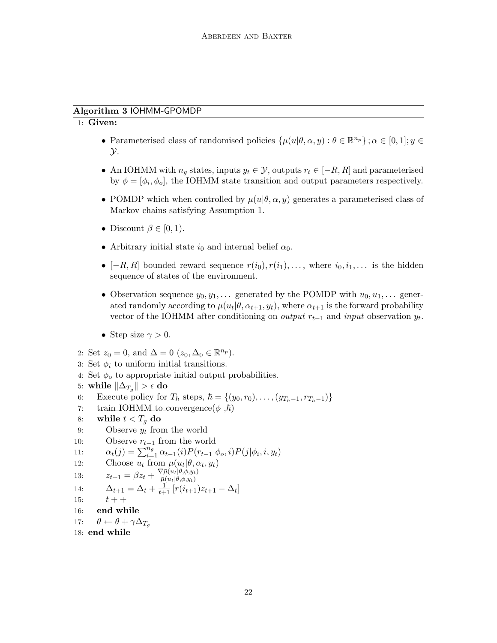## Algorithm 3 IOHMM-GPOMDP

## 1: Given:

- Parameterised class of randomised policies  $\{\mu(u|\theta,\alpha,y): \theta \in \mathbb{R}^{n_p}\}; \alpha \in [0,1]; y \in$  $\mathcal{Y}.$
- An IOHMM with  $n_q$  states, inputs  $y_t \in \mathcal{Y}$ , outputs  $r_t \in [-R, R]$  and parameterised by  $\phi = [\phi_i, \phi_o]$ , the IOHMM state transition and output parameters respectively.
- POMDP which when controlled by  $\mu(u|\theta,\alpha,y)$  generates a parameterised class of Markov chains satisfying Assumption 1.
- Discount  $\beta \in [0, 1)$ .
- Arbitrary initial state  $i_0$  and internal belief  $\alpha_0$ .
- [-R, R] bounded reward sequence  $r(i_0), r(i_1), \ldots$ , where  $i_0, i_1, \ldots$  is the hidden sequence of states of the environment.
- Observation sequence  $y_0, y_1, \ldots$  generated by the POMDP with  $u_0, u_1, \ldots$  generated randomly according to  $\mu(u_t|\theta, \alpha_{t+1}, y_t)$ , where  $\alpha_{t+1}$  is the forward probability vector of the IOHMM after conditioning on *output*  $r_{t-1}$  and *input* observation  $y_t$ .
- Step size  $\gamma > 0$ .
- 2: Set  $z_0 = 0$ , and  $\Delta = 0$   $(z_0, \Delta_0 \in \mathbb{R}^{n_p}).$
- 3: Set  $\phi_i$  to uniform initial transitions.
- 4: Set  $\phi_o$  to appropriate initial output probabilities.
- 5: while  $\|\Delta_{T_g}\| > \epsilon$  do
- 6: Execute policy for  $T_h$  steps,  $\hbar = \{(y_0, r_0), \ldots, (y_{T_h-1}, r_{T_h-1})\}$
- 7: train IOHMM to convergence  $(\phi, \hbar)$
- 8: while  $t < T_q$  do
- 9: Observe  $y_t$  from the world
- 10: Observe  $r_{t-1}$  from the world
- 11:  $\alpha_t(j) = \sum_{i=1}^{n_g} \alpha_{t-1}(i) P(r_{t-1}|\phi_o, i) P(j|\phi_i, i, y_t)$

```
12: Choose \overline{u_t} from \mu(u_t|\theta, \alpha_t, y_t)
```

```
13: z_{t+1} = \beta z_t + \frac{\nabla \bar{\mu}(u_t|\theta, \phi, y_t)}{\bar{\mu}(u_t|\theta, \phi, y_t)}\overline{\overline{\mu}(u_t|\theta,\phi,y_t)}
```
14: 
$$
\Delta_{t+1} = \Delta_t + \frac{1}{t+1} [r(i_{t+1})z_{t+1} - \Delta_t]
$$

15:  $t + +$ 

```
16: end while
```

```
17: \theta \leftarrow \theta + \gamma \Delta_{T_a}18: end while
```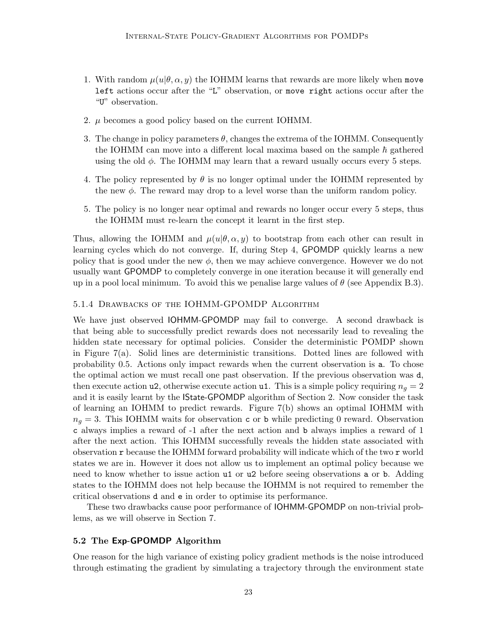- 1. With random  $\mu(u|\theta, \alpha, y)$  the IOHMM learns that rewards are more likely when move left actions occur after the "L" observation, or move right actions occur after the "U" observation.
- 2. µ becomes a good policy based on the current IOHMM.
- 3. The change in policy parameters  $\theta$ , changes the extrema of the IOHMM. Consequently the IOHMM can move into a different local maxima based on the sample  $\hbar$  gathered using the old  $\phi$ . The IOHMM may learn that a reward usually occurs every 5 steps.
- 4. The policy represented by  $\theta$  is no longer optimal under the IOHMM represented by the new  $\phi$ . The reward may drop to a level worse than the uniform random policy.
- 5. The policy is no longer near optimal and rewards no longer occur every 5 steps, thus the IOHMM must re-learn the concept it learnt in the first step.

Thus, allowing the IOHMM and  $\mu(u|\theta,\alpha,y)$  to bootstrap from each other can result in learning cycles which do not converge. If, during Step 4, GPOMDP quickly learns a new policy that is good under the new  $\phi$ , then we may achieve convergence. However we do not usually want GPOMDP to completely converge in one iteration because it will generally end up in a pool local minimum. To avoid this we penalise large values of  $\theta$  (see Appendix B.3).

## 5.1.4 Drawbacks of the IOHMM-GPOMDP Algorithm

We have just observed IOHMM-GPOMDP may fail to converge. A second drawback is that being able to successfully predict rewards does not necessarily lead to revealing the hidden state necessary for optimal policies. Consider the deterministic POMDP shown in Figure 7(a). Solid lines are deterministic transitions. Dotted lines are followed with probability 0.5. Actions only impact rewards when the current observation is a. To chose the optimal action we must recall one past observation. If the previous observation was d, then execute action u2, otherwise execute action u1. This is a simple policy requiring  $n_q = 2$ and it is easily learnt by the IState-GPOMDP algorithm of Section 2. Now consider the task of learning an IOHMM to predict rewards. Figure 7(b) shows an optimal IOHMM with  $n_q = 3$ . This IOHMM waits for observation c or b while predicting 0 reward. Observation c always implies a reward of -1 after the next action and b always implies a reward of 1 after the next action. This IOHMM successfully reveals the hidden state associated with observation r because the IOHMM forward probability will indicate which of the two r world states we are in. However it does not allow us to implement an optimal policy because we need to know whether to issue action u1 or u2 before seeing observations a or b. Adding states to the IOHMM does not help because the IOHMM is not required to remember the critical observations d and e in order to optimise its performance.

These two drawbacks cause poor performance of IOHMM-GPOMDP on non-trivial problems, as we will observe in Section 7.

## 5.2 The Exp-GPOMDP Algorithm

One reason for the high variance of existing policy gradient methods is the noise introduced through estimating the gradient by simulating a trajectory through the environment state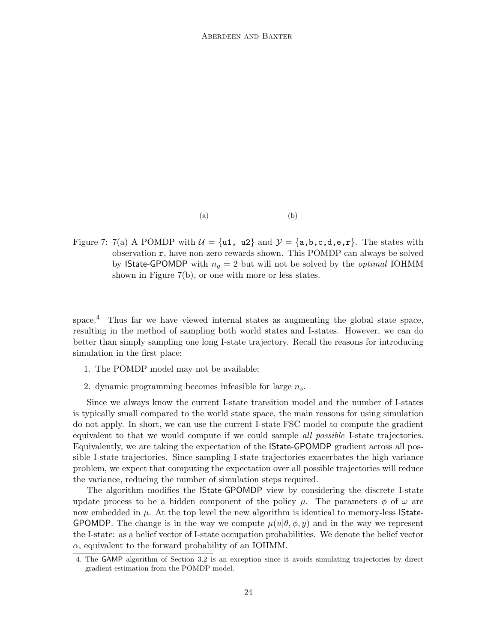$(a)$  (b)

Figure 7: 7(a) A POMDP with  $\mathcal{U} = {\mathfrak{u}_1, \mathfrak{u}_2}$  and  $\mathcal{Y} = {\mathfrak{a}, \mathfrak{b}, \mathfrak{c}, \mathfrak{d}, \mathfrak{e}, \mathfrak{r}}$ . The states with observation r, have non-zero rewards shown. This POMDP can always be solved by **IState-GPOMDP** with  $n_q = 2$  but will not be solved by the *optimal* IOHMM shown in Figure 7(b), or one with more or less states.

space.<sup>4</sup> Thus far we have viewed internal states as augmenting the global state space, resulting in the method of sampling both world states and I-states. However, we can do better than simply sampling one long I-state trajectory. Recall the reasons for introducing simulation in the first place:

- 1. The POMDP model may not be available;
- 2. dynamic programming becomes infeasible for large  $n_s$ .

Since we always know the current I-state transition model and the number of I-states is typically small compared to the world state space, the main reasons for using simulation do not apply. In short, we can use the current I-state FSC model to compute the gradient equivalent to that we would compute if we could sample *all possible* I-state trajectories. Equivalently, we are taking the expectation of the IState-GPOMDP gradient across all possible I-state trajectories. Since sampling I-state trajectories exacerbates the high variance problem, we expect that computing the expectation over all possible trajectories will reduce the variance, reducing the number of simulation steps required.

The algorithm modifies the IState-GPOMDP view by considering the discrete I-state update process to be a hidden component of the policy  $\mu$ . The parameters  $\phi$  of  $\omega$  are now embedded in  $\mu$ . At the top level the new algorithm is identical to memory-less **State-**GPOMDP. The change is in the way we compute  $\mu(u|\theta, \phi, y)$  and in the way we represent the I-state: as a belief vector of I-state occupation probabilities. We denote the belief vector  $\alpha$ , equivalent to the forward probability of an IOHMM.

<sup>4.</sup> The GAMP algorithm of Section 3.2 is an exception since it avoids simulating trajectories by direct gradient estimation from the POMDP model.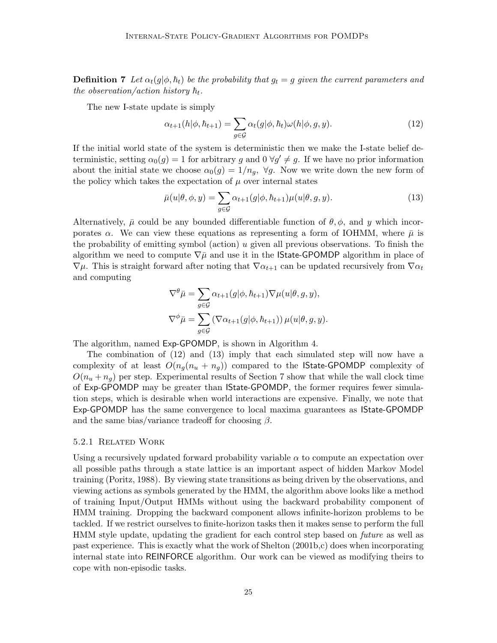**Definition 7** Let  $\alpha_t(g|\phi, h_t)$  be the probability that  $g_t = g$  given the current parameters and the observation/action history  $\hbar_t$ .

The new I-state update is simply

$$
\alpha_{t+1}(h|\phi,\hbar_{t+1}) = \sum_{g \in \mathcal{G}} \alpha_t(g|\phi,\hbar_t)\omega(h|\phi,g,y). \tag{12}
$$

If the initial world state of the system is deterministic then we make the I-state belief deterministic, setting  $\alpha_0(g) = 1$  for arbitrary g and  $0 \forall g' \neq g$ . If we have no prior information about the initial state we choose  $\alpha_0(g) = 1/n_q$ ,  $\forall g$ . Now we write down the new form of the policy which takes the expectation of  $\mu$  over internal states

$$
\bar{\mu}(u|\theta,\phi,y) = \sum_{g \in \mathcal{G}} \alpha_{t+1}(g|\phi,\hbar_{t+1}) \mu(u|\theta,g,y). \tag{13}
$$

Alternatively,  $\bar{\mu}$  could be any bounded differentiable function of  $\theta$ ,  $\phi$ , and y which incorporates  $\alpha$ . We can view these equations as representing a form of IOHMM, where  $\bar{\mu}$  is the probability of emitting symbol (action)  $u$  given all previous observations. To finish the algorithm we need to compute  $\nabla \bar{\mu}$  and use it in the **State-GPOMDP** algorithm in place of  $\nabla\mu$ . This is straight forward after noting that  $\nabla\alpha_{t+1}$  can be updated recursively from  $\nabla\alpha_t$ and computing

$$
\nabla^{\theta}\bar{\mu} = \sum_{g \in \mathcal{G}} \alpha_{t+1}(g|\phi, \hbar_{t+1}) \nabla \mu(u|\theta, g, y),
$$
  

$$
\nabla^{\phi}\bar{\mu} = \sum_{g \in \mathcal{G}} (\nabla \alpha_{t+1}(g|\phi, \hbar_{t+1})) \mu(u|\theta, g, y).
$$

The algorithm, named Exp-GPOMDP, is shown in Algorithm 4.

The combination of (12) and (13) imply that each simulated step will now have a complexity of at least  $O(n_q(n_u + n_q))$  compared to the **State-GPOMDP** complexity of  $O(n_u + n_q)$  per step. Experimental results of Section 7 show that while the wall clock time of Exp-GPOMDP may be greater than IState-GPOMDP, the former requires fewer simulation steps, which is desirable when world interactions are expensive. Finally, we note that Exp-GPOMDP has the same convergence to local maxima guarantees as IState-GPOMDP and the same bias/variance tradeoff for choosing  $\beta$ .

## 5.2.1 Related Work

Using a recursively updated forward probability variable  $\alpha$  to compute an expectation over all possible paths through a state lattice is an important aspect of hidden Markov Model training (Poritz, 1988). By viewing state transitions as being driven by the observations, and viewing actions as symbols generated by the HMM, the algorithm above looks like a method of training Input/Output HMMs without using the backward probability component of HMM training. Dropping the backward component allows infinite-horizon problems to be tackled. If we restrict ourselves to finite-horizon tasks then it makes sense to perform the full HMM style update, updating the gradient for each control step based on *future* as well as past experience. This is exactly what the work of Shelton (2001b,c) does when incorporating internal state into REINFORCE algorithm. Our work can be viewed as modifying theirs to cope with non-episodic tasks.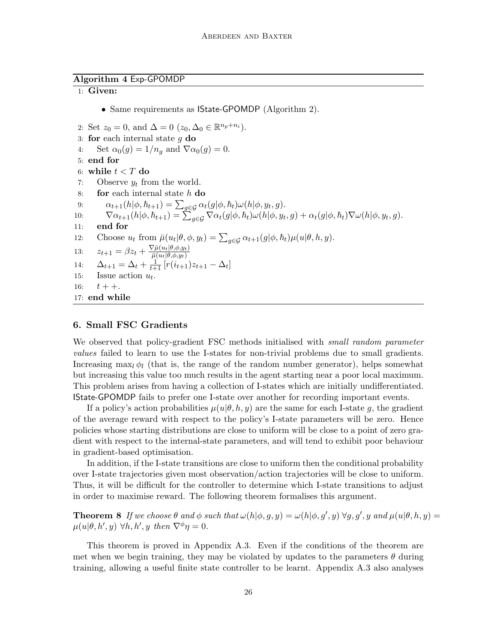## Algorithm 4 Exp-GPOMDP

#### 1: Given:

• Same requirements as **State-GPOMDP** (Algorithm 2).

2: Set  $z_0 = 0$ , and  $\Delta = 0$   $(z_0, \Delta_0 \in \mathbb{R}^{n_p + n_i})$ . 3: for each internal state  $q$  do 4: Set  $\alpha_0(g) = 1/n_g$  and  $\nabla \alpha_0(g) = 0$ . 5: end for 6: while  $t < T$  do 7: Observe  $y_t$  from the world. 8: **for** each internal state  $h$  **do** 9:  $\alpha_{t+1}(h|\phi, \hbar_{t+1}) = \sum_{g \in \mathcal{G}} \alpha_t(g|\phi, \hbar_t) \omega(h|\phi, y_t, g).$ 10:  $\nabla \alpha_{t+1}(h|\phi, \hbar_{t+1}) = \sum_{g \in \mathcal{G}} \nabla \alpha_t(g|\phi, \hbar_t) \omega(h|\phi, y_t, g) + \alpha_t(g|\phi, \hbar_t) \nabla \omega(h|\phi, y_t, g).$ 11: end for 12: Choose  $u_t$  from  $\bar{\mu}(u_t|\theta, \phi, y_t) = \sum_{g \in \mathcal{G}} \alpha_{t+1}(g|\phi, \hbar_t) \mu(u|\theta, h, y).$ 13:  $z_{t+1} = \beta z_t + \frac{\nabla \bar{\mu}(u_t|\theta,\phi,y_t)}{\bar{\mu}(u_t|\theta,\phi,y_t)}$  $\overline{\bar{\mu}(u_t|\theta,\phi,y_t)}$ 14:  $\Delta_{t+1} = \Delta_t + \frac{1}{t+1} [r(i_{t+1})z_{t+1} - \Delta_t]$ 15: Issue action  $u_t$ . 16:  $t + +$ . 17: end while

## 6. Small FSC Gradients

We observed that policy-gradient FSC methods initialised with *small random parameter* values failed to learn to use the I-states for non-trivial problems due to small gradients. Increasing max<sub>l</sub>  $\phi_l$  (that is, the range of the random number generator), helps somewhat but increasing this value too much results in the agent starting near a poor local maximum. This problem arises from having a collection of I-states which are initially undifferentiated. IState-GPOMDP fails to prefer one I-state over another for recording important events.

If a policy's action probabilities  $\mu(u|\theta, h, y)$  are the same for each I-state g, the gradient of the average reward with respect to the policy's I-state parameters will be zero. Hence policies whose starting distributions are close to uniform will be close to a point of zero gradient with respect to the internal-state parameters, and will tend to exhibit poor behaviour in gradient-based optimisation.

In addition, if the I-state transitions are close to uniform then the conditional probability over I-state trajectories given most observation/action trajectories will be close to uniform. Thus, it will be difficult for the controller to determine which I-state transitions to adjust in order to maximise reward. The following theorem formalises this argument.

**Theorem 8** If we choose  $\theta$  and  $\phi$  such that  $\omega(h|\phi, g, y) = \omega(h|\phi, g', y) \forall g, g', y$  and  $\mu(u|\theta, h, y) =$  $\mu(u|\theta, h', y) \ \forall h, h', y \ then \ \nabla^{\phi} \eta = 0.$ 

This theorem is proved in Appendix A.3. Even if the conditions of the theorem are met when we begin training, they may be violated by updates to the parameters  $\theta$  during training, allowing a useful finite state controller to be learnt. Appendix A.3 also analyses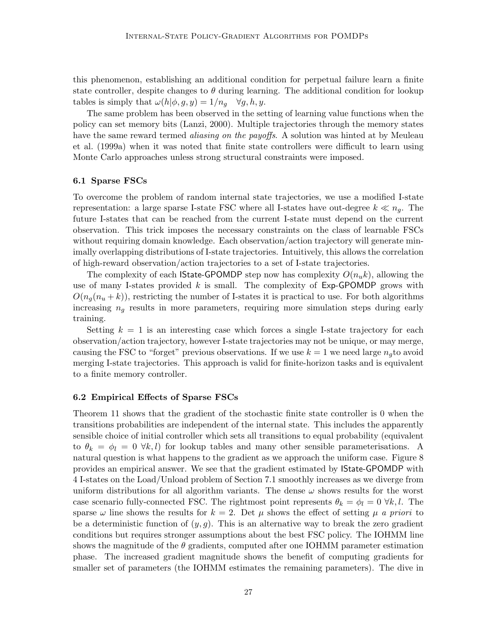this phenomenon, establishing an additional condition for perpetual failure learn a finite state controller, despite changes to  $\theta$  during learning. The additional condition for lookup tables is simply that  $\omega(h|\phi, g, y) = 1/n_q \quad \forall g, h, y$ .

The same problem has been observed in the setting of learning value functions when the policy can set memory bits (Lanzi, 2000). Multiple trajectories through the memory states have the same reward termed *aliasing on the payoffs*. A solution was hinted at by Meuleau et al. (1999a) when it was noted that finite state controllers were difficult to learn using Monte Carlo approaches unless strong structural constraints were imposed.

#### 6.1 Sparse FSCs

To overcome the problem of random internal state trajectories, we use a modified I-state representation: a large sparse I-state FSC where all I-states have out-degree  $k \ll n_q$ . The future I-states that can be reached from the current I-state must depend on the current observation. This trick imposes the necessary constraints on the class of learnable FSCs without requiring domain knowledge. Each observation/action trajectory will generate minimally overlapping distributions of I-state trajectories. Intuitively, this allows the correlation of high-reward observation/action trajectories to a set of I-state trajectories.

The complexity of each **IState-GPOMDP** step now has complexity  $O(n_{u}k)$ , allowing the use of many I-states provided  $k$  is small. The complexity of  $Exp-GPOMDP$  grows with  $O(n_q(n_u + k))$ , restricting the number of I-states it is practical to use. For both algorithms increasing  $n_q$  results in more parameters, requiring more simulation steps during early training.

Setting  $k = 1$  is an interesting case which forces a single I-state trajectory for each observation/action trajectory, however I-state trajectories may not be unique, or may merge, causing the FSC to "forget" previous observations. If we use  $k = 1$  we need large  $n_a$  to avoid merging I-state trajectories. This approach is valid for finite-horizon tasks and is equivalent to a finite memory controller.

#### 6.2 Empirical Effects of Sparse FSCs

Theorem 11 shows that the gradient of the stochastic finite state controller is 0 when the transitions probabilities are independent of the internal state. This includes the apparently sensible choice of initial controller which sets all transitions to equal probability (equivalent to  $\theta_k = \phi_l = 0 \ \forall k, l$  for lookup tables and many other sensible parameterisations. A natural question is what happens to the gradient as we approach the uniform case. Figure 8 provides an empirical answer. We see that the gradient estimated by IState-GPOMDP with 4 I-states on the Load/Unload problem of Section 7.1 smoothly increases as we diverge from uniform distributions for all algorithm variants. The dense  $\omega$  shows results for the worst case scenario fully-connected FSC. The rightmost point represents  $\theta_k = \phi_l = 0 \forall k, l$ . The sparse  $\omega$  line shows the results for  $k = 2$ . Det  $\mu$  shows the effect of setting  $\mu$  a priori to be a deterministic function of  $(y, g)$ . This is an alternative way to break the zero gradient conditions but requires stronger assumptions about the best FSC policy. The IOHMM line shows the magnitude of the  $\theta$  gradients, computed after one IOHMM parameter estimation phase. The increased gradient magnitude shows the benefit of computing gradients for smaller set of parameters (the IOHMM estimates the remaining parameters). The dive in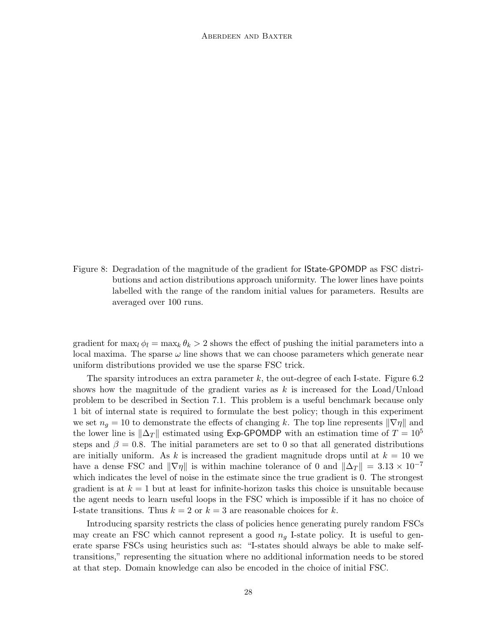Figure 8: Degradation of the magnitude of the gradient for IState-GPOMDP as FSC distributions and action distributions approach uniformity. The lower lines have points labelled with the range of the random initial values for parameters. Results are averaged over 100 runs.

gradient for  $\max_l \phi_l = \max_k \theta_k > 2$  shows the effect of pushing the initial parameters into a local maxima. The sparse  $\omega$  line shows that we can choose parameters which generate near uniform distributions provided we use the sparse FSC trick.

The sparsity introduces an extra parameter  $k$ , the out-degree of each I-state. Figure 6.2 shows how the magnitude of the gradient varies as  $k$  is increased for the Load/Unload problem to be described in Section 7.1. This problem is a useful benchmark because only 1 bit of internal state is required to formulate the best policy; though in this experiment we set  $n_g = 10$  to demonstrate the effects of changing k. The top line represents  $\|\nabla \eta\|$  and the lower line is  $\|\Delta_T\|$  estimated using Exp-GPOMDP with an estimation time of  $T = 10^5$ steps and  $\beta = 0.8$ . The initial parameters are set to 0 so that all generated distributions are initially uniform. As k is increased the gradient magnitude drops until at  $k = 10$  we have a dense FSC and  $\|\nabla \eta\|$  is within machine tolerance of 0 and  $\|\Delta_T\| = 3.13 \times 10^{-7}$ which indicates the level of noise in the estimate since the true gradient is 0. The strongest gradient is at  $k = 1$  but at least for infinite-horizon tasks this choice is unsuitable because the agent needs to learn useful loops in the FSC which is impossible if it has no choice of I-state transitions. Thus  $k = 2$  or  $k = 3$  are reasonable choices for k.

Introducing sparsity restricts the class of policies hence generating purely random FSCs may create an FSC which cannot represent a good  $n<sub>g</sub>$  I-state policy. It is useful to generate sparse FSCs using heuristics such as: "I-states should always be able to make selftransitions," representing the situation where no additional information needs to be stored at that step. Domain knowledge can also be encoded in the choice of initial FSC.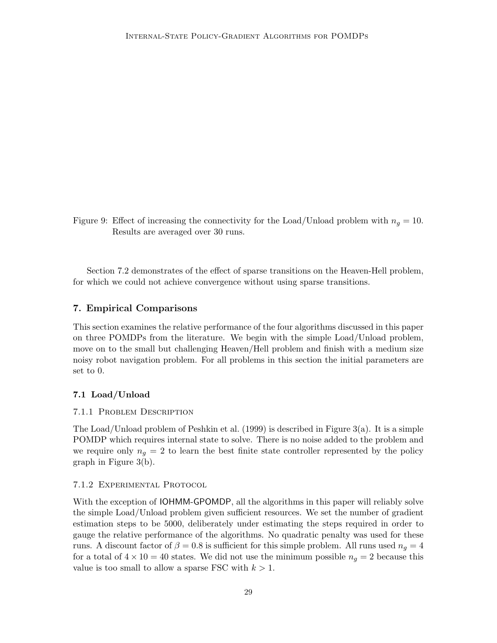Figure 9: Effect of increasing the connectivity for the Load/Unload problem with  $n<sub>g</sub> = 10$ . Results are averaged over 30 runs.

Section 7.2 demonstrates of the effect of sparse transitions on the Heaven-Hell problem, for which we could not achieve convergence without using sparse transitions.

## 7. Empirical Comparisons

This section examines the relative performance of the four algorithms discussed in this paper on three POMDPs from the literature. We begin with the simple Load/Unload problem, move on to the small but challenging Heaven/Hell problem and finish with a medium size noisy robot navigation problem. For all problems in this section the initial parameters are set to 0.

## 7.1 Load/Unload

#### 7.1.1 Problem Description

The Load/Unload problem of Peshkin et al. (1999) is described in Figure 3(a). It is a simple POMDP which requires internal state to solve. There is no noise added to the problem and we require only  $n_q = 2$  to learn the best finite state controller represented by the policy graph in Figure 3(b).

## 7.1.2 Experimental Protocol

With the exception of IOHMM-GPOMDP, all the algorithms in this paper will reliably solve the simple Load/Unload problem given sufficient resources. We set the number of gradient estimation steps to be 5000, deliberately under estimating the steps required in order to gauge the relative performance of the algorithms. No quadratic penalty was used for these runs. A discount factor of  $\beta = 0.8$  is sufficient for this simple problem. All runs used  $n_q = 4$ for a total of  $4 \times 10 = 40$  states. We did not use the minimum possible  $n<sub>g</sub> = 2$  because this value is too small to allow a sparse FSC with  $k > 1$ .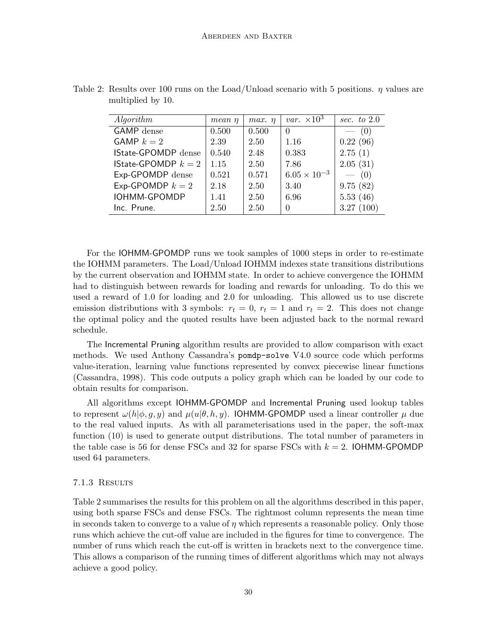| Algorithm                    | $mean \eta$ | $max.$ $\eta$ | var. $\times 10^3$    | sec. to $2.0$ |
|------------------------------|-------------|---------------|-----------------------|---------------|
| <b>GAMP</b> dense            | 0.500       | 0.500         | $\theta$              | (0)           |
| GAMP $k=2$                   | 2.39        | 2.50          | 1.16                  | 0.22(96)      |
| IState-GPOMDP dense          | 0.540       | 2.48          | 0.383                 | 2.75(1)       |
| <b>IState-GPOMDP</b> $k = 2$ | 1.15        | 2.50          | 7.86                  | 2.05(31)      |
| Exp-GPOMDP dense             | 0.521       | 0.571         | $6.05 \times 10^{-3}$ | $- (0)$       |
| Exp-GPOMDP $k = 2$           | 2.18        | 2.50          | 3.40                  | 9.75(82)      |
| IOHMM-GPOMDP                 | 1.41        | 2.50          | 6.96                  | 5.53(46)      |
| Inc. Prune.                  | 2.50        | 2.50          | $\Omega$              | 3.27(100)     |

Table 2: Results over 100 runs on the Load/Unload scenario with 5 positions.  $\eta$  values are multiplied by 10.

For the IOHMM-GPOMDP runs we took samples of 1000 steps in order to re-estimate the IOHMM parameters. The Load/Unload IOHMM indexes state transitions distributions by the current observation and IOHMM state. In order to achieve convergence the IOHMM had to distinguish between rewards for loading and rewards for unloading. To do this we used a reward of 1.0 for loading and 2.0 for unloading. This allowed us to use discrete emission distributions with 3 symbols:  $r_t = 0$ ,  $r_t = 1$  and  $r_t = 2$ . This does not change the optimal policy and the quoted results have been adjusted back to the normal reward schedule.

The Incremental Pruning algorithm results are provided to allow comparison with exact methods. We used Anthony Cassandra's pomdp-solve V4.0 source code which performs value-iteration, learning value functions represented by convex piecewise linear functions (Cassandra, 1998). This code outputs a policy graph which can be loaded by our code to obtain results for comparison.

All algorithms except IOHMM-GPOMDP and Incremental Pruning used lookup tables to represent  $\omega(h|\phi, q, y)$  and  $\mu(u|\theta, h, y)$ . IOHMM-GPOMDP used a linear controller  $\mu$  due to the real valued inputs. As with all parameterisations used in the paper, the soft-max function (10) is used to generate output distributions. The total number of parameters in the table case is 56 for dense FSCs and 32 for sparse FSCs with  $k = 2$ . IOHMM-GPOMDP used 64 parameters.

## 7.1.3 Results

Table 2 summarises the results for this problem on all the algorithms described in this paper, using both sparse FSCs and dense FSCs. The rightmost column represents the mean time in seconds taken to converge to a value of  $\eta$  which represents a reasonable policy. Only those runs which achieve the cut-off value are included in the figures for time to convergence. The number of runs which reach the cut-off is written in brackets next to the convergence time. This allows a comparison of the running times of different algorithms which may not always achieve a good policy.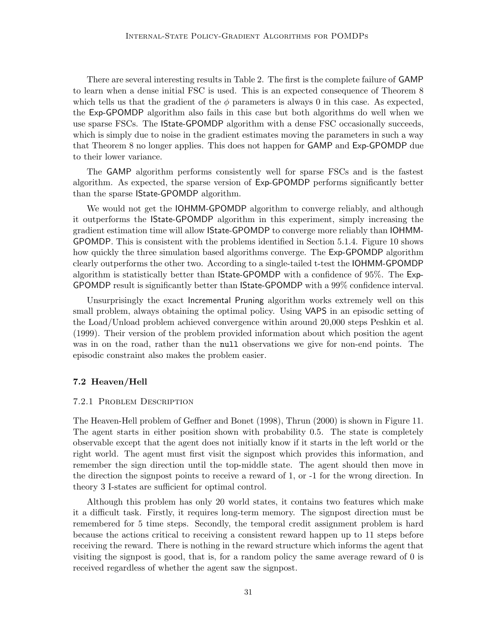There are several interesting results in Table 2. The first is the complete failure of GAMP to learn when a dense initial FSC is used. This is an expected consequence of Theorem 8 which tells us that the gradient of the  $\phi$  parameters is always 0 in this case. As expected, the Exp-GPOMDP algorithm also fails in this case but both algorithms do well when we use sparse FSCs. The IState-GPOMDP algorithm with a dense FSC occasionally succeeds, which is simply due to noise in the gradient estimates moving the parameters in such a way that Theorem 8 no longer applies. This does not happen for GAMP and Exp-GPOMDP due to their lower variance.

The GAMP algorithm performs consistently well for sparse FSCs and is the fastest algorithm. As expected, the sparse version of Exp-GPOMDP performs significantly better than the sparse IState-GPOMDP algorithm.

We would not get the IOHMM-GPOMDP algorithm to converge reliably, and although it outperforms the IState-GPOMDP algorithm in this experiment, simply increasing the gradient estimation time will allow IState-GPOMDP to converge more reliably than IOHMM-GPOMDP. This is consistent with the problems identified in Section 5.1.4. Figure 10 shows how quickly the three simulation based algorithms converge. The Exp-GPOMDP algorithm clearly outperforms the other two. According to a single-tailed t-test the IOHMM-GPOMDP algorithm is statistically better than IState-GPOMDP with a confidence of 95%. The Exp-GPOMDP result is significantly better than IState-GPOMDP with a 99% confidence interval.

Unsurprisingly the exact Incremental Pruning algorithm works extremely well on this small problem, always obtaining the optimal policy. Using VAPS in an episodic setting of the Load/Unload problem achieved convergence within around 20,000 steps Peshkin et al. (1999). Their version of the problem provided information about which position the agent was in on the road, rather than the null observations we give for non-end points. The episodic constraint also makes the problem easier.

## 7.2 Heaven/Hell

## 7.2.1 Problem Description

The Heaven-Hell problem of Geffner and Bonet (1998), Thrun (2000) is shown in Figure 11. The agent starts in either position shown with probability 0.5. The state is completely observable except that the agent does not initially know if it starts in the left world or the right world. The agent must first visit the signpost which provides this information, and remember the sign direction until the top-middle state. The agent should then move in the direction the signpost points to receive a reward of 1, or -1 for the wrong direction. In theory 3 I-states are sufficient for optimal control.

Although this problem has only 20 world states, it contains two features which make it a difficult task. Firstly, it requires long-term memory. The signpost direction must be remembered for 5 time steps. Secondly, the temporal credit assignment problem is hard because the actions critical to receiving a consistent reward happen up to 11 steps before receiving the reward. There is nothing in the reward structure which informs the agent that visiting the signpost is good, that is, for a random policy the same average reward of 0 is received regardless of whether the agent saw the signpost.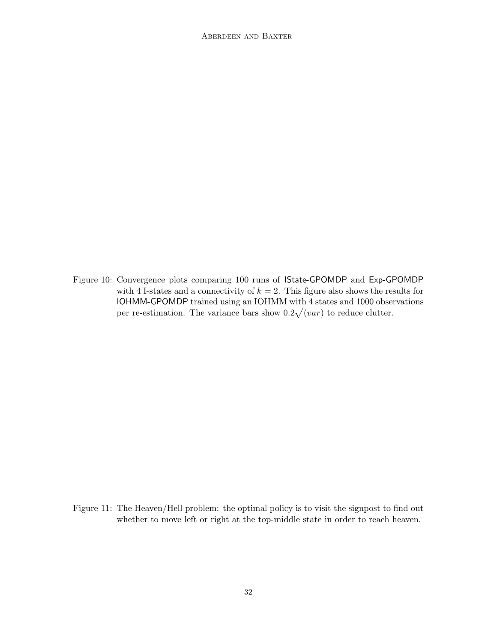Figure 10: Convergence plots comparing 100 runs of IState-GPOMDP and Exp-GPOMDP with 4 I-states and a connectivity of  $k = 2$ . This figure also shows the results for IOHMM-GPOMDP trained using an IOHMM with 4 states and 1000 observations per re-estimation. The variance bars show  $0.2\sqrt{(var)}$  to reduce clutter.

Figure 11: The Heaven/Hell problem: the optimal policy is to visit the signpost to find out whether to move left or right at the top-middle state in order to reach heaven.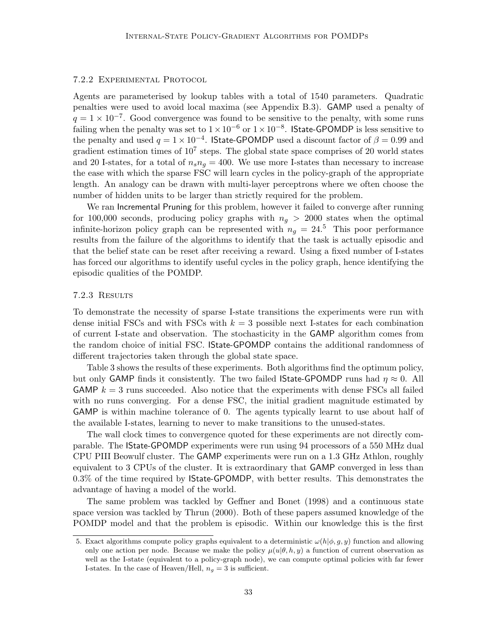## 7.2.2 Experimental Protocol

Agents are parameterised by lookup tables with a total of 1540 parameters. Quadratic penalties were used to avoid local maxima (see Appendix B.3). GAMP used a penalty of  $q = 1 \times 10^{-7}$ . Good convergence was found to be sensitive to the penalty, with some runs failing when the penalty was set to  $1 \times 10^{-6}$  or  $1 \times 10^{-8}$ . IState-GPOMDP is less sensitive to the penalty and used  $q = 1 \times 10^{-4}$ . IState-GPOMDP used a discount factor of  $\beta = 0.99$  and gradient estimation times of  $10^7$  steps. The global state space comprises of 20 world states and 20 I-states, for a total of  $n_s n_q = 400$ . We use more I-states than necessary to increase the ease with which the sparse FSC will learn cycles in the policy-graph of the appropriate length. An analogy can be drawn with multi-layer perceptrons where we often choose the number of hidden units to be larger than strictly required for the problem.

We ran Incremental Pruning for this problem, however it failed to converge after running for 100,000 seconds, producing policy graphs with  $n_q > 2000$  states when the optimal infinite-horizon policy graph can be represented with  $n_g = 24.5$  This poor performance results from the failure of the algorithms to identify that the task is actually episodic and that the belief state can be reset after receiving a reward. Using a fixed number of I-states has forced our algorithms to identify useful cycles in the policy graph, hence identifying the episodic qualities of the POMDP.

#### 7.2.3 Results

To demonstrate the necessity of sparse I-state transitions the experiments were run with dense initial FSCs and with FSCs with  $k = 3$  possible next I-states for each combination of current I-state and observation. The stochasticity in the GAMP algorithm comes from the random choice of initial FSC. IState-GPOMDP contains the additional randomness of different trajectories taken through the global state space.

Table 3 shows the results of these experiments. Both algorithms find the optimum policy, but only GAMP finds it consistently. The two failed IState-GPOMDP runs had  $\eta \approx 0$ . All GAMP  $k = 3$  runs succeeded. Also notice that the experiments with dense FSCs all failed with no runs converging. For a dense FSC, the initial gradient magnitude estimated by GAMP is within machine tolerance of 0. The agents typically learnt to use about half of the available I-states, learning to never to make transitions to the unused-states.

The wall clock times to convergence quoted for these experiments are not directly comparable. The IState-GPOMDP experiments were run using 94 processors of a 550 MHz dual CPU PIII Beowulf cluster. The GAMP experiments were run on a 1.3 GHz Athlon, roughly equivalent to 3 CPUs of the cluster. It is extraordinary that GAMP converged in less than 0.3% of the time required by IState-GPOMDP, with better results. This demonstrates the advantage of having a model of the world.

The same problem was tackled by Geffner and Bonet (1998) and a continuous state space version was tackled by Thrun (2000). Both of these papers assumed knowledge of the POMDP model and that the problem is episodic. Within our knowledge this is the first

<sup>5.</sup> Exact algorithms compute policy graphs equivalent to a deterministic  $\omega(h|\phi, g, y)$  function and allowing only one action per node. Because we make the policy  $\mu(u|\theta, h, y)$  a function of current observation as well as the I-state (equivalent to a policy-graph node), we can compute optimal policies with far fewer I-states. In the case of Heaven/Hell,  $n_q = 3$  is sufficient.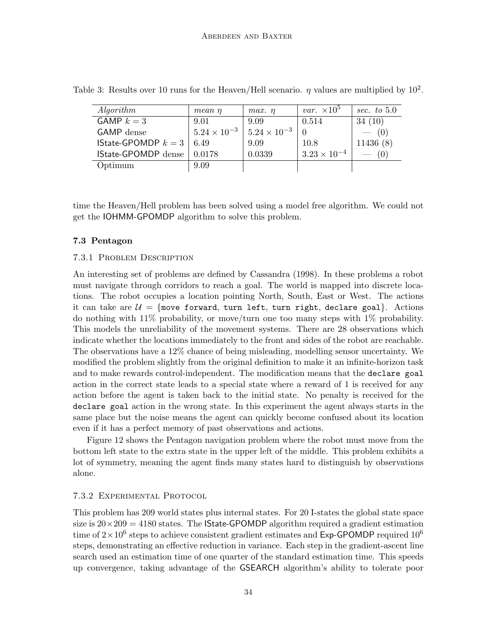| Algorithm                              | mean n                | $max.$ $\eta$         | <i>var.</i> $\times 10^5$ | sec. to $5.0$ |
|----------------------------------------|-----------------------|-----------------------|---------------------------|---------------|
| GAMP $k=3$                             | 9.01                  | 9.09                  | 0.514                     | 34(10)        |
| <b>GAMP</b> dense                      | $5.24 \times 10^{-3}$ | $5.24 \times 10^{-3}$ |                           | $- (0)$       |
| <b>IState-GPOMDP</b> $k = 3 \mid 6.49$ |                       | 9.09                  | 10.8                      | 11436(8)      |
| IState-GPOMDP dense                    | 0.0178                | 0.0339                | $3.23 \times 10^{-4}$     |               |
| Optimum                                | 9.09                  |                       |                           |               |

Table 3: Results over 10 runs for the Heaven/Hell scenario.  $\eta$  values are multiplied by  $10^2$ .

time the Heaven/Hell problem has been solved using a model free algorithm. We could not get the IOHMM-GPOMDP algorithm to solve this problem.

## 7.3 Pentagon

## 7.3.1 Problem Description

An interesting set of problems are defined by Cassandra (1998). In these problems a robot must navigate through corridors to reach a goal. The world is mapped into discrete locations. The robot occupies a location pointing North, South, East or West. The actions it can take are  $\mathcal{U} = \{\text{move forward, turn left, turn right, declare goal}\}.$  Actions do nothing with 11% probability, or move/turn one too many steps with 1% probability. This models the unreliability of the movement systems. There are 28 observations which indicate whether the locations immediately to the front and sides of the robot are reachable. The observations have a 12% chance of being misleading, modelling sensor uncertainty. We modified the problem slightly from the original definition to make it an infinite-horizon task and to make rewards control-independent. The modification means that the declare goal action in the correct state leads to a special state where a reward of 1 is received for any action before the agent is taken back to the initial state. No penalty is received for the declare goal action in the wrong state. In this experiment the agent always starts in the same place but the noise means the agent can quickly become confused about its location even if it has a perfect memory of past observations and actions.

Figure 12 shows the Pentagon navigation problem where the robot must move from the bottom left state to the extra state in the upper left of the middle. This problem exhibits a lot of symmetry, meaning the agent finds many states hard to distinguish by observations alone.

## 7.3.2 Experimental Protocol

This problem has 209 world states plus internal states. For 20 I-states the global state space size is  $20 \times 209 = 4180$  states. The **State-GPOMDP** algorithm required a gradient estimation time of  $2 \times 10^6$  steps to achieve consistent gradient estimates and Exp-GPOMDP required  $10^6$ steps, demonstrating an effective reduction in variance. Each step in the gradient-ascent line search used an estimation time of one quarter of the standard estimation time. This speeds up convergence, taking advantage of the GSEARCH algorithm's ability to tolerate poor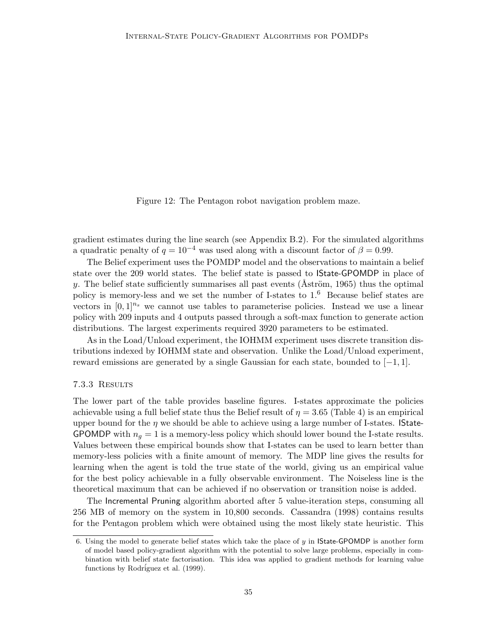Figure 12: The Pentagon robot navigation problem maze.

gradient estimates during the line search (see Appendix B.2). For the simulated algorithms a quadratic penalty of  $q = 10^{-4}$  was used along with a discount factor of  $\beta = 0.99$ .

The Belief experiment uses the POMDP model and the observations to maintain a belief state over the 209 world states. The belief state is passed to IState-GPOMDP in place of y. The belief state sufficiently summarises all past events (Aström, 1965) thus the optimal policy is memory-less and we set the number of I-states to  $1<sup>6</sup>$  Because belief states are vectors in  $[0, 1]^{n_s}$  we cannot use tables to parameterise policies. Instead we use a linear policy with 209 inputs and 4 outputs passed through a soft-max function to generate action distributions. The largest experiments required 3920 parameters to be estimated.

As in the Load/Unload experiment, the IOHMM experiment uses discrete transition distributions indexed by IOHMM state and observation. Unlike the Load/Unload experiment, reward emissions are generated by a single Gaussian for each state, bounded to  $[-1, 1]$ .

## 7.3.3 Results

The lower part of the table provides baseline figures. I-states approximate the policies achievable using a full belief state thus the Belief result of  $\eta = 3.65$  (Table 4) is an empirical upper bound for the  $\eta$  we should be able to achieve using a large number of I-states. **IState-**GPOMDP with  $n_q = 1$  is a memory-less policy which should lower bound the I-state results. Values between these empirical bounds show that I-states can be used to learn better than memory-less policies with a finite amount of memory. The MDP line gives the results for learning when the agent is told the true state of the world, giving us an empirical value for the best policy achievable in a fully observable environment. The Noiseless line is the theoretical maximum that can be achieved if no observation or transition noise is added.

The Incremental Pruning algorithm aborted after 5 value-iteration steps, consuming all 256 MB of memory on the system in 10,800 seconds. Cassandra (1998) contains results for the Pentagon problem which were obtained using the most likely state heuristic. This

<sup>6.</sup> Using the model to generate belief states which take the place of  $y$  in **State-GPOMDP** is another form of model based policy-gradient algorithm with the potential to solve large problems, especially in combination with belief state factorisation. This idea was applied to gradient methods for learning value functions by Rodríguez et al. (1999).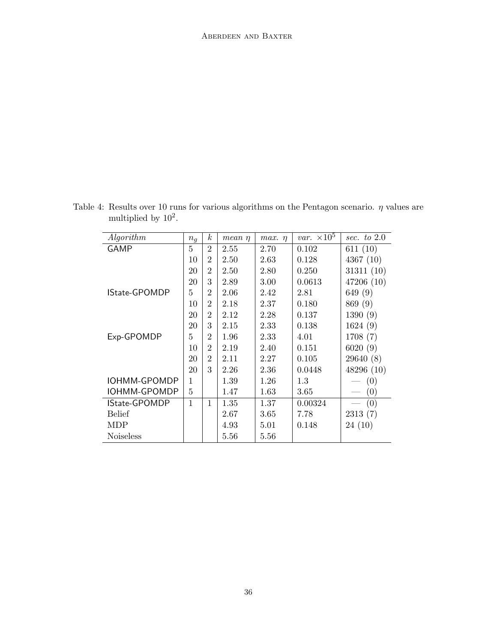| Algorithm            | $n_g$  | $\boldsymbol{k}$ | mean n | max.<br>$\eta$ | <i>var.</i> $\times 10^5$ | sec. to $2.0$ |
|----------------------|--------|------------------|--------|----------------|---------------------------|---------------|
| GAMP                 | 5      | $\overline{2}$   | 2.55   | 2.70           | 0.102                     | 611 $(10)$    |
|                      | $10\,$ | $\overline{2}$   | 2.50   | 2.63           | 0.128                     | 4367 $(10)$   |
|                      | 20     | $\overline{2}$   | 2.50   | 2.80           | 0.250                     | 31311(10)     |
|                      | 20     | 3                | 2.89   | 3.00           | 0.0613                    | 47206 (10)    |
| <b>IState-GPOMDP</b> | 5      | $\overline{2}$   | 2.06   | 2.42           | 2.81                      | 649 (9)       |
|                      | 10     | $\mathfrak{D}$   | 2.18   | 2.37           | 0.180                     | 869 (9)       |
|                      | 20     | $\overline{2}$   | 2.12   | 2.28           | 0.137                     | 1390(9)       |
|                      | 20     | 3                | 2.15   | 2.33           | 0.138                     | 1624(9)       |
| Exp-GPOMDP           | 5      | $\overline{2}$   | 1.96   | 2.33           | 4.01                      | 1708 (7)      |
|                      | 10     | $\overline{2}$   | 2.19   | 2.40           | 0.151                     | 6020(9)       |
|                      | 20     | $\overline{2}$   | 2.11   | 2.27           | 0.105                     | 29640 (8)     |
|                      | 20     | 3                | 2.26   | 2.36           | 0.0448                    | 48296(10)     |
| IOHMM-GPOMDP         | 1      |                  | 1.39   | 1.26           | 1.3                       | (0)           |
| IOHMM-GPOMDP         | 5      |                  | 1.47   | 1.63           | 3.65                      | (0)           |
| <b>IState-GPOMDP</b> | 1      | 1                | 1.35   | 1.37           | 0.00324                   | (0)           |
| <b>Belief</b>        |        |                  | 2.67   | 3.65           | 7.78                      | 2313(7)       |
| MDP                  |        |                  | 4.93   | 5.01           | 0.148                     | 24 (10)       |
| <b>Noiseless</b>     |        |                  | 5.56   | $5.56\,$       |                           |               |

| Table 4: Results over 10 runs for various algorithms on the Pentagon scenario. $\eta$ values are |  |  |  |
|--------------------------------------------------------------------------------------------------|--|--|--|
| multiplied by $10^2$ .                                                                           |  |  |  |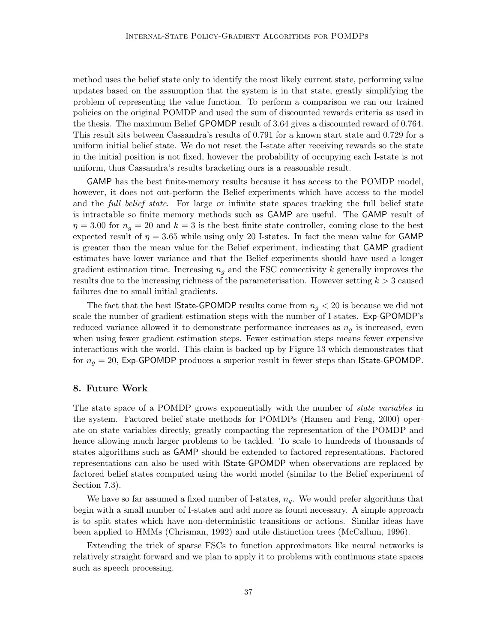method uses the belief state only to identify the most likely current state, performing value updates based on the assumption that the system is in that state, greatly simplifying the problem of representing the value function. To perform a comparison we ran our trained policies on the original POMDP and used the sum of discounted rewards criteria as used in the thesis. The maximum Belief GPOMDP result of 3.64 gives a discounted reward of 0.764. This result sits between Cassandra's results of 0.791 for a known start state and 0.729 for a uniform initial belief state. We do not reset the I-state after receiving rewards so the state in the initial position is not fixed, however the probability of occupying each I-state is not uniform, thus Cassandra's results bracketing ours is a reasonable result.

GAMP has the best finite-memory results because it has access to the POMDP model, however, it does not out-perform the Belief experiments which have access to the model and the *full belief state*. For large or infinite state spaces tracking the full belief state is intractable so finite memory methods such as GAMP are useful. The GAMP result of  $\eta = 3.00$  for  $n_q = 20$  and  $k = 3$  is the best finite state controller, coming close to the best expected result of  $\eta = 3.65$  while using only 20 I-states. In fact the mean value for GAMP is greater than the mean value for the Belief experiment, indicating that GAMP gradient estimates have lower variance and that the Belief experiments should have used a longer gradient estimation time. Increasing  $n<sub>g</sub>$  and the FSC connectivity k generally improves the results due to the increasing richness of the parameterisation. However setting  $k > 3$  caused failures due to small initial gradients.

The fact that the best **IState-GPOMDP** results come from  $n_q < 20$  is because we did not scale the number of gradient estimation steps with the number of I-states. Exp-GPOMDP's reduced variance allowed it to demonstrate performance increases as  $n<sub>g</sub>$  is increased, even when using fewer gradient estimation steps. Fewer estimation steps means fewer expensive interactions with the world. This claim is backed up by Figure 13 which demonstrates that for  $n_g = 20$ , Exp-GPOMDP produces a superior result in fewer steps than IState-GPOMDP.

## 8. Future Work

The state space of a POMDP grows exponentially with the number of state variables in the system. Factored belief state methods for POMDPs (Hansen and Feng, 2000) operate on state variables directly, greatly compacting the representation of the POMDP and hence allowing much larger problems to be tackled. To scale to hundreds of thousands of states algorithms such as GAMP should be extended to factored representations. Factored representations can also be used with IState-GPOMDP when observations are replaced by factored belief states computed using the world model (similar to the Belief experiment of Section 7.3).

We have so far assumed a fixed number of I-states,  $n_q$ . We would prefer algorithms that begin with a small number of I-states and add more as found necessary. A simple approach is to split states which have non-deterministic transitions or actions. Similar ideas have been applied to HMMs (Chrisman, 1992) and utile distinction trees (McCallum, 1996).

Extending the trick of sparse FSCs to function approximators like neural networks is relatively straight forward and we plan to apply it to problems with continuous state spaces such as speech processing.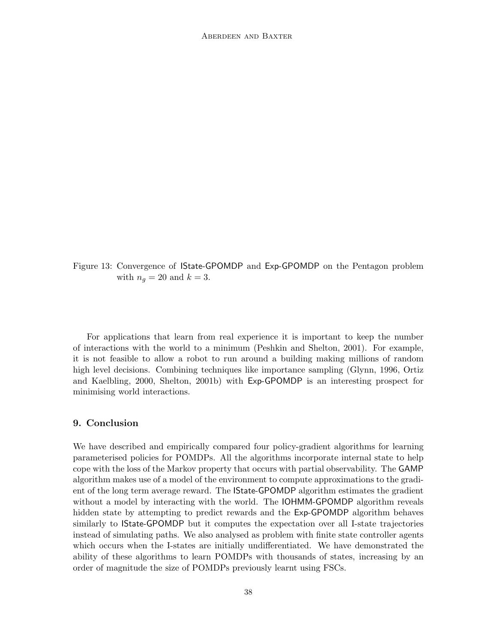

For applications that learn from real experience it is important to keep the number of interactions with the world to a minimum (Peshkin and Shelton, 2001). For example, it is not feasible to allow a robot to run around a building making millions of random high level decisions. Combining techniques like importance sampling (Glynn, 1996, Ortiz and Kaelbling, 2000, Shelton, 2001b) with Exp-GPOMDP is an interesting prospect for minimising world interactions.

## 9. Conclusion

We have described and empirically compared four policy-gradient algorithms for learning parameterised policies for POMDPs. All the algorithms incorporate internal state to help cope with the loss of the Markov property that occurs with partial observability. The GAMP algorithm makes use of a model of the environment to compute approximations to the gradient of the long term average reward. The IState-GPOMDP algorithm estimates the gradient without a model by interacting with the world. The IOHMM-GPOMDP algorithm reveals hidden state by attempting to predict rewards and the Exp-GPOMDP algorithm behaves similarly to IState-GPOMDP but it computes the expectation over all I-state trajectories instead of simulating paths. We also analysed as problem with finite state controller agents which occurs when the I-states are initially undifferentiated. We have demonstrated the ability of these algorithms to learn POMDPs with thousands of states, increasing by an order of magnitude the size of POMDPs previously learnt using FSCs.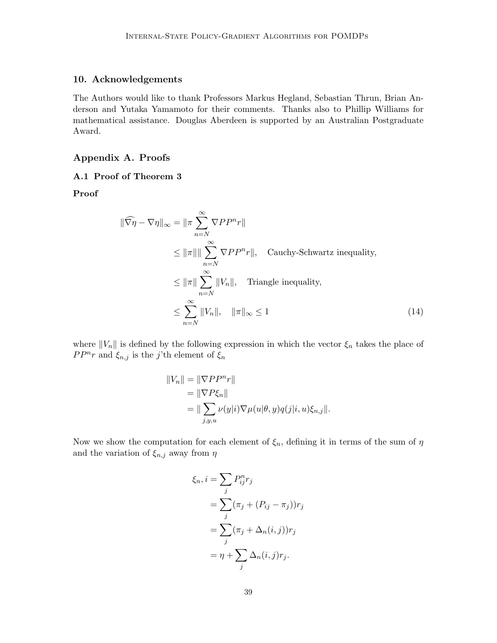## 10. Acknowledgements

The Authors would like to thank Professors Markus Hegland, Sebastian Thrun, Brian Anderson and Yutaka Yamamoto for their comments. Thanks also to Phillip Williams for mathematical assistance. Douglas Aberdeen is supported by an Australian Postgraduate Award.

## Appendix A. Proofs

## A.1 Proof of Theorem 3

Proof

$$
\|\widehat{\nabla \eta} - \nabla \eta\|_{\infty} = \|\pi \sum_{n=N}^{\infty} \nabla P P^n r\|
$$
  
\n
$$
\leq \|\pi\| \|\sum_{n=N}^{\infty} \nabla P P^n r\|, \quad \text{Cauchy-Schwartz inequality,}
$$
  
\n
$$
\leq \|\pi\| \sum_{n=N}^{\infty} \|V_n\|, \quad \text{Triangle inequality,}
$$
  
\n
$$
\leq \sum_{n=N}^{\infty} \|V_n\|, \quad \|\pi\|_{\infty} \leq 1
$$
 (14)

where  $||V_n||$  is defined by the following expression in which the vector  $\xi_n$  takes the place of  $PP^{n}r$  and  $\xi_{n,j}$  is the j'th element of  $\xi_{n}$ 

$$
||V_n|| = ||\nabla P P^n r||
$$
  
= 
$$
||\nabla P \xi_n||
$$
  
= 
$$
||\sum_{j,y,u} \nu(y|i) \nabla \mu(u|\theta, y) q(j|i, u) \xi_{n,j}||.
$$

Now we show the computation for each element of  $\xi_n$ , defining it in terms of the sum of  $\eta$ and the variation of  $\xi_{n,j}$  away from<br>  $\eta$ 

$$
\xi_n, i = \sum_j P_{ij}^n r_j
$$
  
= 
$$
\sum_j (\pi_j + (P_{ij} - \pi_j))r_j
$$
  
= 
$$
\sum_j (\pi_j + \Delta_n(i, j))r_j
$$
  
= 
$$
\eta + \sum_j \Delta_n(i, j)r_j.
$$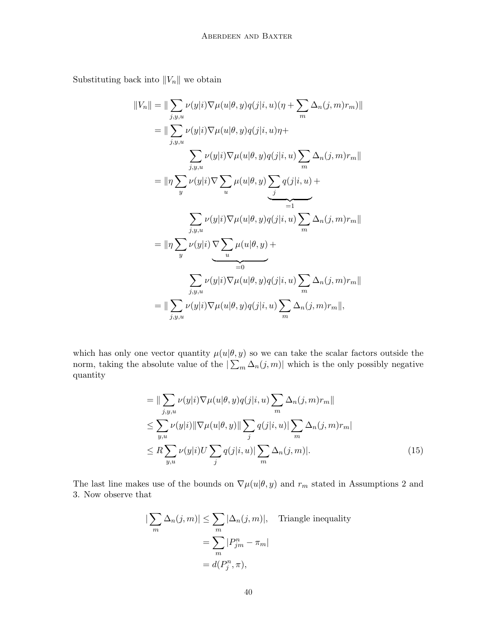Substituting back into  $||V_n||$  we obtain

$$
||V_n|| = ||\sum_{j,y,u} \nu(y|i)\nabla\mu(u|\theta,y)q(j|i,u)(\eta + \sum_m \Delta_n(j,m)r_m)||
$$
  
\n
$$
= ||\sum_{j,y,u} \nu(y|i)\nabla\mu(u|\theta,y)q(j|i,u)\eta + \sum_{j,y,u} \nu(y|i)\nabla\mu(u|\theta,y)q(j|i,u)\sum_m \Delta_n(j,m)r_m||
$$
  
\n
$$
= ||\eta \sum_y \nu(y|i)\nabla \sum_u \mu(u|\theta,y) \sum_j q(j|i,u) + \sum_{j=1}^{m} \sum_{j,y,u} \nu(y|i)\nabla\mu(u|\theta,y)q(j|i,u)\sum_m \Delta_n(j,m)r_m||
$$
  
\n
$$
= ||\eta \sum_y \nu(y|i) \sum_u \mu(u|\theta,y) + \sum_{j=0}^{m} \sum_{j,y,u} \nu(y|i)\nabla\mu(u|\theta,y)q(j|i,u)\sum_m \Delta_n(j,m)r_m||
$$
  
\n
$$
= ||\sum_{j,y,u} \nu(y|i)\nabla\mu(u|\theta,y)q(j|i,u)\sum_m \Delta_n(j,m)r_m||,
$$

which has only one vector quantity  $\mu(u|\theta, y)$  so we can take the scalar factors outside the norm, taking the absolute value of the  $|\sum_{m} \Delta_n(j,m)|$  which is the only possibly negative quantity

$$
= \|\sum_{j,y,u}\nu(y|i)\nabla\mu(u|\theta,y)q(j|i,u)\sum_{m}\Delta_n(j,m)r_m\|
$$
  
\n
$$
\leq \sum_{y,u}\nu(y|i)\|\nabla\mu(u|\theta,y)\|\sum_{j}q(j|i,u)\|\sum_{m}\Delta_n(j,m)r_m|
$$
  
\n
$$
\leq R\sum_{y,u}\nu(y|i)U\sum_{j}q(j|i,u)\|\sum_{m}\Delta_n(j,m)|.
$$
 (15)

The last line makes use of the bounds on  $\nabla \mu(u|\theta, y)$  and  $r_m$  stated in Assumptions 2 and 3. Now observe that

$$
\left|\sum_{m} \Delta_n(j,m)\right| \le \sum_{m} |\Delta_n(j,m)|, \quad \text{Triangle inequality}
$$

$$
= \sum_{m} |P_{jm}^n - \pi_m|
$$

$$
= d(P_j^n, \pi),
$$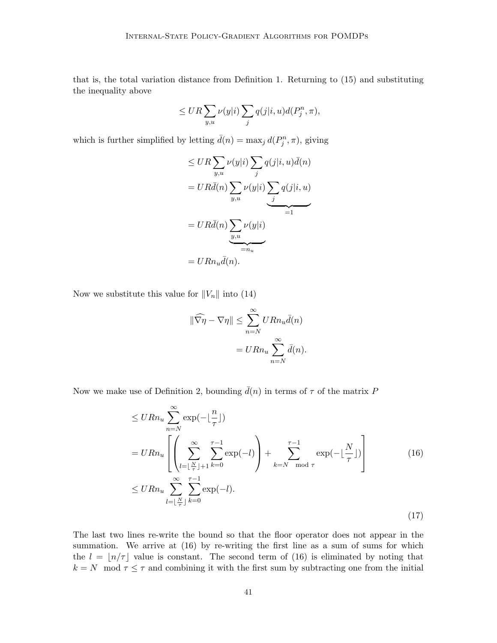that is, the total variation distance from Definition 1. Returning to (15) and substituting the inequality above

$$
\leq UR\sum_{y,u}\nu(y|i)\sum_jq(j|i,u)d(P_j^n,\pi),
$$

which is further simplified by letting  $\bar{d}(n) = \max_j d(P_j^n, \pi)$ , giving

$$
\leq UR \sum_{y,u} \nu(y|i) \sum_{j} q(j|i, u)\bar{d}(n)
$$

$$
= UR\bar{d}(n) \sum_{y,u} \nu(y|i) \underbrace{\sum_{j} q(j|i, u)}_{=1}
$$

$$
= UR\bar{d}(n) \underbrace{\sum_{y,u} \nu(y|i)}_{=n_u}
$$

$$
= URn_u\bar{d}(n).
$$

Now we substitute this value for  $||V_n||$  into (14)

$$
\|\widehat{\nabla \eta} - \nabla \eta\| \le \sum_{n=N}^{\infty} U R n_u \bar{d}(n)
$$

$$
= U R n_u \sum_{n=N}^{\infty} \bar{d}(n).
$$

Now we make use of Definition 2, bounding  $\bar{d}(n)$  in terms of  $\tau$  of the matrix P

$$
\leq U R n_u \sum_{n=N}^{\infty} \exp(-\lfloor \frac{n}{\tau} \rfloor)
$$
  
=  $U R n_u \left[ \left( \sum_{l=\lfloor \frac{N}{\tau} \rfloor+1}^{\infty} \sum_{k=0}^{\tau-1} \exp(-l) \right) + \sum_{k=N \mod \tau}^{\tau-1} \exp(-\lfloor \frac{N}{\tau} \rfloor) \right]$  (16)  

$$
\leq U R n_u \sum_{l=\lfloor \frac{N}{\tau} \rfloor}^{\infty} \sum_{k=0}^{\tau-1} \exp(-l).
$$

The last two lines re-write the bound so that the floor operator does not appear in the summation. We arrive at (16) by re-writing the first line as a sum of sums for which the  $l = \lfloor n/\tau \rfloor$  value is constant. The second term of (16) is eliminated by noting that  $k = N \mod \tau \leq \tau$  and combining it with the first sum by subtracting one from the initial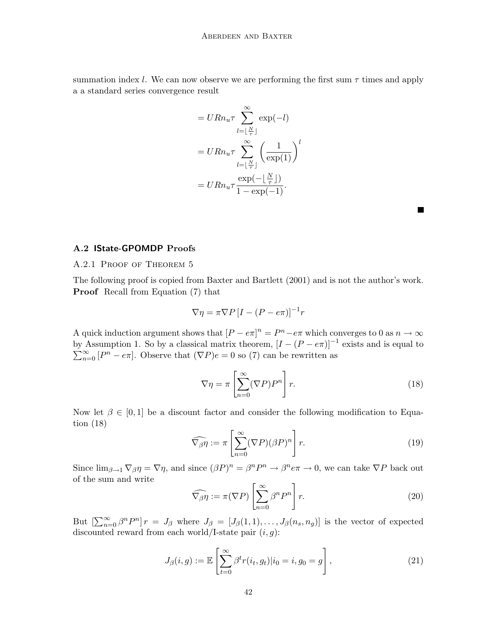summation index l. We can now observe we are performing the first sum  $\tau$  times and apply a a standard series convergence result

$$
= U R n_u \tau \sum_{l=\lfloor \frac{N}{\tau} \rfloor}^{\infty} \exp(-l)
$$

$$
= U R n_u \tau \sum_{l=\lfloor \frac{N}{\tau} \rfloor}^{\infty} \left(\frac{1}{\exp(1)}\right)^l
$$

$$
= U R n_u \tau \frac{\exp(-\lfloor \frac{N}{\tau} \rfloor)}{1 - \exp(-1)}.
$$

#### A.2 IState-GPOMDP Proofs

## A.2.1 Proof of Theorem 5

The following proof is copied from Baxter and Bartlett (2001) and is not the author's work. Proof Recall from Equation (7) that

$$
\nabla \eta = \pi \nabla P \left[ I - (P - e\pi) \right]^{-1} r
$$

A quick induction argument shows that  $[P - e\pi]^n = P^n - e\pi$  which converges to 0 as  $n \to \infty$ by Assumption 1. So by a classical matrix theorem,  $[I - (P - e\pi)]^{-1}$  exists and is equal to  $\sum_{n=0}^{\infty} [P^n - e\pi]$ . Observe that  $(\nabla P)e = 0$  so (7) can be rewritten as

$$
\nabla \eta = \pi \left[ \sum_{n=0}^{\infty} (\nabla P) P^n \right] r.
$$
 (18)

П

Now let  $\beta \in [0, 1]$  be a discount factor and consider the following modification to Equation (18)

$$
\widehat{\nabla_{\beta}\eta} := \pi \left[ \sum_{n=0}^{\infty} (\nabla P)(\beta P)^n \right] r.
$$
 (19)

Since  $\lim_{\beta \to 1} \nabla_{\beta} \eta = \nabla \eta$ , and since  $(\beta P)^n = \beta^n P^n \to \beta^n e \pi \to 0$ , we can take  $\nabla P$  back out of the sum and write

$$
\widehat{\nabla_{\beta}\eta} := \pi(\nabla P) \left[ \sum_{n=0}^{\infty} \beta^n P^n \right] r.
$$
 (20)

But  $\left[\sum_{n=0}^{\infty} \beta^n P^n\right] r = J_\beta$  where  $J_\beta = [J_\beta(1,1), \ldots, J_\beta(n_s, n_g)]$  is the vector of expected discounted reward from each world/I-state pair  $(i, q)$ :

$$
J_{\beta}(i,g) := \mathbb{E}\left[\sum_{t=0}^{\infty} \beta^t r(i_t, g_t) | i_0 = i, g_0 = g\right],
$$
\n(21)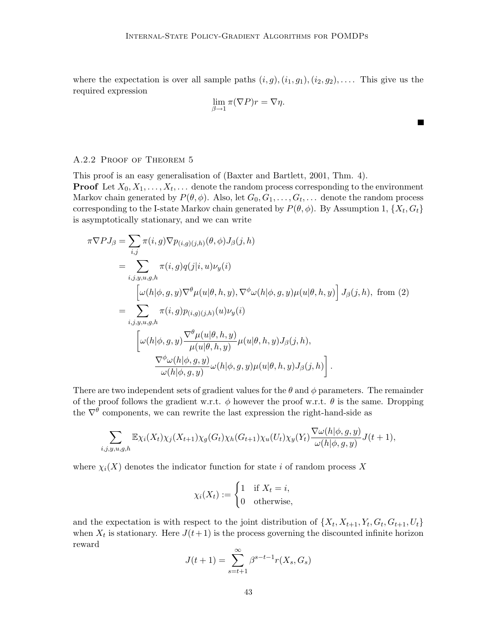where the expectation is over all sample paths  $(i, g), (i_1, g_1), (i_2, g_2), \ldots$ . This give us the required expression

$$
\lim_{\beta \to 1} \pi(\nabla P)r = \nabla \eta.
$$

 $\blacksquare$ 

## A.2.2 Proof of Theorem 5

This proof is an easy generalisation of (Baxter and Bartlett, 2001, Thm. 4).

**Proof** Let  $X_0, X_1, \ldots, X_t, \ldots$  denote the random process corresponding to the environment Markov chain generated by  $P(\theta, \phi)$ . Also, let  $G_0, G_1, \ldots, G_t, \ldots$  denote the random process corresponding to the I-state Markov chain generated by  $P(\theta, \phi)$ . By Assumption 1,  $\{X_t, G_t\}$ is asymptotically stationary, and we can write

$$
\pi \nabla P J_{\beta} = \sum_{i,j} \pi(i,g) \nabla p_{(i,g)(j,h)}(\theta, \phi) J_{\beta}(j,h)
$$
  
\n
$$
= \sum_{i,j,y,u,g,h} \pi(i,g) q(j|i,u) \nu_{y}(i)
$$
  
\n
$$
= \sum_{i,j,y,u,g,h} \pi(i,g) p(u|\theta, h,y), \nabla^{\phi} \omega(h|\phi, g, y) \mu(u|\theta, h, y) \Big] J_{\beta}(j,h), \text{ from (2)}
$$
  
\n
$$
= \sum_{i,j,y,u,g,h} \pi(i,g) p_{(i,g)(j,h)}(u) \nu_{y}(i)
$$
  
\n
$$
\omega(h|\phi, g, y) \frac{\nabla^{\theta} \mu(u|\theta, h, y)}{\mu(u|\theta, h, y)} \mu(u|\theta, h, y) J_{\beta}(j,h),
$$
  
\n
$$
\frac{\nabla^{\phi} \omega(h|\phi, g, y)}{\omega(h|\phi, g, y)} \omega(h|\phi, g, y) \mu(u|\theta, h, y) J_{\beta}(j,h) \Big].
$$

There are two independent sets of gradient values for the  $\theta$  and  $\phi$  parameters. The remainder of the proof follows the gradient w.r.t.  $\phi$  however the proof w.r.t.  $\theta$  is the same. Dropping the  $\nabla^{\theta}$  components, we can rewrite the last expression the right-hand-side as

$$
\sum_{i,j,y,u,g,h} \mathbb{E} \chi_i(X_t) \chi_j(X_{t+1}) \chi_g(G_t) \chi_h(G_{t+1}) \chi_u(U_t) \chi_y(Y_t) \frac{\nabla \omega(h|\phi,g,y)}{\omega(h|\phi,g,y)} J(t+1),
$$

where  $\chi_i(X)$  denotes the indicator function for state i of random process X

$$
\chi_i(X_t) := \begin{cases} 1 & \text{if } X_t = i, \\ 0 & \text{otherwise,} \end{cases}
$$

and the expectation is with respect to the joint distribution of  $\{X_t, X_{t+1}, Y_t, G_t, G_{t+1}, U_t\}$ when  $X_t$  is stationary. Here  $J(t+1)$  is the process governing the discounted infinite horizon reward

$$
J(t+1) = \sum_{s=t+1}^{\infty} \beta^{s-t-1} r(X_s, G_s)
$$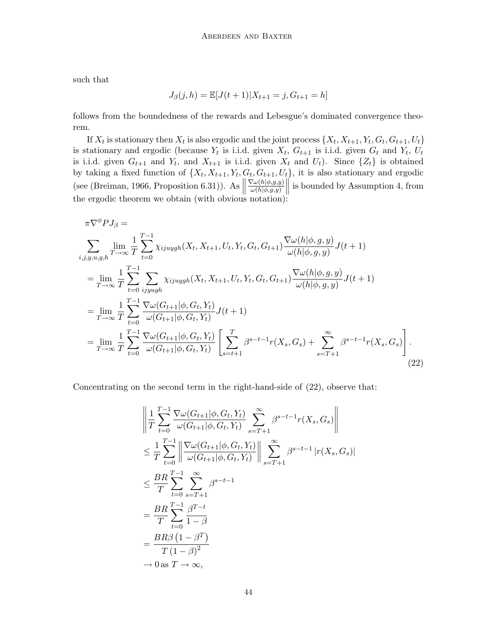such that

$$
J_{\beta}(j,h) = \mathbb{E}[J(t+1)|X_{t+1} = j, G_{t+1} = h]
$$

follows from the boundedness of the rewards and Lebesgue's dominated convergence theorem.

If  $X_t$  is stationary then  $X_t$  is also ergodic and the joint process  $\{X_t, X_{t+1}, Y_t, G_t, G_{t+1}, U_t\}$ is stationary and ergodic (because  $Y_t$  is i.i.d. given  $X_t$ ,  $G_{t+1}$  is i.i.d. given  $G_t$  and  $Y_t$ ,  $U_t$ is i.i.d. given  $G_{t+1}$  and  $Y_t$ , and  $X_{t+1}$  is i.i.d. given  $X_t$  and  $U_t$ ). Since  $\{Z_t\}$  is obtained by taking a fixed function of  $\{X_t, X_{t+1}, Y_t, G_t, G_{t+1}, U_t\}$ , it is also stationary and ergodic (see (Breiman, 1966, Proposition 6.31)). As  $\parallel$  $\nabla \omega(h|\phi,g,y)$ (see (Breiman, 1966, Proposition 6.31)). As  $\left\|\frac{\nabla \omega(h|\phi,g,y)}{\omega(h|\phi,g,y)}\right\|$  is bounded by Assumption 4, from the ergodic theorem we obtain (with obvious notation):

$$
\pi \nabla^{\phi} P J_{\beta} =
$$
\n
$$
\sum_{i,j,y,u,g,h} \lim_{T \to \infty} \frac{1}{T} \sum_{t=0}^{T-1} \chi_{ijuygh}(X_t, X_{t+1}, U_t, Y_t, G_t, G_{t+1}) \frac{\nabla \omega(h|\phi, g, y)}{\omega(h|\phi, g, y)} J(t+1)
$$
\n
$$
= \lim_{T \to \infty} \frac{1}{T} \sum_{t=0}^{T-1} \sum_{ijyugh} \chi_{ijuygh}(X_t, X_{t+1}, U_t, Y_t, G_t, G_{t+1}) \frac{\nabla \omega(h|\phi, g, y)}{\omega(h|\phi, g, y)} J(t+1)
$$
\n
$$
= \lim_{T \to \infty} \frac{1}{T} \sum_{t=0}^{T-1} \frac{\nabla \omega(G_{t+1}|\phi, G_t, Y_t)}{\omega(G_{t+1}|\phi, G_t, Y_t)} J(t+1)
$$
\n
$$
= \lim_{T \to \infty} \frac{1}{T} \sum_{t=0}^{T-1} \frac{\nabla \omega(G_{t+1}|\phi, G_t, Y_t)}{\omega(G_{t+1}|\phi, G_t, Y_t)} \left[ \sum_{s=t+1}^{T} \beta^{s-t-1} r(X_s, G_s) + \sum_{s=T+1}^{\infty} \beta^{s-t-1} r(X_s, G_s) \right].
$$
\n(22)

Concentrating on the second term in the right-hand-side of (22), observe that:

$$
\left\| \frac{1}{T} \sum_{t=0}^{T-1} \frac{\nabla \omega(G_{t+1} | \phi, G_t, Y_t)}{\omega(G_{t+1} | \phi, G_t, Y_t)} \sum_{s=T+1}^{\infty} \beta^{s-t-1} r(X_s, G_s) \right\|
$$
  
\n
$$
\leq \frac{1}{T} \sum_{t=0}^{T-1} \left\| \frac{\nabla \omega(G_{t+1} | \phi, G_t, Y_t)}{\omega(G_{t+1} | \phi, G_t, Y_t)} \right\| \sum_{s=T+1}^{\infty} \beta^{s-t-1} |r(X_s, G_s)|
$$
  
\n
$$
\leq \frac{BR}{T} \sum_{t=0}^{T-1} \sum_{s=T+1}^{\infty} \beta^{s-t-1}
$$
  
\n
$$
= \frac{BR}{T} \sum_{t=0}^{T-1} \frac{\beta^{T-t}}{1-\beta}
$$
  
\n
$$
= \frac{BR\beta (1-\beta^T)}{T (1-\beta)^2}
$$
  
\n
$$
\rightarrow 0 \text{ as } T \rightarrow \infty,
$$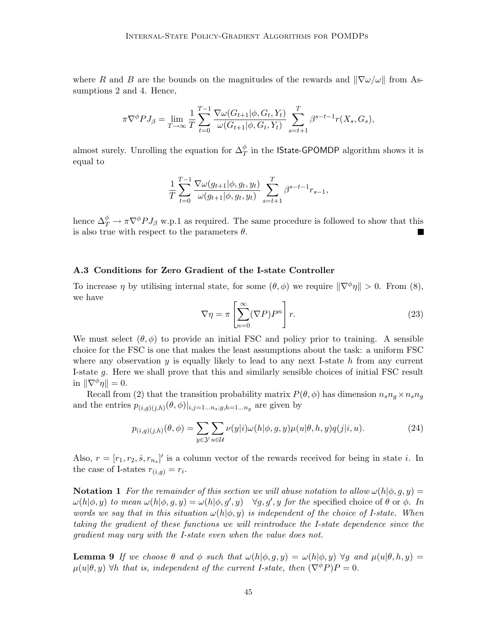where R and B are the bounds on the magnitudes of the rewards and  $\|\nabla\omega/\omega\|$  from Assumptions 2 and 4. Hence,

$$
\pi \nabla^{\phi} P J_{\beta} = \lim_{T \to \infty} \frac{1}{T} \sum_{t=0}^{T-1} \frac{\nabla \omega(G_{t+1} | \phi, G_t, Y_t)}{\omega(G_{t+1} | \phi, G_t, Y_t)} \sum_{s=t+1}^{T} \beta^{s-t-1} r(X_s, G_s),
$$

almost surely. Unrolling the equation for  $\Delta_T^{\phi}$  in the **IState-GPOMDP** algorithm shows it is equal to

$$
\frac{1}{T}\sum_{t=0}^{T-1}\frac{\nabla \omega(g_{t+1}|\phi,g_t,y_t)}{\omega(g_{t+1}|\phi,g_t,y_t)}\sum_{s=t+1}^{T}\beta^{s-t-1}r_{s-1},
$$

hence  $\Delta_T^{\phi} \to \pi \nabla^{\phi} P J_{\beta}$  w.p.1 as required. The same procedure is followed to show that this is also true with respect to the parameters  $\theta$ .

#### A.3 Conditions for Zero Gradient of the I-state Controller

To increase  $\eta$  by utilising internal state, for some  $(\theta, \phi)$  we require  $\|\nabla^{\phi}\eta\| > 0$ . From (8), we have

$$
\nabla \eta = \pi \left[ \sum_{n=0}^{\infty} (\nabla P) P^n \right] r.
$$
 (23)

We must select  $(\theta, \phi)$  to provide an initial FSC and policy prior to training. A sensible choice for the FSC is one that makes the least assumptions about the task: a uniform FSC where any observation  $y$  is equally likely to lead to any next I-state  $h$  from any current I-state g. Here we shall prove that this and similarly sensible choices of initial FSC result in  $\|\nabla^{\phi}\eta\| = 0.$ 

Recall from (2) that the transition probability matrix  $P(\theta, \phi)$  has dimension  $n_s n_g \times n_s n_g$ and the entries  $p_{(i,g)(j,h)}(\theta,\phi)|_{i,j=1...n_s;g,h=1...n_g}$  are given by

$$
p_{(i,g)(j,h)}(\theta,\phi) = \sum_{y\in\mathcal{Y}} \sum_{u\in\mathcal{U}} \nu(y|i)\omega(h|\phi,g,y)\mu(u|\theta,h,y)q(j|i,u). \tag{24}
$$

Also,  $r = [r_1, r_2, \dot{s}, r_{n_s}]'$  is a column vector of the rewards received for being in state *i*. In the case of I-states  $r_{(i,g)} = r_i$ .

**Notation 1** For the remainder of this section we will abuse notation to allow  $\omega(h|\phi, g, y) =$  $\omega(h|\phi, y)$  to mean  $\omega(h|\phi, g, y) = \omega(h|\phi, g', y)$   $\forall g, g', y$  for the specified choice of  $\theta$  or  $\phi$ . In words we say that in this situation  $\omega(h|\phi, y)$  is independent of the choice of I-state. When taking the gradient of these functions we will reintroduce the I-state dependence since the gradient may vary with the I-state even when the value does not.

**Lemma 9** If we choose  $\theta$  and  $\phi$  such that  $\omega(h|\phi, g, y) = \omega(h|\phi, y) \,\forall g$  and  $\mu(u|\theta, h, y) =$  $\mu(u|\theta, y)$   $\forall h$  that is, independent of the current I-state, then  $(\nabla^{\phi} P)P = 0$ .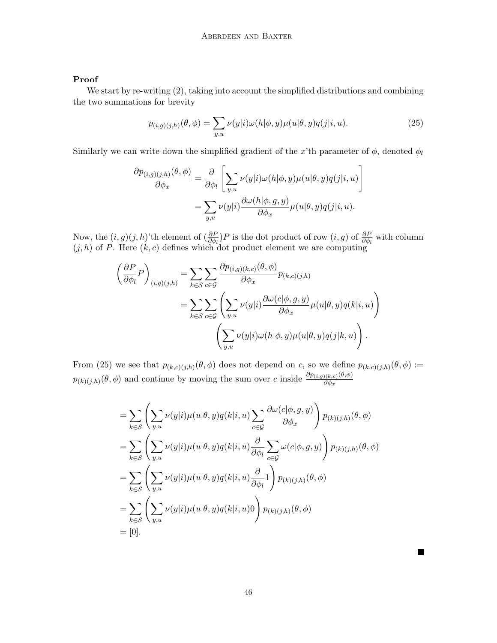## Proof

We start by re-writing (2), taking into account the simplified distributions and combining the two summations for brevity

$$
p_{(i,g)(j,h)}(\theta,\phi) = \sum_{y,u} \nu(y|i)\omega(h|\phi,y)\mu(u|\theta,y)q(j|i,u). \tag{25}
$$

Similarly we can write down the simplified gradient of the x'th parameter of  $\phi$ , denoted  $\phi_l$ 

$$
\frac{\partial p_{(i,g)(j,h)}(\theta,\phi)}{\partial \phi_x} = \frac{\partial}{\partial \phi_l} \left[ \sum_{y,u} \nu(y|i)\omega(h|\phi,y)\mu(u|\theta,y)q(j|i,u) \right]
$$

$$
= \sum_{y,u} \nu(y|i) \frac{\partial \omega(h|\phi,g,y)}{\partial \phi_x} \mu(u|\theta,y)q(j|i,u).
$$

Now, the  $(i, g)(j, h)$ 'th element of  $(\frac{\partial P}{\partial \phi_l})P$  is the dot product of row  $(i, g)$  of  $\frac{\partial P}{\partial \phi_l}$  with column  $(j, h)$  of P. Here  $(k, c)$  defines which dot product element we are computing

$$
\left(\frac{\partial P}{\partial \phi_l} P\right)_{(i,g)(j,h)} = \sum_{k \in S} \sum_{c \in \mathcal{G}} \frac{\partial p_{(i,g)(k,c)}(\theta, \phi)}{\partial \phi_x} p_{(k,c)(j,h)} \n= \sum_{k \in S} \sum_{c \in \mathcal{G}} \left( \sum_{y,u} \nu(y|i) \frac{\partial \omega(c|\phi, g, y)}{\partial \phi_x} \mu(u|\theta, y) q(k|i, u) \right) \n\left( \sum_{y,u} \nu(y|i) \omega(h|\phi, y) \mu(u|\theta, y) q(j|k, u) \right).
$$

From (25) we see that  $p_{(k,c)(j,h)}(\theta,\phi)$  does not depend on c, so we define  $p_{(k,c)(j,h)}(\theta,\phi) :=$  $p_{(k)(j,h)}(\theta,\phi)$  and continue by moving the sum over c inside  $\frac{\partial p_{(i,g)(k,c)}(\theta,\phi)}{\partial \phi_x}$  $\partial \phi_x$ 

$$
= \sum_{k \in \mathcal{S}} \left( \sum_{y,u} \nu(y|i) \mu(u|\theta, y) q(k|i, u) \sum_{c \in \mathcal{G}} \frac{\partial \omega(c|\phi, g, y)}{\partial \phi_x} \right) p_{(k)(j,h)}(\theta, \phi)
$$
  
\n
$$
= \sum_{k \in \mathcal{S}} \left( \sum_{y,u} \nu(y|i) \mu(u|\theta, y) q(k|i, u) \frac{\partial}{\partial \phi_l} \sum_{c \in \mathcal{G}} \omega(c|\phi, g, y) \right) p_{(k)(j,h)}(\theta, \phi)
$$
  
\n
$$
= \sum_{k \in \mathcal{S}} \left( \sum_{y,u} \nu(y|i) \mu(u|\theta, y) q(k|i, u) \frac{\partial}{\partial \phi_l} 1 \right) p_{(k)(j,h)}(\theta, \phi)
$$
  
\n
$$
= \sum_{k \in \mathcal{S}} \left( \sum_{y,u} \nu(y|i) \mu(u|\theta, y) q(k|i, u) 0 \right) p_{(k)(j,h)}(\theta, \phi)
$$
  
\n
$$
= [0].
$$

 $\blacksquare$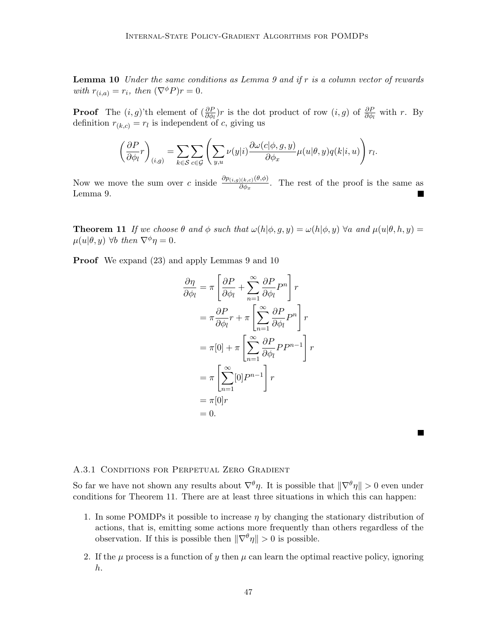**Lemma 10** Under the same conditions as Lemma 9 and if  $r$  is a column vector of rewards with  $r_{(i,a)} = r_i$ , then  $(\nabla^{\phi} P)r = 0$ .

**Proof** The  $(i, g)$ 'th element of  $\left(\frac{\partial P}{\partial \phi_l}\right)r$  is the dot product of row  $(i, g)$  of  $\frac{\partial P}{\partial \phi_l}$  with r. By definition  $r_{(k,c)} = r_l$  is independent of c, giving us

$$
\left(\frac{\partial P}{\partial \phi_l}r\right)_{(i,g)} = \sum_{k \in \mathcal{S}} \sum_{c \in \mathcal{G}} \left( \sum_{y,u} \nu(y|i) \frac{\partial \omega(c|\phi, g, y)}{\partial \phi_x} \mu(u|\theta, y) q(k|i, u) \right) r_l.
$$

Now we move the sum over c inside  $\frac{\partial p_{(i,g)(k,c)}(\theta,\phi)}{\partial \phi_{-}}$  $\frac{\partial (k,c) \langle v, \varphi \rangle}{\partial \phi_x}$ . The rest of the proof is the same as Lemma 9.

**Theorem 11** If we choose  $\theta$  and  $\phi$  such that  $\omega(h|\phi, g, y) = \omega(h|\phi, y)$   $\forall a$  and  $\mu(u|\theta, h, y) =$  $\mu(u|\theta, y)$   $\forall b$  then  $\nabla^{\phi} \eta = 0$ .

Proof We expand (23) and apply Lemmas 9 and 10

$$
\frac{\partial \eta}{\partial \phi_l} = \pi \left[ \frac{\partial P}{\partial \phi_l} + \sum_{n=1}^{\infty} \frac{\partial P}{\partial \phi_l} P^n \right] r
$$
  
\n
$$
= \pi \frac{\partial P}{\partial \phi_l} r + \pi \left[ \sum_{n=1}^{\infty} \frac{\partial P}{\partial \phi_l} P^n \right] r
$$
  
\n
$$
= \pi [0] + \pi \left[ \sum_{n=1}^{\infty} \frac{\partial P}{\partial \phi_l} P P^{n-1} \right] r
$$
  
\n
$$
= \pi \left[ \sum_{n=1}^{\infty} [0] P^{n-1} \right] r
$$
  
\n
$$
= \pi [0] r
$$
  
\n
$$
= 0.
$$



#### A.3.1 Conditions for Perpetual Zero Gradient

So far we have not shown any results about  $\nabla^{\theta} \eta$ . It is possible that  $\|\nabla^{\theta} \eta\| > 0$  even under conditions for Theorem 11. There are at least three situations in which this can happen:

- 1. In some POMDPs it possible to increase  $\eta$  by changing the stationary distribution of actions, that is, emitting some actions more frequently than others regardless of the observation. If this is possible then  $\|\nabla^{\theta}\eta\| > 0$  is possible.
- 2. If the  $\mu$  process is a function of y then  $\mu$  can learn the optimal reactive policy, ignoring h.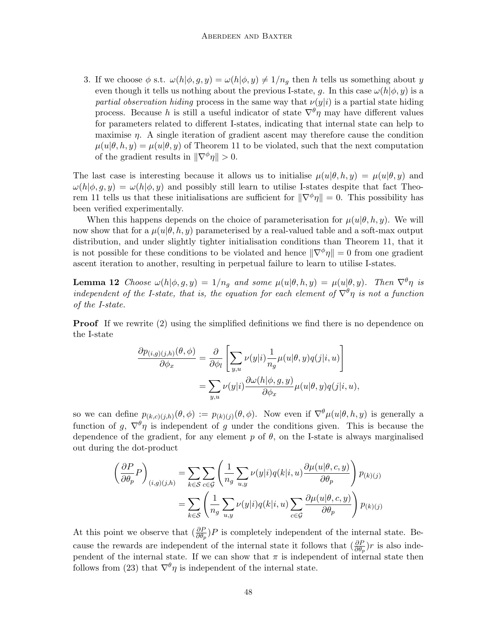3. If we choose  $\phi$  s.t.  $\omega(h|\phi, g, y) = \omega(h|\phi, y) \neq 1/n_q$  then h tells us something about y even though it tells us nothing about the previous I-state, g. In this case  $\omega(h|\phi, y)$  is a partial observation hiding process in the same way that  $\nu(y|i)$  is a partial state hiding process. Because h is still a useful indicator of state  $\nabla^{\theta} \eta$  may have different values for parameters related to different I-states, indicating that internal state can help to maximise  $\eta$ . A single iteration of gradient ascent may therefore cause the condition  $\mu(u|\theta, h, y) = \mu(u|\theta, y)$  of Theorem 11 to be violated, such that the next computation of the gradient results in  $\|\nabla^{\phi}\eta\| > 0$ .

The last case is interesting because it allows us to initialise  $\mu(u|\theta, h, y) = \mu(u|\theta, y)$  and  $\omega(h|\phi, q, y) = \omega(h|\phi, y)$  and possibly still learn to utilise I-states despite that fact Theorem 11 tells us that these initialisations are sufficient for  $\|\nabla^{\phi}\eta\| = 0$ . This possibility has been verified experimentally.

When this happens depends on the choice of parameterisation for  $\mu(u|\theta, h, y)$ . We will now show that for a  $\mu(u|\theta, h, y)$  parameterised by a real-valued table and a soft-max output distribution, and under slightly tighter initialisation conditions than Theorem 11, that it is not possible for these conditions to be violated and hence  $\|\nabla^{\phi}\eta\| = 0$  from one gradient ascent iteration to another, resulting in perpetual failure to learn to utilise I-states.

**Lemma 12** Choose  $\omega(h|\phi, g, y) = 1/n_q$  and some  $\mu(u|\theta, h, y) = \mu(u|\theta, y)$ . Then  $\nabla^{\theta} \eta$  is independent of the I-state, that is, the equation for each element of  $\nabla^{\theta} \eta$  is not a function of the I-state.

**Proof** If we rewrite (2) using the simplified definitions we find there is no dependence on the I-state

$$
\frac{\partial p_{(i,g)(j,h)}(\theta,\phi)}{\partial \phi_x} = \frac{\partial}{\partial \phi_l} \left[ \sum_{y,u} \nu(y|i) \frac{1}{n_g} \mu(u|\theta,y) q(j|i,u) \right]
$$

$$
= \sum_{y,u} \nu(y|i) \frac{\partial \omega(h|\phi,g,y)}{\partial \phi_x} \mu(u|\theta,y) q(j|i,u),
$$

so we can define  $p_{(k,c)(j,h)}(\theta,\phi) := p_{(k)(j)}(\theta,\phi)$ . Now even if  $\nabla^{\theta} \mu(u|\theta,h,y)$  is generally a function of g,  $\nabla^{\theta} \eta$  is independent of g under the conditions given. This is because the dependence of the gradient, for any element  $p$  of  $\theta$ , on the I-state is always marginalised out during the dot-product

$$
\left(\frac{\partial P}{\partial \theta_p} P\right)_{(i,g)(j,h)} = \sum_{k \in S} \sum_{c \in \mathcal{G}} \left(\frac{1}{n_g} \sum_{u,y} \nu(y|i)q(k|i,u) \frac{\partial \mu(u|\theta, c, y)}{\partial \theta_p}\right) p_{(k)(j)}
$$

$$
= \sum_{k \in S} \left(\frac{1}{n_g} \sum_{u,y} \nu(y|i)q(k|i,u) \sum_{c \in \mathcal{G}} \frac{\partial \mu(u|\theta, c, y)}{\partial \theta_p}\right) p_{(k)(j)}
$$

At this point we observe that  $\left(\frac{\partial P}{\partial \theta_p} \right) P$  is completely independent of the internal state. Because the rewards are independent of the internal state it follows that  $(\frac{\partial P}{\partial \theta_p})r$  is also independent of the internal state. If we can show that  $\pi$  is independent of internal state then follows from (23) that  $\nabla^{\theta} \eta$  is independent of the internal state.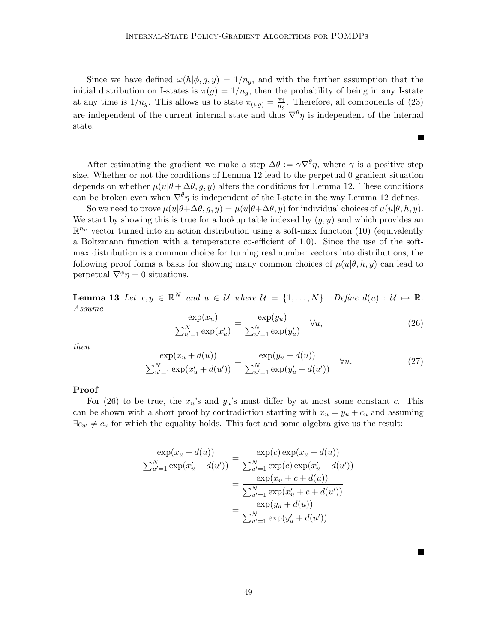Since we have defined  $\omega(h|\phi, g, y) = 1/n_q$ , and with the further assumption that the initial distribution on I-states is  $\pi(g) = 1/n_q$ , then the probability of being in any I-state at any time is  $1/n_g$ . This allows us to state  $\pi(i,g) = \frac{\pi_i}{n_g}$  $\frac{\pi_i}{n_g}$ . Therefore, all components of (23) are independent of the current internal state and thus  $\nabla^{\theta} \eta$  is independent of the internal state.

After estimating the gradient we make a step  $\Delta\theta := \gamma \nabla^{\theta} \eta$ , where  $\gamma$  is a positive step size. Whether or not the conditions of Lemma 12 lead to the perpetual 0 gradient situation depends on whether  $\mu(u|\theta + \Delta\theta, g, y)$  alters the conditions for Lemma 12. These conditions can be broken even when  $\nabla^{\theta} \eta$  is independent of the I-state in the way Lemma 12 defines.

So we need to prove  $\mu(u|\theta+\Delta\theta, g, y) = \mu(u|\theta+\Delta\theta, y)$  for individual choices of  $\mu(u|\theta, h, y)$ . We start by showing this is true for a lookup table indexed by  $(g, y)$  and which provides an  $\mathbb{R}^{n_u}$  vector turned into an action distribution using a soft-max function (10) (equivalently a Boltzmann function with a temperature co-efficient of 1.0). Since the use of the softmax distribution is a common choice for turning real number vectors into distributions, the following proof forms a basis for showing many common choices of  $\mu(u|\theta, h, y)$  can lead to perpetual  $\nabla^{\phi} \eta = 0$  situations.

**Lemma 13** Let  $x, y \in \mathbb{R}^N$  and  $u \in \mathcal{U}$  where  $\mathcal{U} = \{1, ..., N\}$ . Define  $d(u) : \mathcal{U} \mapsto \mathbb{R}$ . Assume

$$
\frac{\exp(x_u)}{\sum_{u'=1}^N \exp(x'_u)} = \frac{\exp(y_u)}{\sum_{u'=1}^N \exp(y'_u)} \quad \forall u,
$$
\n(26)

 $\blacksquare$ 

then

$$
\frac{\exp(x_u + d(u))}{\sum_{u'=1}^N \exp(x'_u + d(u'))} = \frac{\exp(y_u + d(u))}{\sum_{u'=1}^N \exp(y'_u + d(u'))} \quad \forall u.
$$
\n(27)

#### Proof

For (26) to be true, the  $x_u$ 's and  $y_u$ 's must differ by at most some constant c. This can be shown with a short proof by contradiction starting with  $x_u = y_u + c_u$  and assuming  $\exists c_{u'} \neq c_u$  for which the equality holds. This fact and some algebra give us the result:

$$
\frac{\exp(x_u + d(u))}{\sum_{u'=1}^N \exp(x'_u + d(u'))} = \frac{\exp(c)\exp(x_u + d(u))}{\sum_{u'=1}^N \exp(c)\exp(x'_u + d(u'))}
$$

$$
= \frac{\exp(x_u + c + d(u))}{\sum_{u'=1}^N \exp(x'_u + c + d(u'))}
$$

$$
= \frac{\exp(y_u + d(u))}{\sum_{u'=1}^N \exp(y'_u + d(u'))}
$$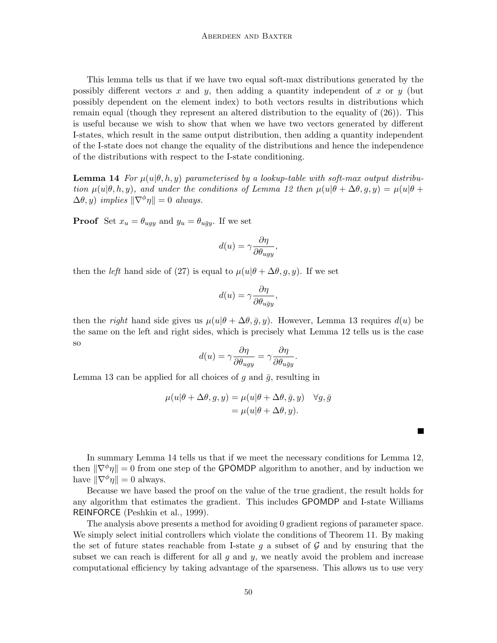This lemma tells us that if we have two equal soft-max distributions generated by the possibly different vectors x and y, then adding a quantity independent of x or y (but possibly dependent on the element index) to both vectors results in distributions which remain equal (though they represent an altered distribution to the equality of (26)). This is useful because we wish to show that when we have two vectors generated by different I-states, which result in the same output distribution, then adding a quantity independent of the I-state does not change the equality of the distributions and hence the independence of the distributions with respect to the I-state conditioning.

**Lemma 14** For  $\mu(u|\theta, h, y)$  parameterised by a lookup-table with soft-max output distribution  $\mu(u|\theta, h, y)$ , and under the conditions of Lemma 12 then  $\mu(u|\theta + \Delta\theta, g, y) = \mu(u|\theta +$  $\Delta\theta, y$ ) implies  $\|\nabla^{\phi}\eta\| = 0$  always.

**Proof** Set  $x_u = \theta_{uqy}$  and  $y_u = \theta_{u\bar{q}y}$ . If we set

$$
d(u) = \gamma \frac{\partial \eta}{\partial \theta_{ugy}},
$$

then the *left* hand side of (27) is equal to  $\mu(u|\theta + \Delta\theta, g, y)$ . If we set

$$
d(u) = \gamma \frac{\partial \eta}{\partial \theta_{u\bar{g}y}},
$$

then the *right* hand side gives us  $\mu(u|\theta + \Delta\theta, \bar{g}, y)$ . However, Lemma 13 requires  $d(u)$  be the same on the left and right sides, which is precisely what Lemma 12 tells us is the case so

$$
d(u) = \gamma \frac{\partial \eta}{\partial \theta_{ugy}} = \gamma \frac{\partial \eta}{\partial \theta_{u\bar{g}y}}.
$$

Lemma 13 can be applied for all choices of g and  $\bar{g}$ , resulting in

$$
\mu(u|\theta + \Delta\theta, g, y) = \mu(u|\theta + \Delta\theta, \bar{g}, y) \quad \forall g, \bar{g}
$$

$$
= \mu(u|\theta + \Delta\theta, y).
$$

П

In summary Lemma 14 tells us that if we meet the necessary conditions for Lemma 12, then  $\|\nabla^{\phi}\eta\| = 0$  from one step of the GPOMDP algorithm to another, and by induction we have  $\|\nabla^{\phi}\eta\| = 0$  always.

Because we have based the proof on the value of the true gradient, the result holds for any algorithm that estimates the gradient. This includes GPOMDP and I-state Williams REINFORCE (Peshkin et al., 1999).

The analysis above presents a method for avoiding 0 gradient regions of parameter space. We simply select initial controllers which violate the conditions of Theorem 11. By making the set of future states reachable from I-state q a subset of  $\mathcal G$  and by ensuring that the subset we can reach is different for all  $g$  and  $y$ , we neatly avoid the problem and increase computational efficiency by taking advantage of the sparseness. This allows us to use very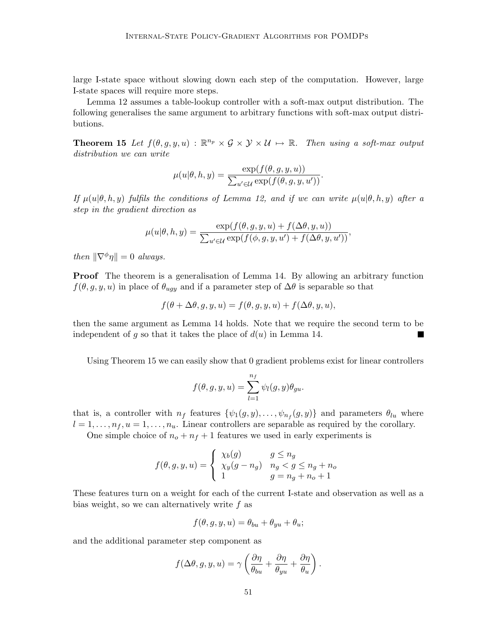large I-state space without slowing down each step of the computation. However, large I-state spaces will require more steps.

Lemma 12 assumes a table-lookup controller with a soft-max output distribution. The following generalises the same argument to arbitrary functions with soft-max output distributions.

**Theorem 15** Let  $f(\theta, g, y, u) : \mathbb{R}^{n_p} \times \mathcal{G} \times \mathcal{Y} \times \mathcal{U} \mapsto \mathbb{R}$ . Then using a soft-max output distribution we can write

$$
\mu(u|\theta, h, y) = \frac{\exp(f(\theta, g, y, u))}{\sum_{u' \in \mathcal{U}} \exp(f(\theta, g, y, u'))}.
$$

If  $\mu(u|\theta, h, y)$  fulfils the conditions of Lemma 12, and if we can write  $\mu(u|\theta, h, y)$  after a step in the gradient direction as

$$
\mu(u|\theta, h, y) = \frac{\exp(f(\theta, g, y, u) + f(\Delta \theta, y, u))}{\sum_{u' \in \mathcal{U}} \exp(f(\phi, g, y, u') + f(\Delta \theta, y, u'))},
$$

then  $\|\nabla^{\phi}\eta\| = 0$  always.

Proof The theorem is a generalisation of Lemma 14. By allowing an arbitrary function  $f(\theta, g, y, u)$  in place of  $\theta_{uqy}$  and if a parameter step of  $\Delta\theta$  is separable so that

$$
f(\theta + \Delta \theta, g, y, u) = f(\theta, g, y, u) + f(\Delta \theta, y, u),
$$

then the same argument as Lemma 14 holds. Note that we require the second term to be independent of g so that it takes the place of  $d(u)$  in Lemma 14. ٠

Using Theorem 15 we can easily show that 0 gradient problems exist for linear controllers

$$
f(\theta,g,y,u)=\sum_{l=1}^{n_f}\psi_l(g,y)\theta_{gu}.
$$

that is, a controller with  $n_f$  features  $\{\psi_1(g, y), \ldots, \psi_{n_f}(g, y)\}\$  and parameters  $\theta_{lu}$  where  $l = 1, \ldots, n_f, u = 1, \ldots, n_u$ . Linear controllers are separable as required by the corollary.

One simple choice of  $n_o + n_f + 1$  features we used in early experiments is

$$
f(\theta, g, y, u) = \begin{cases} \chi_b(g) & g \le n_g \\ \chi_y(g - n_g) & n_g < g \le n_g + n_o \\ 1 & g = n_g + n_o + 1 \end{cases}
$$

These features turn on a weight for each of the current I-state and observation as well as a bias weight, so we can alternatively write  $f$  as

$$
f(\theta, g, y, u) = \theta_{bu} + \theta_{yu} + \theta_u;
$$

and the additional parameter step component as

$$
f(\Delta\theta, g, y, u) = \gamma \left( \frac{\partial \eta}{\partial_{bu}} + \frac{\partial \eta}{\partial_{yu}} + \frac{\partial \eta}{\theta_u} \right).
$$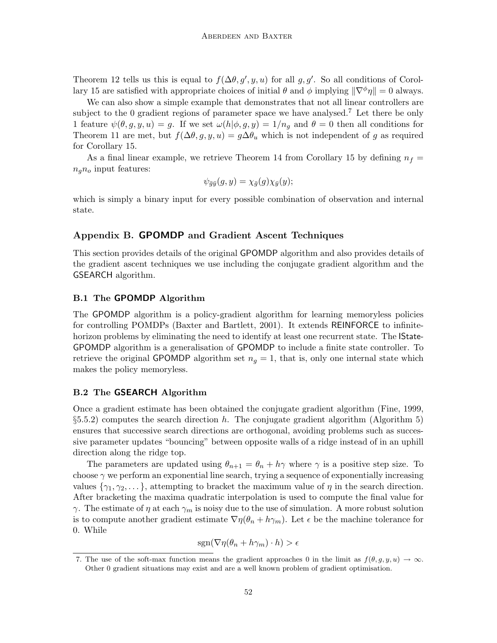Theorem 12 tells us this is equal to  $f(\Delta \theta, g', y, u)$  for all g, g'. So all conditions of Corollary 15 are satisfied with appropriate choices of initial  $\theta$  and  $\phi$  implying  $\|\nabla^{\phi}\eta\| = 0$  always.

We can also show a simple example that demonstrates that not all linear controllers are subject to the 0 gradient regions of parameter space we have analysed.<sup>7</sup> Let there be only 1 feature  $\psi(\theta, g, y, u) = g$ . If we set  $\omega(h|\phi, g, y) = 1/n_g$  and  $\theta = 0$  then all conditions for Theorem 11 are met, but  $f(\Delta \theta, g, y, u) = g \Delta \theta_u$  which is not independent of g as required for Corollary 15.

As a final linear example, we retrieve Theorem 14 from Corollary 15 by defining  $n_f =$  $n_q n_o$  input features:

$$
\psi_{\bar{g}\bar{y}}(g, y) = \chi_{\bar{g}}(g) \chi_{\bar{y}}(y);
$$

which is simply a binary input for every possible combination of observation and internal state.

## Appendix B. GPOMDP and Gradient Ascent Techniques

This section provides details of the original GPOMDP algorithm and also provides details of the gradient ascent techniques we use including the conjugate gradient algorithm and the GSEARCH algorithm.

## B.1 The GPOMDP Algorithm

The GPOMDP algorithm is a policy-gradient algorithm for learning memoryless policies for controlling POMDPs (Baxter and Bartlett, 2001). It extends REINFORCE to infinitehorizon problems by eliminating the need to identify at least one recurrent state. The **State-**GPOMDP algorithm is a generalisation of GPOMDP to include a finite state controller. To retrieve the original GPOMDP algorithm set  $n_q = 1$ , that is, only one internal state which makes the policy memoryless.

## B.2 The GSEARCH Algorithm

Once a gradient estimate has been obtained the conjugate gradient algorithm (Fine, 1999,  $\S5.5.2$ ) computes the search direction h. The conjugate gradient algorithm (Algorithm 5) ensures that successive search directions are orthogonal, avoiding problems such as successive parameter updates "bouncing" between opposite walls of a ridge instead of in an uphill direction along the ridge top.

The parameters are updated using  $\theta_{n+1} = \theta_n + h\gamma$  where  $\gamma$  is a positive step size. To choose  $\gamma$  we perform an exponential line search, trying a sequence of exponentially increasing values  $\{\gamma_1, \gamma_2, \dots\}$ , attempting to bracket the maximum value of  $\eta$  in the search direction. After bracketing the maxima quadratic interpolation is used to compute the final value for γ. The estimate of  $\eta$  at each  $\gamma_m$  is noisy due to the use of simulation. A more robust solution is to compute another gradient estimate  $\nabla \eta(\theta_n + h\gamma_m)$ . Let  $\epsilon$  be the machine tolerance for 0. While

$$
sgn(\nabla \eta(\theta_n + h\gamma_m) \cdot h) > \epsilon
$$

<sup>7.</sup> The use of the soft-max function means the gradient approaches 0 in the limit as  $f(\theta, g, y, u) \to \infty$ . Other 0 gradient situations may exist and are a well known problem of gradient optimisation.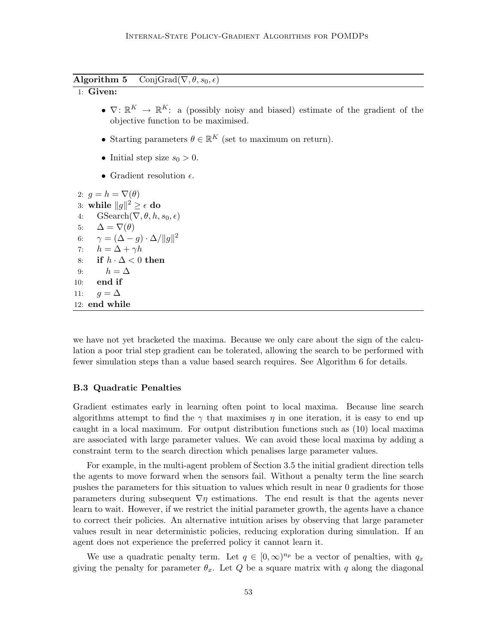**Algorithm 5** ConjGrad( $\nabla, \theta, s_0, \epsilon$ )

## 1: Given:

- $\nabla: \mathbb{R}^K \to \mathbb{R}^K$ : a (possibly noisy and biased) estimate of the gradient of the objective function to be maximised.
- Starting parameters  $\theta \in \mathbb{R}^K$  (set to maximum on return).
- Initial step size  $s_0 > 0$ .
- Gradient resolution  $\epsilon$ .

```
2: q = h = \nabla(\theta)3: while ||g||^2 \geq \epsilon do
 4: GSearch(\nabla, \theta, h, s_0, \epsilon)
 5: \Delta = \nabla(\theta)6: \gamma = (\Delta - g) \cdot \Delta / ||g||^27: h = \Delta + \gamma h8: if h \cdot \Delta < 0 then
 9: h = \Delta10: end if
11: g = \Delta12: end while
```
we have not yet bracketed the maxima. Because we only care about the sign of the calculation a poor trial step gradient can be tolerated, allowing the search to be performed with fewer simulation steps than a value based search requires. See Algorithm 6 for details.

## B.3 Quadratic Penalties

Gradient estimates early in learning often point to local maxima. Because line search algorithms attempt to find the  $\gamma$  that maximises  $\eta$  in one iteration, it is easy to end up caught in a local maximum. For output distribution functions such as (10) local maxima are associated with large parameter values. We can avoid these local maxima by adding a constraint term to the search direction which penalises large parameter values.

For example, in the multi-agent problem of Section 3.5 the initial gradient direction tells the agents to move forward when the sensors fail. Without a penalty term the line search pushes the parameters for this situation to values which result in near 0 gradients for those parameters during subsequent  $\nabla \eta$  estimations. The end result is that the agents never learn to wait. However, if we restrict the initial parameter growth, the agents have a chance to correct their policies. An alternative intuition arises by observing that large parameter values result in near deterministic policies, reducing exploration during simulation. If an agent does not experience the preferred policy it cannot learn it.

We use a quadratic penalty term. Let  $q \in [0, \infty)^{n_p}$  be a vector of penalties, with  $q_x$ giving the penalty for parameter  $\theta_x$ . Let Q be a square matrix with q along the diagonal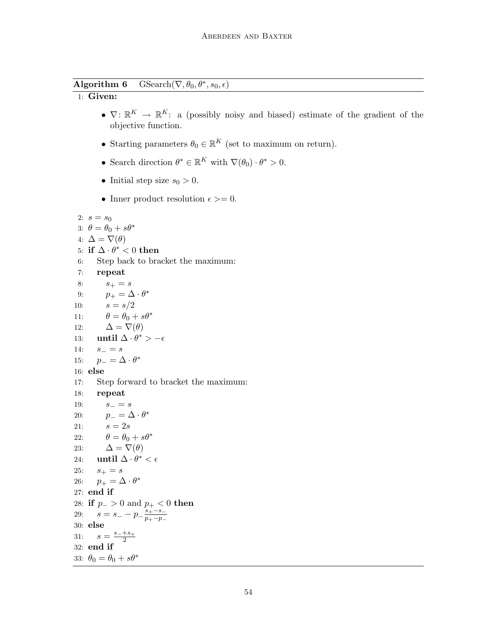Algorithm 6 GSearch( $\nabla, \theta_0, \theta^*, s_0, \epsilon$ )

## 1: Given:

- $\nabla: \mathbb{R}^K \to \mathbb{R}^K$ : a (possibly noisy and biased) estimate of the gradient of the objective function.
- Starting parameters  $\theta_0 \in \mathbb{R}^K$  (set to maximum on return).
- Search direction  $\theta^* \in \mathbb{R}^K$  with  $\nabla(\theta_0) \cdot \theta^* > 0$ .
- Initial step size  $s_0 > 0$ .
- Inner product resolution  $\epsilon \geq 0$ .

```
2: s = s_03: \theta = \theta_0 + s\theta^*4: \Delta = \nabla(\theta)5: if \Delta \cdot \theta^* < 0 then
 6: Step back to bracket the maximum:
 7: repeat
 8: s_+ = s9: p_+ = \Delta \cdot \theta^*10: s = s/211: \theta = \theta_0 + s\theta^*12: \Delta = \nabla(\theta)13: until \Delta \cdot \theta^* > -\epsilon14: s_-=s15: p_-=\Delta \cdot \theta^*16: else
17: Step forward to bracket the maximum:
18: repeat
19: s_-=s20: p_{-} = \Delta \cdot \theta^*21: s = 2s22: \theta = \theta_0 + s\theta^*23: \Delta = \nabla(\theta)24: until \Delta \cdot \theta^* < \epsilon25: s_+ = s26: p_+ = \Delta \cdot \theta^*27: end if
28: if p_->0 and p_+<0 then
29: s = s_- - p_- \frac{s_+ - s_-}{n_+ - n_-}p_+−p_-30: else
31: s = \frac{s_-+s_+}{2}2
32: end if
33: \theta_0 = \theta_0 + s\theta^*
```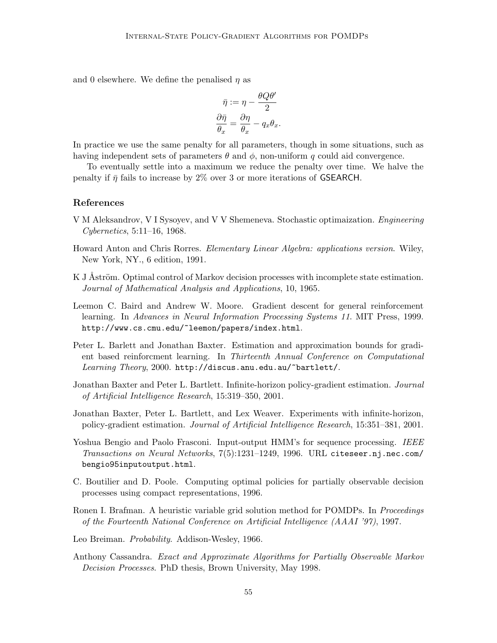and 0 elsewhere. We define the penalised  $\eta$  as

$$
\bar{\eta} := \eta - \frac{\theta Q \theta'}{2}
$$

$$
\frac{\partial \bar{\eta}}{\theta_x} = \frac{\partial \eta}{\theta_x} - q_x \theta_x.
$$

In practice we use the same penalty for all parameters, though in some situations, such as having independent sets of parameters  $\theta$  and  $\phi$ , non-uniform q could aid convergence.

To eventually settle into a maximum we reduce the penalty over time. We halve the penalty if  $\bar{\eta}$  fails to increase by 2% over 3 or more iterations of GSEARCH.

## References

- V M Aleksandrov, V I Sysoyev, and V V Shemeneva. Stochastic optimaization. Engineering Cybernetics, 5:11–16, 1968.
- Howard Anton and Chris Rorres. Elementary Linear Algebra: applications version. Wiley, New York, NY., 6 edition, 1991.
- K J Åström. Optimal control of Markov decision processes with incomplete state estimation. Journal of Mathematical Analysis and Applications, 10, 1965.
- Leemon C. Baird and Andrew W. Moore. Gradient descent for general reinforcement learning. In Advances in Neural Information Processing Systems 11. MIT Press, 1999. http://www.cs.cmu.edu/~leemon/papers/index.html.
- Peter L. Barlett and Jonathan Baxter. Estimation and approximation bounds for gradient based reinforcment learning. In Thirteenth Annual Conference on Computational Learning Theory, 2000. http://discus.anu.edu.au/~bartlett/.
- Jonathan Baxter and Peter L. Bartlett. Infinite-horizon policy-gradient estimation. Journal of Artificial Intelligence Research, 15:319–350, 2001.
- Jonathan Baxter, Peter L. Bartlett, and Lex Weaver. Experiments with infinite-horizon, policy-gradient estimation. Journal of Artificial Intelligence Research, 15:351–381, 2001.
- Yoshua Bengio and Paolo Frasconi. Input-output HMM's for sequence processing. IEEE Transactions on Neural Networks, 7(5):1231–1249, 1996. URL citeseer.nj.nec.com/ bengio95inputoutput.html.
- C. Boutilier and D. Poole. Computing optimal policies for partially observable decision processes using compact representations, 1996.
- Ronen I. Brafman. A heuristic variable grid solution method for POMDPs. In *Proceedings* of the Fourteenth National Conference on Artificial Intelligence (AAAI '97), 1997.
- Leo Breiman. Probability. Addison-Wesley, 1966.
- Anthony Cassandra. Exact and Approximate Algorithms for Partially Observable Markov Decision Processes. PhD thesis, Brown University, May 1998.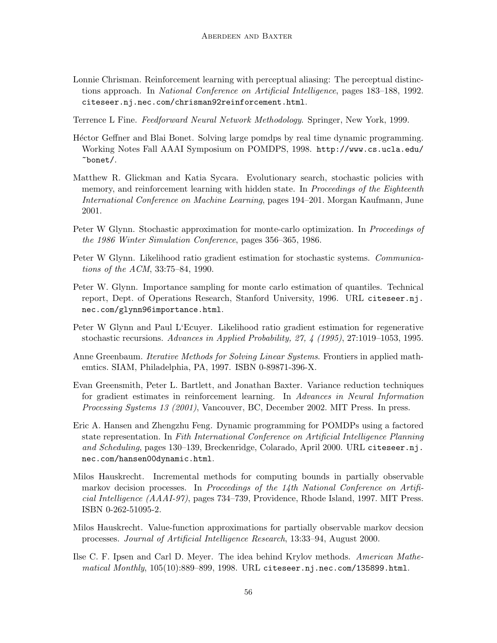- Lonnie Chrisman. Reinforcement learning with perceptual aliasing: The perceptual distinctions approach. In National Conference on Artificial Intelligence, pages 183–188, 1992. citeseer.nj.nec.com/chrisman92reinforcement.html.
- Terrence L Fine. Feedforward Neural Network Methodology. Springer, New York, 1999.
- Héctor Geffner and Blai Bonet. Solving large pomdps by real time dynamic programming. Working Notes Fall AAAI Symposium on POMDPS, 1998. http://www.cs.ucla.edu/ ~bonet/.
- Matthew R. Glickman and Katia Sycara. Evolutionary search, stochastic policies with memory, and reinforcement learning with hidden state. In *Proceedings of the Eighteenth* International Conference on Machine Learning, pages 194–201. Morgan Kaufmann, June 2001.
- Peter W Glynn. Stochastic approximation for monte-carlo optimization. In *Proceedings of* the 1986 Winter Simulation Conference, pages 356–365, 1986.
- Peter W Glynn. Likelihood ratio gradient estimation for stochastic systems. Communications of the ACM, 33:75–84, 1990.
- Peter W. Glynn. Importance sampling for monte carlo estimation of quantiles. Technical report, Dept. of Operations Research, Stanford University, 1996. URL citeseer.nj. nec.com/glynn96importance.html.
- Peter W Glynn and Paul L'Ecuyer. Likelihood ratio gradient estimation for regenerative stochastic recursions. Advances in Applied Probability, 27, 4 (1995), 27:1019–1053, 1995.
- Anne Greenbaum. *Iterative Methods for Solving Linear Systems*. Frontiers in applied mathemtics. SIAM, Philadelphia, PA, 1997. ISBN 0-89871-396-X.
- Evan Greensmith, Peter L. Bartlett, and Jonathan Baxter. Variance reduction techniques for gradient estimates in reinforcement learning. In Advances in Neural Information Processing Systems 13 (2001), Vancouver, BC, December 2002. MIT Press. In press.
- Eric A. Hansen and Zhengzhu Feng. Dynamic programming for POMDPs using a factored state representation. In Fith International Conference on Artificial Intelligence Planning and Scheduling, pages 130–139, Breckenridge, Colarado, April 2000. URL citeseer.nj. nec.com/hansen00dynamic.html.
- Milos Hauskrecht. Incremental methods for computing bounds in partially observable markov decision processes. In Proceedings of the 14th National Conference on Artificial Intelligence (AAAI-97), pages 734–739, Providence, Rhode Island, 1997. MIT Press. ISBN 0-262-51095-2.
- Milos Hauskrecht. Value-function approximations for partially observable markov decsion processes. Journal of Artificial Intelligence Research, 13:33–94, August 2000.
- Ilse C. F. Ipsen and Carl D. Meyer. The idea behind Krylov methods. American Mathematical Monthly, 105(10):889–899, 1998. URL citeseer.nj.nec.com/135899.html.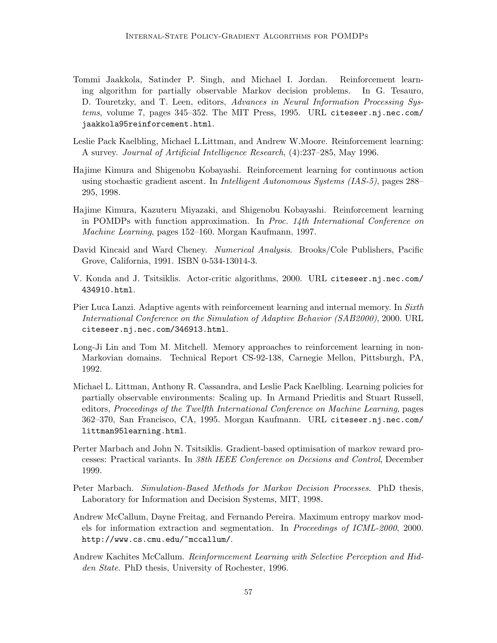- Tommi Jaakkola, Satinder P. Singh, and Michael I. Jordan. Reinforcement learning algorithm for partially observable Markov decision problems. In G. Tesauro, D. Touretzky, and T. Leen, editors, Advances in Neural Information Processing Systems, volume 7, pages 345–352. The MIT Press, 1995. URL citeseer.nj.nec.com/ jaakkola95reinforcement.html.
- Leslie Pack Kaelbling, Michael L.Littman, and Andrew W.Moore. Reinforcement learning: A survey. Journal of Artificial Intelligence Research, (4):237–285, May 1996.
- Hajime Kimura and Shigenobu Kobayashi. Reinforcement learning for continuous action using stochastic gradient ascent. In Intelligent Autonomous Systems (IAS-5), pages 288– 295, 1998.
- Hajime Kimura, Kazuteru Miyazaki, and Shigenobu Kobayashi. Reinforcement learning in POMDPs with function approximation. In *Proc.* 14th International Conference on Machine Learning, pages 152–160. Morgan Kaufmann, 1997.
- David Kincaid and Ward Cheney. Numerical Analysis. Brooks/Cole Publishers, Pacific Grove, California, 1991. ISBN 0-534-13014-3.
- V. Konda and J. Tsitsiklis. Actor-critic algorithms, 2000. URL citeseer.nj.nec.com/ 434910.html.
- Pier Luca Lanzi. Adaptive agents with reinforcement learning and internal memory. In Sixth International Conference on the Simulation of Adaptive Behavior (SAB2000), 2000. URL citeseer.nj.nec.com/346913.html.
- Long-Ji Lin and Tom M. Mitchell. Memory approaches to reinforcement learning in non-Markovian domains. Technical Report CS-92-138, Carnegie Mellon, Pittsburgh, PA, 1992.
- Michael L. Littman, Anthony R. Cassandra, and Leslie Pack Kaelbling. Learning policies for partially observable environments: Scaling up. In Armand Prieditis and Stuart Russell, editors, Proceedings of the Twelfth International Conference on Machine Learning, pages 362–370, San Francisco, CA, 1995. Morgan Kaufmann. URL citeseer.nj.nec.com/ littman95learning.html.
- Perter Marbach and John N. Tsitsiklis. Gradient-based optimisation of markov reward processes: Practical variants. In 38th IEEE Conference on Decsions and Control, December 1999.
- Peter Marbach. Simulation-Based Methods for Markov Decision Processes. PhD thesis, Laboratory for Information and Decision Systems, MIT, 1998.
- Andrew McCallum, Dayne Freitag, and Fernando Pereira. Maximum entropy markov models for information extraction and segmentation. In Proceedings of ICML-2000, 2000. http://www.cs.cmu.edu/~mccallum/.
- Andrew Kachites McCallum. Reinformcement Learning with Selective Perception and Hidden State. PhD thesis, University of Rochester, 1996.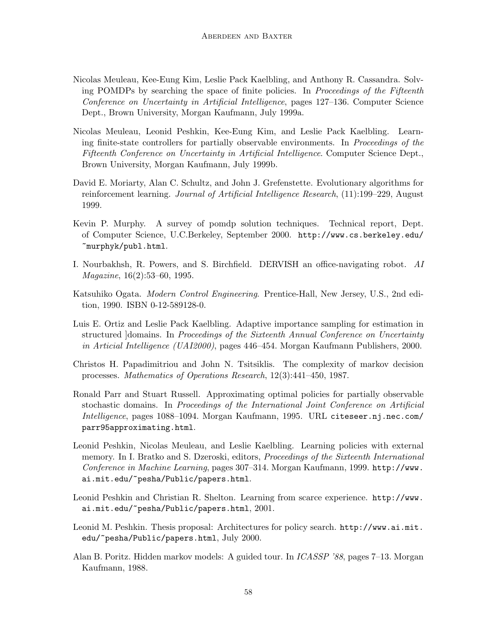- Nicolas Meuleau, Kee-Eung Kim, Leslie Pack Kaelbling, and Anthony R. Cassandra. Solving POMDPs by searching the space of finite policies. In Proceedings of the Fifteenth Conference on Uncertainty in Artificial Intelligence, pages 127–136. Computer Science Dept., Brown University, Morgan Kaufmann, July 1999a.
- Nicolas Meuleau, Leonid Peshkin, Kee-Eung Kim, and Leslie Pack Kaelbling. Learning finite-state controllers for partially observable environments. In Proceedings of the Fifteenth Conference on Uncertainty in Artificial Intelligence. Computer Science Dept., Brown University, Morgan Kaufmann, July 1999b.
- David E. Moriarty, Alan C. Schultz, and John J. Grefenstette. Evolutionary algorithms for reinforcement learning. Journal of Artificial Intelligence Research, (11):199–229, August 1999.
- Kevin P. Murphy. A survey of pomdp solution techniques. Technical report, Dept. of Computer Science, U.C.Berkeley, September 2000. http://www.cs.berkeley.edu/ ~murphyk/publ.html.
- I. Nourbakhsh, R. Powers, and S. Birchfield. DERVISH an office-navigating robot. AI Magazine, 16(2):53–60, 1995.
- Katsuhiko Ogata. Modern Control Engineering. Prentice-Hall, New Jersey, U.S., 2nd edition, 1990. ISBN 0-12-589128-0.
- Luis E. Ortiz and Leslie Pack Kaelbling. Adaptive importance sampling for estimation in structured domains. In Proceedings of the Sixteenth Annual Conference on Uncertainty in Articial Intelligence (UAI2000), pages 446–454. Morgan Kaufmann Publishers, 2000.
- Christos H. Papadimitriou and John N. Tsitsiklis. The complexity of markov decision processes. Mathematics of Operations Research, 12(3):441–450, 1987.
- Ronald Parr and Stuart Russell. Approximating optimal policies for partially observable stochastic domains. In Proceedings of the International Joint Conference on Artificial Intelligence, pages 1088–1094. Morgan Kaufmann, 1995. URL citeseer.nj.nec.com/ parr95approximating.html.
- Leonid Peshkin, Nicolas Meuleau, and Leslie Kaelbling. Learning policies with external memory. In I. Bratko and S. Dzeroski, editors, Proceedings of the Sixteenth International Conference in Machine Learning, pages 307–314. Morgan Kaufmann, 1999. http://www. ai.mit.edu/~pesha/Public/papers.html.
- Leonid Peshkin and Christian R. Shelton. Learning from scarce experience. http://www. ai.mit.edu/~pesha/Public/papers.html, 2001.
- Leonid M. Peshkin. Thesis proposal: Architectures for policy search. http://www.ai.mit. edu/~pesha/Public/papers.html, July 2000.
- Alan B. Poritz. Hidden markov models: A guided tour. In ICASSP '88, pages 7–13. Morgan Kaufmann, 1988.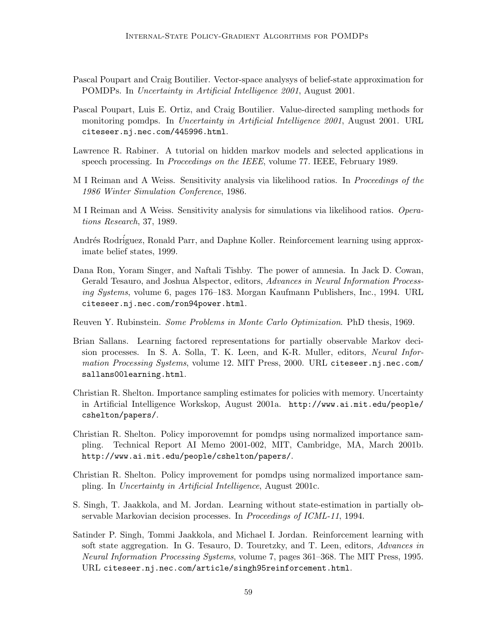- Pascal Poupart and Craig Boutilier. Vector-space analysys of belief-state approximation for POMDPs. In Uncertainty in Artificial Intelligence 2001, August 2001.
- Pascal Poupart, Luis E. Ortiz, and Craig Boutilier. Value-directed sampling methods for monitoring pomdps. In Uncertainty in Artificial Intelligence 2001, August 2001. URL citeseer.nj.nec.com/445996.html.
- Lawrence R. Rabiner. A tutorial on hidden markov models and selected applications in speech processing. In Proceedings on the IEEE, volume 77. IEEE, February 1989.
- M I Reiman and A Weiss. Sensitivity analysis via likelihood ratios. In *Proceedings of the* 1986 Winter Simulation Conference, 1986.
- M I Reiman and A Weiss. Sensitivity analysis for simulations via likelihood ratios. Operations Research, 37, 1989.
- Andrés Rodríguez, Ronald Parr, and Daphne Koller. Reinforcement learning using approximate belief states, 1999.
- Dana Ron, Yoram Singer, and Naftali Tishby. The power of amnesia. In Jack D. Cowan, Gerald Tesauro, and Joshua Alspector, editors, Advances in Neural Information Processing Systems, volume 6, pages 176–183. Morgan Kaufmann Publishers, Inc., 1994. URL citeseer.nj.nec.com/ron94power.html.
- Reuven Y. Rubinstein. Some Problems in Monte Carlo Optimization. PhD thesis, 1969.
- Brian Sallans. Learning factored representations for partially observable Markov decision processes. In S. A. Solla, T. K. Leen, and K-R. Muller, editors, Neural Information Processing Systems, volume 12. MIT Press, 2000. URL citeseer.nj.nec.com/ sallans00learning.html.
- Christian R. Shelton. Importance sampling estimates for policies with memory. Uncertainty in Artificial Intelligence Workskop, August 2001a. http://www.ai.mit.edu/people/ cshelton/papers/.
- Christian R. Shelton. Policy imporovemnt for pomdps using normalized importance sampling. Technical Report AI Memo 2001-002, MIT, Cambridge, MA, March 2001b. http://www.ai.mit.edu/people/cshelton/papers/.
- Christian R. Shelton. Policy improvement for pomdps using normalized importance sampling. In Uncertainty in Artificial Intelligence, August 2001c.
- S. Singh, T. Jaakkola, and M. Jordan. Learning without state-estimation in partially observable Markovian decision processes. In Proceedings of ICML-11, 1994.
- Satinder P. Singh, Tommi Jaakkola, and Michael I. Jordan. Reinforcement learning with soft state aggregation. In G. Tesauro, D. Touretzky, and T. Leen, editors, Advances in Neural Information Processing Systems, volume 7, pages 361–368. The MIT Press, 1995. URL citeseer.nj.nec.com/article/singh95reinforcement.html.